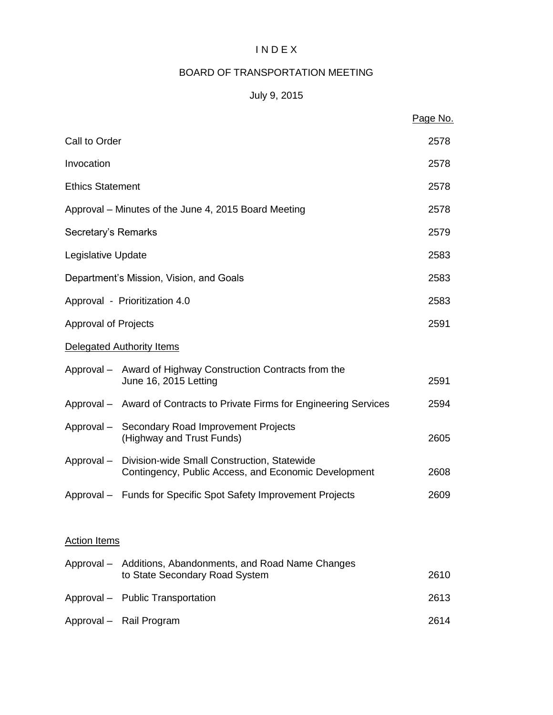#### I N D E X

# BOARD OF TRANSPORTATION MEETING

# July 9, 2015

|                             |                                                                                                                | Page No. |
|-----------------------------|----------------------------------------------------------------------------------------------------------------|----------|
| Call to Order               |                                                                                                                | 2578     |
| Invocation                  |                                                                                                                | 2578     |
| <b>Ethics Statement</b>     |                                                                                                                | 2578     |
|                             | Approval – Minutes of the June 4, 2015 Board Meeting                                                           | 2578     |
| Secretary's Remarks         |                                                                                                                | 2579     |
| Legislative Update          |                                                                                                                | 2583     |
|                             | Department's Mission, Vision, and Goals                                                                        | 2583     |
|                             | Approval - Prioritization 4.0                                                                                  | 2583     |
| <b>Approval of Projects</b> |                                                                                                                | 2591     |
|                             | Delegated Authority Items                                                                                      |          |
|                             | Approval – Award of Highway Construction Contracts from the<br>June 16, 2015 Letting                           | 2591     |
|                             | Approval - Award of Contracts to Private Firms for Engineering Services                                        | 2594     |
|                             | Approval - Secondary Road Improvement Projects<br>(Highway and Trust Funds)                                    | 2605     |
|                             | Approval - Division-wide Small Construction, Statewide<br>Contingency, Public Access, and Economic Development | 2608     |
|                             | Approval - Funds for Specific Spot Safety Improvement Projects                                                 | 2609     |
| <b>Action Items</b>         |                                                                                                                |          |
|                             | Approval - Additions, Abandonments, and Road Name Changes<br>to State Secondary Road System                    | 2610     |
|                             | Approval - Public Transportation                                                                               | 2613     |
|                             | Approval - Rail Program                                                                                        | 2614     |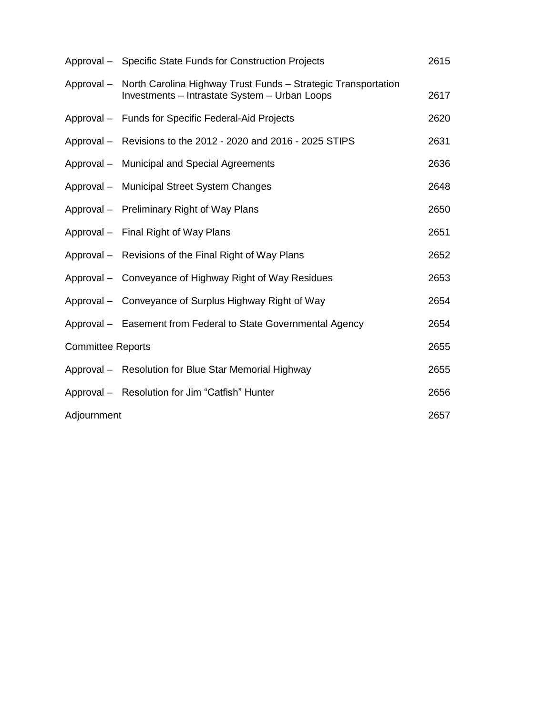|                          | Approval - Specific State Funds for Construction Projects                                                      | 2615 |
|--------------------------|----------------------------------------------------------------------------------------------------------------|------|
| Approval –               | North Carolina Highway Trust Funds - Strategic Transportation<br>Investments - Intrastate System - Urban Loops | 2617 |
|                          | Approval - Funds for Specific Federal-Aid Projects                                                             | 2620 |
|                          | Approval – Revisions to the 2012 - 2020 and 2016 - 2025 STIPS                                                  | 2631 |
|                          | Approval - Municipal and Special Agreements                                                                    | 2636 |
|                          | Approval - Municipal Street System Changes                                                                     | 2648 |
|                          | Approval - Preliminary Right of Way Plans                                                                      | 2650 |
|                          | Approval - Final Right of Way Plans                                                                            | 2651 |
|                          | Approval - Revisions of the Final Right of Way Plans                                                           | 2652 |
|                          | Approval – Conveyance of Highway Right of Way Residues                                                         | 2653 |
|                          | Approval – Conveyance of Surplus Highway Right of Way                                                          | 2654 |
|                          | Approval - Easement from Federal to State Governmental Agency                                                  | 2654 |
| <b>Committee Reports</b> |                                                                                                                | 2655 |
|                          | Approval – Resolution for Blue Star Memorial Highway                                                           | 2655 |
|                          | Approval - Resolution for Jim "Catfish" Hunter                                                                 | 2656 |
| Adjournment              |                                                                                                                | 2657 |
|                          |                                                                                                                |      |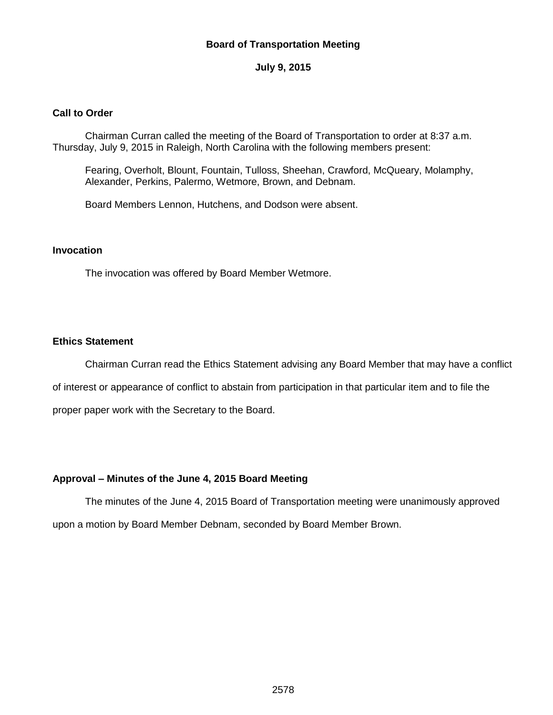#### **Board of Transportation Meeting**

#### **July 9, 2015**

#### **Call to Order**

Chairman Curran called the meeting of the Board of Transportation to order at 8:37 a.m. Thursday, July 9, 2015 in Raleigh, North Carolina with the following members present:

Fearing, Overholt, Blount, Fountain, Tulloss, Sheehan, Crawford, McQueary, Molamphy, Alexander, Perkins, Palermo, Wetmore, Brown, and Debnam.

Board Members Lennon, Hutchens, and Dodson were absent.

#### **Invocation**

The invocation was offered by Board Member Wetmore.

#### **Ethics Statement**

Chairman Curran read the Ethics Statement advising any Board Member that may have a conflict

of interest or appearance of conflict to abstain from participation in that particular item and to file the

proper paper work with the Secretary to the Board.

#### **Approval – Minutes of the June 4, 2015 Board Meeting**

The minutes of the June 4, 2015 Board of Transportation meeting were unanimously approved upon a motion by Board Member Debnam, seconded by Board Member Brown.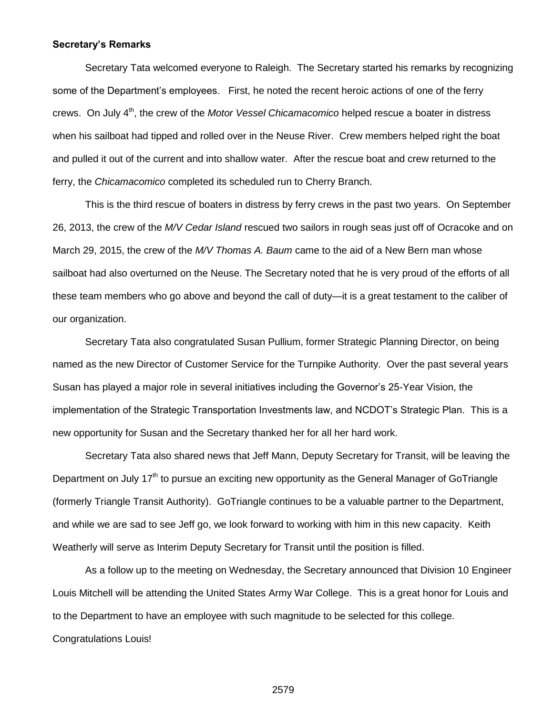#### **Secretary's Remarks**

Secretary Tata welcomed everyone to Raleigh. The Secretary started his remarks by recognizing some of the Department's employees. First, he noted the recent heroic actions of one of the ferry crews. On July 4<sup>th</sup>, the crew of the *Motor Vessel Chicamacomico* helped rescue a boater in distress when his sailboat had tipped and rolled over in the Neuse River. Crew members helped right the boat and pulled it out of the current and into shallow water. After the rescue boat and crew returned to the ferry, the *Chicamacomico* completed its scheduled run to Cherry Branch.

This is the third rescue of boaters in distress by ferry crews in the past two years. On September 26, 2013, the crew of the *M/V Cedar Island* rescued two sailors in rough seas just off of Ocracoke and on March 29, 2015, the crew of the *M/V Thomas A. Baum* came to the aid of a New Bern man whose sailboat had also overturned on the Neuse. The Secretary noted that he is very proud of the efforts of all these team members who go above and beyond the call of duty—it is a great testament to the caliber of our organization.

Secretary Tata also congratulated Susan Pullium, former Strategic Planning Director, on being named as the new Director of Customer Service for the Turnpike Authority. Over the past several years Susan has played a major role in several initiatives including the Governor's 25-Year Vision, the implementation of the Strategic Transportation Investments law, and NCDOT's Strategic Plan. This is a new opportunity for Susan and the Secretary thanked her for all her hard work.

Secretary Tata also shared news that Jeff Mann, Deputy Secretary for Transit, will be leaving the Department on July  $17<sup>th</sup>$  to pursue an exciting new opportunity as the General Manager of GoTriangle (formerly Triangle Transit Authority). GoTriangle continues to be a valuable partner to the Department, and while we are sad to see Jeff go, we look forward to working with him in this new capacity. Keith Weatherly will serve as Interim Deputy Secretary for Transit until the position is filled.

As a follow up to the meeting on Wednesday, the Secretary announced that Division 10 Engineer Louis Mitchell will be attending the United States Army War College. This is a great honor for Louis and to the Department to have an employee with such magnitude to be selected for this college. Congratulations Louis!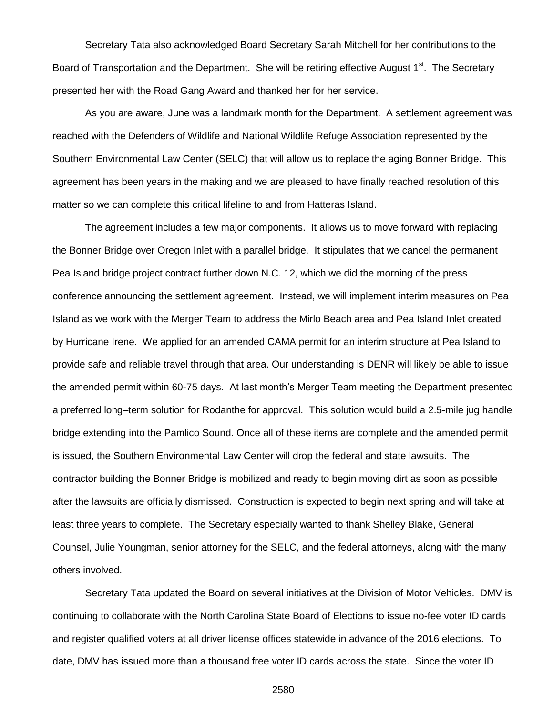Secretary Tata also acknowledged Board Secretary Sarah Mitchell for her contributions to the Board of Transportation and the Department. She will be retiring effective August 1<sup>st</sup>. The Secretary presented her with the Road Gang Award and thanked her for her service.

As you are aware, June was a landmark month for the Department. A settlement agreement was reached with the Defenders of Wildlife and National Wildlife Refuge Association represented by the Southern Environmental Law Center (SELC) that will allow us to replace the aging Bonner Bridge. This agreement has been years in the making and we are pleased to have finally reached resolution of this matter so we can complete this critical lifeline to and from Hatteras Island.

The agreement includes a few major components. It allows us to move forward with replacing the Bonner Bridge over Oregon Inlet with a parallel bridge. It stipulates that we cancel the permanent Pea Island bridge project contract further down N.C. 12, which we did the morning of the press conference announcing the settlement agreement. Instead, we will implement interim measures on Pea Island as we work with the Merger Team to address the Mirlo Beach area and Pea Island Inlet created by Hurricane Irene. We applied for an amended CAMA permit for an interim structure at Pea Island to provide safe and reliable travel through that area. Our understanding is DENR will likely be able to issue the amended permit within 60-75 days. At last month's Merger Team meeting the Department presented a preferred long–term solution for Rodanthe for approval. This solution would build a 2.5-mile jug handle bridge extending into the Pamlico Sound. Once all of these items are complete and the amended permit is issued, the Southern Environmental Law Center will drop the federal and state lawsuits. The contractor building the Bonner Bridge is mobilized and ready to begin moving dirt as soon as possible after the lawsuits are officially dismissed. Construction is expected to begin next spring and will take at least three years to complete. The Secretary especially wanted to thank Shelley Blake, General Counsel, Julie Youngman, senior attorney for the SELC, and the federal attorneys, along with the many others involved.

Secretary Tata updated the Board on several initiatives at the Division of Motor Vehicles. DMV is continuing to collaborate with the North Carolina State Board of Elections to issue no-fee voter ID cards and register qualified voters at all driver license offices statewide in advance of the 2016 elections. To date, DMV has issued more than a thousand free voter ID cards across the state. Since the voter ID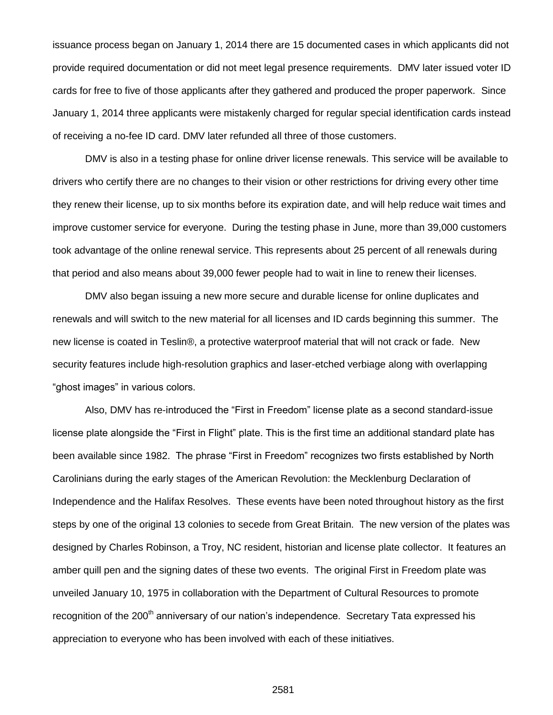issuance process began on January 1, 2014 there are 15 documented cases in which applicants did not provide required documentation or did not meet legal presence requirements. DMV later issued voter ID cards for free to five of those applicants after they gathered and produced the proper paperwork. Since January 1, 2014 three applicants were mistakenly charged for regular special identification cards instead of receiving a no-fee ID card. DMV later refunded all three of those customers.

DMV is also in a testing phase for online driver license renewals. This service will be available to drivers who certify there are no changes to their vision or other restrictions for driving every other time they renew their license, up to six months before its expiration date, and will help reduce wait times and improve customer service for everyone. During the testing phase in June, more than 39,000 customers took advantage of the online renewal service. This represents about 25 percent of all renewals during that period and also means about 39,000 fewer people had to wait in line to renew their licenses.

DMV also began issuing a new more secure and durable license for online duplicates and renewals and will switch to the new material for all licenses and ID cards beginning this summer. The new license is coated in Teslin®, a protective waterproof material that will not crack or fade. New security features include high-resolution graphics and laser-etched verbiage along with overlapping "ghost images" in various colors.

Also, DMV has re-introduced the "First in Freedom" license plate as a second standard-issue license plate alongside the "First in Flight" plate. This is the first time an additional standard plate has been available since 1982. The phrase "First in Freedom" recognizes two firsts established by North Carolinians during the early stages of the American Revolution: the Mecklenburg Declaration of Independence and the Halifax Resolves. These events have been noted throughout history as the first steps by one of the original 13 colonies to secede from Great Britain. The new version of the plates was designed by Charles Robinson, a Troy, NC resident, historian and license plate collector. It features an amber quill pen and the signing dates of these two events. The original First in Freedom plate was unveiled January 10, 1975 in collaboration with the Department of Cultural Resources to promote recognition of the 200<sup>th</sup> anniversary of our nation's independence. Secretary Tata expressed his appreciation to everyone who has been involved with each of these initiatives.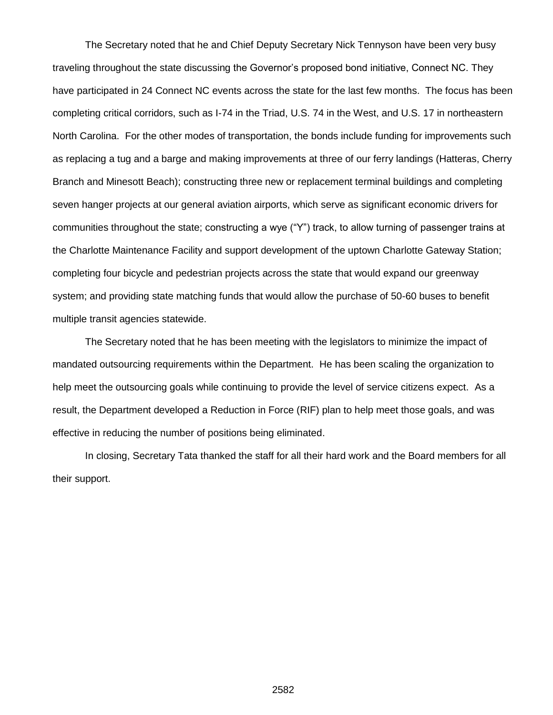The Secretary noted that he and Chief Deputy Secretary Nick Tennyson have been very busy traveling throughout the state discussing the Governor's proposed bond initiative, Connect NC. They have participated in 24 Connect NC events across the state for the last few months. The focus has been completing critical corridors, such as I-74 in the Triad, U.S. 74 in the West, and U.S. 17 in northeastern North Carolina. For the other modes of transportation, the bonds include funding for improvements such as replacing a tug and a barge and making improvements at three of our ferry landings (Hatteras, Cherry Branch and Minesott Beach); constructing three new or replacement terminal buildings and completing seven hanger projects at our general aviation airports, which serve as significant economic drivers for communities throughout the state; constructing a wye ("Y") track, to allow turning of passenger trains at the Charlotte Maintenance Facility and support development of the uptown Charlotte Gateway Station; completing four bicycle and pedestrian projects across the state that would expand our greenway system; and providing state matching funds that would allow the purchase of 50-60 buses to benefit multiple transit agencies statewide.

The Secretary noted that he has been meeting with the legislators to minimize the impact of mandated outsourcing requirements within the Department. He has been scaling the organization to help meet the outsourcing goals while continuing to provide the level of service citizens expect. As a result, the Department developed a Reduction in Force (RIF) plan to help meet those goals, and was effective in reducing the number of positions being eliminated.

In closing, Secretary Tata thanked the staff for all their hard work and the Board members for all their support.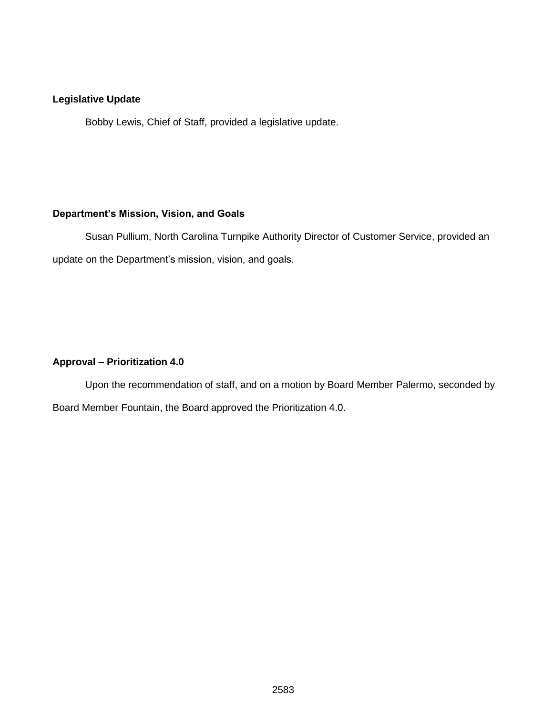## **Legislative Update**

Bobby Lewis, Chief of Staff, provided a legislative update.

#### **Department's Mission, Vision, and Goals**

Susan Pullium, North Carolina Turnpike Authority Director of Customer Service, provided an update on the Department's mission, vision, and goals.

# **Approval – Prioritization 4.0**

Upon the recommendation of staff, and on a motion by Board Member Palermo, seconded by Board Member Fountain, the Board approved the Prioritization 4.0.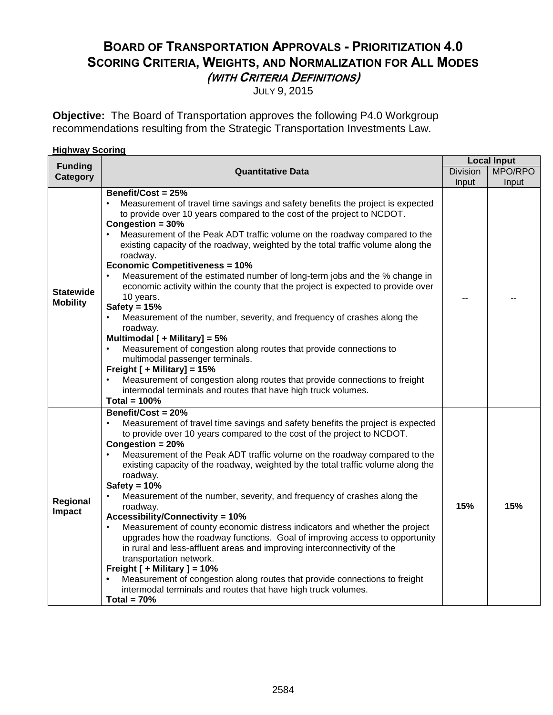# **BOARD OF TRANSPORTATION APPROVALS - PRIORITIZATION 4.0 SCORING CRITERIA, WEIGHTS, AND NORMALIZATION FOR ALL MODES (WITH CRITERIA DEFINITIONS)**

JULY 9, 2015

**Objective:** The Board of Transportation approves the following P4.0 Workgroup recommendations resulting from the Strategic Transportation Investments Law.

| <b>Highway Scoring</b>              |                                                                                                                                                                                                                                                                                                                                                                                                                                                                                                                                                                                                                                                                                                                                                                                                                                                                                                                                                                                                                                                                           |                 |                    |
|-------------------------------------|---------------------------------------------------------------------------------------------------------------------------------------------------------------------------------------------------------------------------------------------------------------------------------------------------------------------------------------------------------------------------------------------------------------------------------------------------------------------------------------------------------------------------------------------------------------------------------------------------------------------------------------------------------------------------------------------------------------------------------------------------------------------------------------------------------------------------------------------------------------------------------------------------------------------------------------------------------------------------------------------------------------------------------------------------------------------------|-----------------|--------------------|
| <b>Funding</b>                      |                                                                                                                                                                                                                                                                                                                                                                                                                                                                                                                                                                                                                                                                                                                                                                                                                                                                                                                                                                                                                                                                           |                 | <b>Local Input</b> |
| <b>Category</b>                     | <b>Quantitative Data</b>                                                                                                                                                                                                                                                                                                                                                                                                                                                                                                                                                                                                                                                                                                                                                                                                                                                                                                                                                                                                                                                  | <b>Division</b> | MPO/RPO            |
|                                     |                                                                                                                                                                                                                                                                                                                                                                                                                                                                                                                                                                                                                                                                                                                                                                                                                                                                                                                                                                                                                                                                           | Input           | Input              |
| <b>Statewide</b><br><b>Mobility</b> | Benefit/Cost = 25%<br>Measurement of travel time savings and safety benefits the project is expected<br>to provide over 10 years compared to the cost of the project to NCDOT.<br>Congestion = $30%$<br>Measurement of the Peak ADT traffic volume on the roadway compared to the<br>existing capacity of the roadway, weighted by the total traffic volume along the<br>roadway.<br><b>Economic Competitiveness = 10%</b><br>Measurement of the estimated number of long-term jobs and the % change in<br>economic activity within the county that the project is expected to provide over<br>10 years.<br>Safety = $15%$<br>Measurement of the number, severity, and frequency of crashes along the<br>$\bullet$<br>roadway.<br>Multimodal [ + Military] = 5%<br>Measurement of congestion along routes that provide connections to<br>multimodal passenger terminals.<br>Freight [ + Military] = 15%<br>Measurement of congestion along routes that provide connections to freight<br>intermodal terminals and routes that have high truck volumes.<br>Total = $100\%$ | --              |                    |
| Regional<br>Impact                  | Benefit/Cost = 20%<br>Measurement of travel time savings and safety benefits the project is expected<br>$\bullet$<br>to provide over 10 years compared to the cost of the project to NCDOT.<br>Congestion = 20%<br>Measurement of the Peak ADT traffic volume on the roadway compared to the<br>existing capacity of the roadway, weighted by the total traffic volume along the<br>roadway.<br>Safety = $10%$<br>Measurement of the number, severity, and frequency of crashes along the<br>roadway.<br><b>Accessibility/Connectivity = 10%</b><br>Measurement of county economic distress indicators and whether the project<br>upgrades how the roadway functions. Goal of improving access to opportunity<br>in rural and less-affluent areas and improving interconnectivity of the<br>transportation network.<br>Freight [ + Military ] = 10%<br>Measurement of congestion along routes that provide connections to freight<br>intermodal terminals and routes that have high truck volumes.<br>Total = $70%$                                                       | 15%             | 15%                |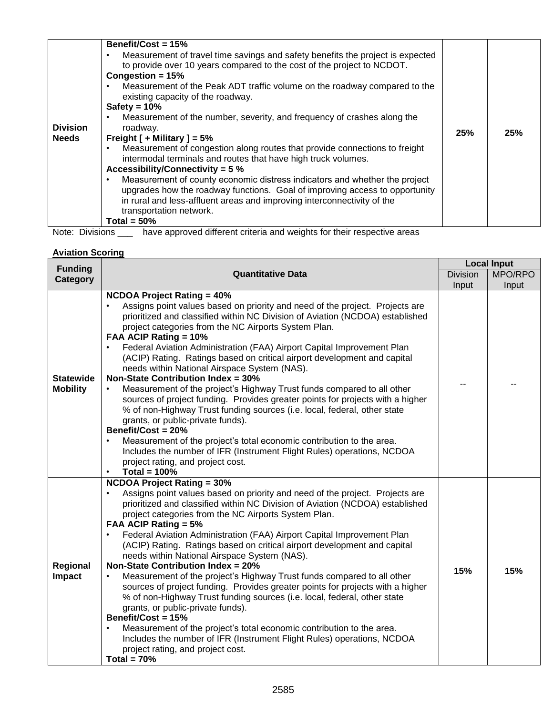| 25% |  |
|-----|--|
|     |  |
|     |  |

Note: Divisions \_\_\_ have approved different criteria and weights for their respective areas

#### **Aviation Scoring**

| <b>Funding</b>                      |                                                                                                                                                                                                                                                                                                                                                                                                                                                                                                                                                                                                                                                                                                                                                                                                                                                                                                                                                                                                                                                                     |                 | <b>Local Input</b> |
|-------------------------------------|---------------------------------------------------------------------------------------------------------------------------------------------------------------------------------------------------------------------------------------------------------------------------------------------------------------------------------------------------------------------------------------------------------------------------------------------------------------------------------------------------------------------------------------------------------------------------------------------------------------------------------------------------------------------------------------------------------------------------------------------------------------------------------------------------------------------------------------------------------------------------------------------------------------------------------------------------------------------------------------------------------------------------------------------------------------------|-----------------|--------------------|
| Category                            | <b>Quantitative Data</b>                                                                                                                                                                                                                                                                                                                                                                                                                                                                                                                                                                                                                                                                                                                                                                                                                                                                                                                                                                                                                                            | <b>Division</b> | MPO/RPO            |
|                                     |                                                                                                                                                                                                                                                                                                                                                                                                                                                                                                                                                                                                                                                                                                                                                                                                                                                                                                                                                                                                                                                                     | Input           | Input              |
| <b>Statewide</b><br><b>Mobility</b> | <b>NCDOA Project Rating = 40%</b><br>Assigns point values based on priority and need of the project. Projects are<br>prioritized and classified within NC Division of Aviation (NCDOA) established<br>project categories from the NC Airports System Plan.<br>FAA ACIP Rating = 10%<br>Federal Aviation Administration (FAA) Airport Capital Improvement Plan<br>$\bullet$<br>(ACIP) Rating. Ratings based on critical airport development and capital<br>needs within National Airspace System (NAS).<br>Non-State Contribution Index = 30%<br>Measurement of the project's Highway Trust funds compared to all other<br>sources of project funding. Provides greater points for projects with a higher<br>% of non-Highway Trust funding sources (i.e. local, federal, other state<br>grants, or public-private funds).<br>Benefit/Cost = 20%<br>Measurement of the project's total economic contribution to the area.<br>Includes the number of IFR (Instrument Flight Rules) operations, NCDOA<br>project rating, and project cost.<br>Total = $100\%$<br>٠     |                 |                    |
| Regional<br>Impact                  | <b>NCDOA Project Rating = 30%</b><br>Assigns point values based on priority and need of the project. Projects are<br>prioritized and classified within NC Division of Aviation (NCDOA) established<br>project categories from the NC Airports System Plan.<br>FAA ACIP Rating = 5%<br>Federal Aviation Administration (FAA) Airport Capital Improvement Plan<br>(ACIP) Rating. Ratings based on critical airport development and capital<br>needs within National Airspace System (NAS).<br><b>Non-State Contribution Index = 20%</b><br>Measurement of the project's Highway Trust funds compared to all other<br>$\bullet$<br>sources of project funding. Provides greater points for projects with a higher<br>% of non-Highway Trust funding sources (i.e. local, federal, other state<br>grants, or public-private funds).<br>Benefit/Cost = 15%<br>Measurement of the project's total economic contribution to the area.<br>٠<br>Includes the number of IFR (Instrument Flight Rules) operations, NCDOA<br>project rating, and project cost.<br>Total = $70%$ | 15%             | 15%                |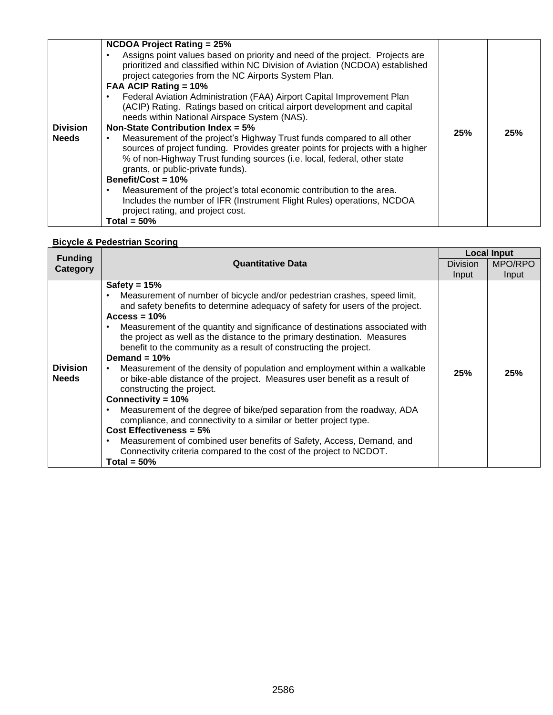| <b>Division</b><br><b>Needs</b> | <b>NCDOA Project Rating = 25%</b><br>Assigns point values based on priority and need of the project. Projects are<br>prioritized and classified within NC Division of Aviation (NCDOA) established<br>project categories from the NC Airports System Plan.<br>FAA ACIP Rating = 10%<br>Federal Aviation Administration (FAA) Airport Capital Improvement Plan<br>٠<br>(ACIP) Rating. Ratings based on critical airport development and capital<br>needs within National Airspace System (NAS).<br>Non-State Contribution Index = $5\%$<br>Measurement of the project's Highway Trust funds compared to all other<br>٠<br>sources of project funding. Provides greater points for projects with a higher<br>% of non-Highway Trust funding sources (i.e. local, federal, other state<br>grants, or public-private funds).<br>Benefit/Cost = 10%<br>Measurement of the project's total economic contribution to the area.<br>Includes the number of IFR (Instrument Flight Rules) operations, NCDOA<br>project rating, and project cost.<br>Total = $50\%$ | 25% | 25% |
|---------------------------------|----------------------------------------------------------------------------------------------------------------------------------------------------------------------------------------------------------------------------------------------------------------------------------------------------------------------------------------------------------------------------------------------------------------------------------------------------------------------------------------------------------------------------------------------------------------------------------------------------------------------------------------------------------------------------------------------------------------------------------------------------------------------------------------------------------------------------------------------------------------------------------------------------------------------------------------------------------------------------------------------------------------------------------------------------------|-----|-----|
|---------------------------------|----------------------------------------------------------------------------------------------------------------------------------------------------------------------------------------------------------------------------------------------------------------------------------------------------------------------------------------------------------------------------------------------------------------------------------------------------------------------------------------------------------------------------------------------------------------------------------------------------------------------------------------------------------------------------------------------------------------------------------------------------------------------------------------------------------------------------------------------------------------------------------------------------------------------------------------------------------------------------------------------------------------------------------------------------------|-----|-----|

# **Bicycle & Pedestrian Scoring**

| <b>Funding</b>                  |                                                                                                                                                                                                                                                                                                                                                                                                                                                                                                                                                                                                                                                                                                                                                                                                                                                                                                                                                                                                                                    | <b>Local Input</b> |         |
|---------------------------------|------------------------------------------------------------------------------------------------------------------------------------------------------------------------------------------------------------------------------------------------------------------------------------------------------------------------------------------------------------------------------------------------------------------------------------------------------------------------------------------------------------------------------------------------------------------------------------------------------------------------------------------------------------------------------------------------------------------------------------------------------------------------------------------------------------------------------------------------------------------------------------------------------------------------------------------------------------------------------------------------------------------------------------|--------------------|---------|
| Category                        | <b>Quantitative Data</b>                                                                                                                                                                                                                                                                                                                                                                                                                                                                                                                                                                                                                                                                                                                                                                                                                                                                                                                                                                                                           | <b>Division</b>    | MPO/RPO |
|                                 |                                                                                                                                                                                                                                                                                                                                                                                                                                                                                                                                                                                                                                                                                                                                                                                                                                                                                                                                                                                                                                    | Input              | Input   |
| <b>Division</b><br><b>Needs</b> | Safety = $15%$<br>Measurement of number of bicycle and/or pedestrian crashes, speed limit,<br>and safety benefits to determine adequacy of safety for users of the project.<br>Access = $10\%$<br>Measurement of the quantity and significance of destinations associated with<br>the project as well as the distance to the primary destination. Measures<br>benefit to the community as a result of constructing the project.<br>Demand $=$ 10%<br>Measurement of the density of population and employment within a walkable<br>٠<br>or bike-able distance of the project. Measures user benefit as a result of<br>constructing the project.<br>Connectivity = $10\%$<br>Measurement of the degree of bike/ped separation from the roadway, ADA<br>compliance, and connectivity to a similar or better project type.<br>Cost Effectiveness = $5\%$<br>Measurement of combined user benefits of Safety, Access, Demand, and<br>$\bullet$<br>Connectivity criteria compared to the cost of the project to NCDOT.<br>Total = $50\%$ | 25%                | 25%     |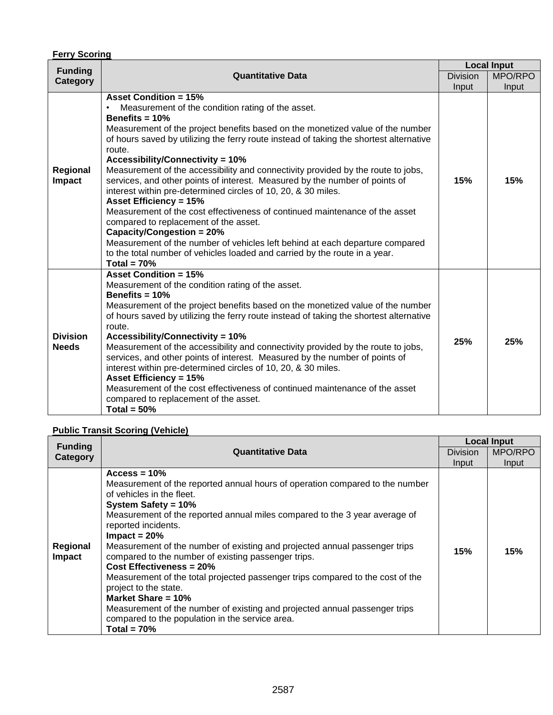# **Ferry Scoring**

| <b>Funding</b>                  |                                                                                                                                                                                                                                                                                                                                                                                                                                                                                                                                                                                                                                                                                                                                                                                                                                                                                                                                                 |                 | <b>Local Input</b> |
|---------------------------------|-------------------------------------------------------------------------------------------------------------------------------------------------------------------------------------------------------------------------------------------------------------------------------------------------------------------------------------------------------------------------------------------------------------------------------------------------------------------------------------------------------------------------------------------------------------------------------------------------------------------------------------------------------------------------------------------------------------------------------------------------------------------------------------------------------------------------------------------------------------------------------------------------------------------------------------------------|-----------------|--------------------|
| Category                        | <b>Quantitative Data</b>                                                                                                                                                                                                                                                                                                                                                                                                                                                                                                                                                                                                                                                                                                                                                                                                                                                                                                                        | <b>Division</b> | MPO/RPO            |
|                                 |                                                                                                                                                                                                                                                                                                                                                                                                                                                                                                                                                                                                                                                                                                                                                                                                                                                                                                                                                 | Input           | Input              |
| Regional<br>Impact              | <b>Asset Condition = 15%</b><br>Measurement of the condition rating of the asset.<br>Benefits $= 10%$<br>Measurement of the project benefits based on the monetized value of the number<br>of hours saved by utilizing the ferry route instead of taking the shortest alternative<br>route.<br><b>Accessibility/Connectivity = 10%</b><br>Measurement of the accessibility and connectivity provided by the route to jobs,<br>services, and other points of interest. Measured by the number of points of<br>interest within pre-determined circles of 10, 20, & 30 miles.<br><b>Asset Efficiency = 15%</b><br>Measurement of the cost effectiveness of continued maintenance of the asset<br>compared to replacement of the asset.<br>Capacity/Congestion = 20%<br>Measurement of the number of vehicles left behind at each departure compared<br>to the total number of vehicles loaded and carried by the route in a year.<br>Total = $70%$ | 15%             | 15%                |
| <b>Division</b><br><b>Needs</b> | <b>Asset Condition = 15%</b><br>Measurement of the condition rating of the asset.<br>Benefits $= 10%$<br>Measurement of the project benefits based on the monetized value of the number<br>of hours saved by utilizing the ferry route instead of taking the shortest alternative<br>route.<br><b>Accessibility/Connectivity = 10%</b><br>Measurement of the accessibility and connectivity provided by the route to jobs,<br>services, and other points of interest. Measured by the number of points of<br>interest within pre-determined circles of 10, 20, & 30 miles.<br><b>Asset Efficiency = 15%</b><br>Measurement of the cost effectiveness of continued maintenance of the asset<br>compared to replacement of the asset.<br>Total = $50\%$                                                                                                                                                                                           | 25%             | 25%                |

# **Public Transit Scoring (Vehicle)**

| <b>Funding</b>     |                                                                                                                                                                                                                                                                                                                                                                                                                                                                                                                                                                                                                                                                                                                                      |                 | <b>Local Input</b> |
|--------------------|--------------------------------------------------------------------------------------------------------------------------------------------------------------------------------------------------------------------------------------------------------------------------------------------------------------------------------------------------------------------------------------------------------------------------------------------------------------------------------------------------------------------------------------------------------------------------------------------------------------------------------------------------------------------------------------------------------------------------------------|-----------------|--------------------|
| Category           | <b>Quantitative Data</b>                                                                                                                                                                                                                                                                                                                                                                                                                                                                                                                                                                                                                                                                                                             | <b>Division</b> | MPO/RPO            |
|                    |                                                                                                                                                                                                                                                                                                                                                                                                                                                                                                                                                                                                                                                                                                                                      | Input           | Input              |
| Regional<br>Impact | $Access = 10%$<br>Measurement of the reported annual hours of operation compared to the number<br>of vehicles in the fleet.<br>System Safety = $10\%$<br>Measurement of the reported annual miles compared to the 3 year average of<br>reported incidents.<br>$Impact = 20%$<br>Measurement of the number of existing and projected annual passenger trips<br>compared to the number of existing passenger trips.<br>Cost Effectiveness = 20%<br>Measurement of the total projected passenger trips compared to the cost of the<br>project to the state.<br>Market Share = $10\%$<br>Measurement of the number of existing and projected annual passenger trips<br>compared to the population in the service area.<br>Total = $70\%$ | 15%             | 15%                |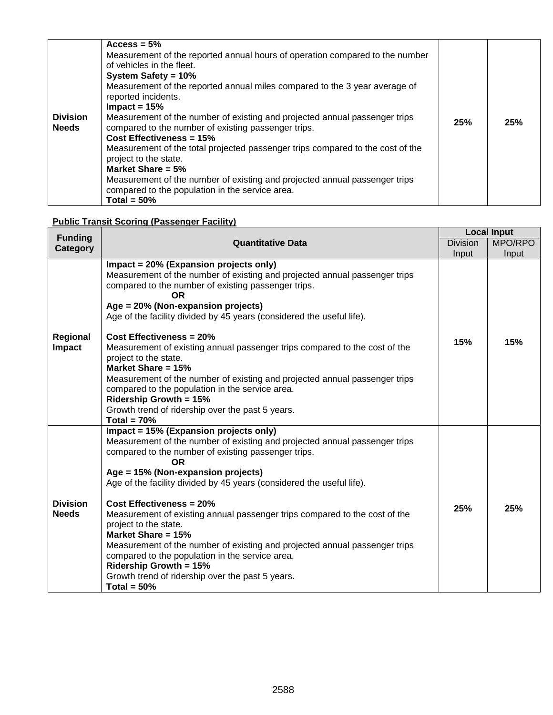| <b>Division</b><br><b>Needs</b> | $Access = 5%$<br>Measurement of the reported annual hours of operation compared to the number<br>of vehicles in the fleet.<br>System Safety = 10%<br>Measurement of the reported annual miles compared to the 3 year average of<br>reported incidents.<br>$Impact = 15%$<br>Measurement of the number of existing and projected annual passenger trips<br>compared to the number of existing passenger trips.<br>Cost Effectiveness = 15%<br>Measurement of the total projected passenger trips compared to the cost of the<br>project to the state.<br>Market Share = $5%$<br>Measurement of the number of existing and projected annual passenger trips<br>compared to the population in the service area.<br>Total = $50\%$ | 25% | 25% |
|---------------------------------|--------------------------------------------------------------------------------------------------------------------------------------------------------------------------------------------------------------------------------------------------------------------------------------------------------------------------------------------------------------------------------------------------------------------------------------------------------------------------------------------------------------------------------------------------------------------------------------------------------------------------------------------------------------------------------------------------------------------------------|-----|-----|
|---------------------------------|--------------------------------------------------------------------------------------------------------------------------------------------------------------------------------------------------------------------------------------------------------------------------------------------------------------------------------------------------------------------------------------------------------------------------------------------------------------------------------------------------------------------------------------------------------------------------------------------------------------------------------------------------------------------------------------------------------------------------------|-----|-----|

# **Public Transit Scoring (Passenger Facility)**

| <b>Funding</b>                  |                                                                                                                                                                                                                                                                                                                                                                                                                                                                                                                                                                                                                                                                                                                 |                 | <b>Local Input</b> |
|---------------------------------|-----------------------------------------------------------------------------------------------------------------------------------------------------------------------------------------------------------------------------------------------------------------------------------------------------------------------------------------------------------------------------------------------------------------------------------------------------------------------------------------------------------------------------------------------------------------------------------------------------------------------------------------------------------------------------------------------------------------|-----------------|--------------------|
| Category                        | <b>Quantitative Data</b>                                                                                                                                                                                                                                                                                                                                                                                                                                                                                                                                                                                                                                                                                        | <b>Division</b> | MPO/RPO            |
|                                 |                                                                                                                                                                                                                                                                                                                                                                                                                                                                                                                                                                                                                                                                                                                 | Input           | Input              |
| Regional<br>Impact              | Impact = 20% (Expansion projects only)<br>Measurement of the number of existing and projected annual passenger trips<br>compared to the number of existing passenger trips.<br><b>OR</b><br>Age = 20% (Non-expansion projects)<br>Age of the facility divided by 45 years (considered the useful life).<br><b>Cost Effectiveness = 20%</b><br>Measurement of existing annual passenger trips compared to the cost of the<br>project to the state.<br>Market Share = 15%<br>Measurement of the number of existing and projected annual passenger trips<br>compared to the population in the service area.<br><b>Ridership Growth = 15%</b><br>Growth trend of ridership over the past 5 years.<br>Total = $70\%$ | 15%             | 15%                |
| <b>Division</b><br><b>Needs</b> | Impact = 15% (Expansion projects only)<br>Measurement of the number of existing and projected annual passenger trips<br>compared to the number of existing passenger trips.<br><b>OR</b><br>Age = 15% (Non-expansion projects)<br>Age of the facility divided by 45 years (considered the useful life).<br><b>Cost Effectiveness = 20%</b><br>Measurement of existing annual passenger trips compared to the cost of the<br>project to the state.<br>Market Share = 15%<br>Measurement of the number of existing and projected annual passenger trips<br>compared to the population in the service area.<br><b>Ridership Growth = 15%</b><br>Growth trend of ridership over the past 5 years.<br>Total = $50\%$ | 25%             | 25%                |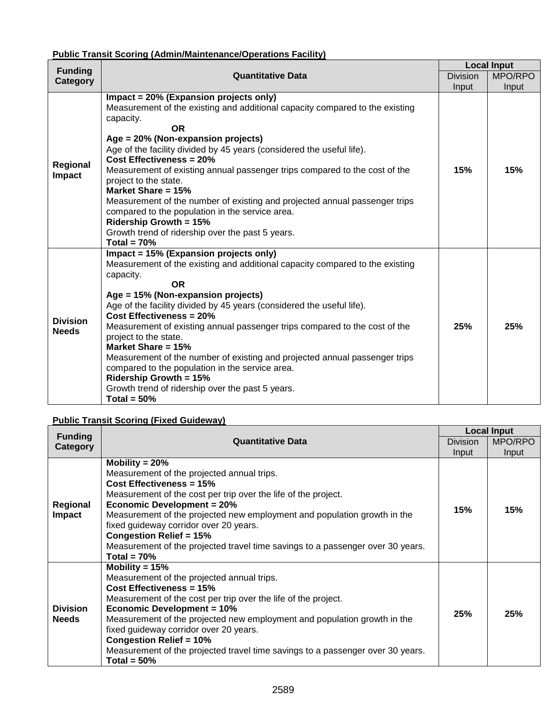# **Public Transit Scoring (Admin/Maintenance/Operations Facility)**

| <b>Funding</b>                  |                                                                                                                                                                                                                                                                                                                                                                                                                                                                                                                                                                                                                                                                         |                 | <b>Local Input</b> |
|---------------------------------|-------------------------------------------------------------------------------------------------------------------------------------------------------------------------------------------------------------------------------------------------------------------------------------------------------------------------------------------------------------------------------------------------------------------------------------------------------------------------------------------------------------------------------------------------------------------------------------------------------------------------------------------------------------------------|-----------------|--------------------|
| Category                        | <b>Quantitative Data</b>                                                                                                                                                                                                                                                                                                                                                                                                                                                                                                                                                                                                                                                | <b>Division</b> | MPO/RPO            |
|                                 |                                                                                                                                                                                                                                                                                                                                                                                                                                                                                                                                                                                                                                                                         | Input           | Input              |
| Regional<br>Impact              | Impact = 20% (Expansion projects only)<br>Measurement of the existing and additional capacity compared to the existing<br>capacity.<br><b>OR</b><br>Age = 20% (Non-expansion projects)<br>Age of the facility divided by 45 years (considered the useful life).<br><b>Cost Effectiveness = 20%</b><br>Measurement of existing annual passenger trips compared to the cost of the<br>project to the state.<br>Market Share = 15%<br>Measurement of the number of existing and projected annual passenger trips<br>compared to the population in the service area.<br><b>Ridership Growth = 15%</b><br>Growth trend of ridership over the past 5 years.<br>Total = $70%$  | 15%             | 15%                |
| <b>Division</b><br><b>Needs</b> | Impact = 15% (Expansion projects only)<br>Measurement of the existing and additional capacity compared to the existing<br>capacity.<br><b>OR</b><br>Age = 15% (Non-expansion projects)<br>Age of the facility divided by 45 years (considered the useful life).<br><b>Cost Effectiveness = 20%</b><br>Measurement of existing annual passenger trips compared to the cost of the<br>project to the state.<br>Market Share = 15%<br>Measurement of the number of existing and projected annual passenger trips<br>compared to the population in the service area.<br><b>Ridership Growth = 15%</b><br>Growth trend of ridership over the past 5 years.<br>Total = $50\%$ | 25%             | 25%                |

# **Public Transit Scoring (Fixed Guideway)**

| <b>Funding</b>                  | <b>Quantitative Data</b>                                                                                                                                                                                                                                                                                                                                                                                                                                        |       | <b>Local Input</b> |  |
|---------------------------------|-----------------------------------------------------------------------------------------------------------------------------------------------------------------------------------------------------------------------------------------------------------------------------------------------------------------------------------------------------------------------------------------------------------------------------------------------------------------|-------|--------------------|--|
| Category                        |                                                                                                                                                                                                                                                                                                                                                                                                                                                                 |       | MPO/RPO            |  |
|                                 |                                                                                                                                                                                                                                                                                                                                                                                                                                                                 | Input | Input              |  |
| Regional<br><b>Impact</b>       | Mobility = $20%$<br>Measurement of the projected annual trips.<br>Cost Effectiveness = 15%<br>Measurement of the cost per trip over the life of the project.<br><b>Economic Development = 20%</b><br>Measurement of the projected new employment and population growth in the<br>fixed guideway corridor over 20 years.<br><b>Congestion Relief = 15%</b><br>Measurement of the projected travel time savings to a passenger over 30 years.<br>Total = $70\%$   | 15%   | 15%                |  |
| <b>Division</b><br><b>Needs</b> | Mobility = $15%$<br>Measurement of the projected annual trips.<br>Cost Effectiveness = $15%$<br>Measurement of the cost per trip over the life of the project.<br><b>Economic Development = 10%</b><br>Measurement of the projected new employment and population growth in the<br>fixed guideway corridor over 20 years.<br><b>Congestion Relief = 10%</b><br>Measurement of the projected travel time savings to a passenger over 30 years.<br>Total = $50\%$ | 25%   | 25%                |  |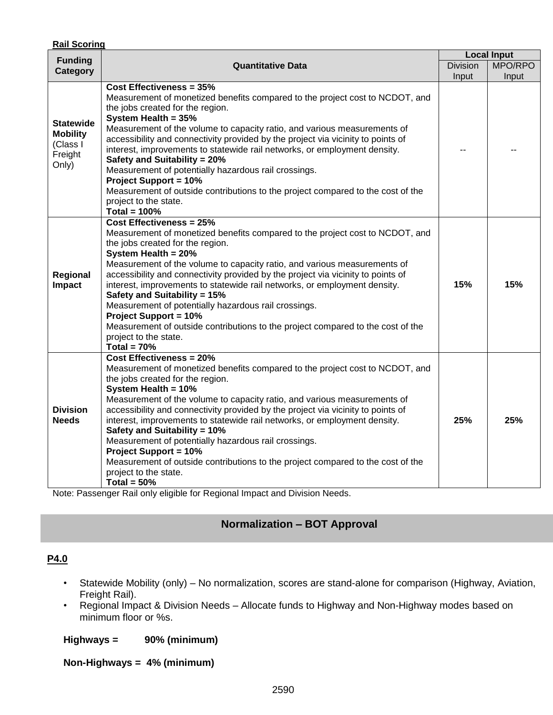| <b>Rail Scoring</b>                                                 |                                                                                                                                                                                                                                                                                                                                                                                                                                                                                                                                                                                                                                                                               |       |                                                  |  |
|---------------------------------------------------------------------|-------------------------------------------------------------------------------------------------------------------------------------------------------------------------------------------------------------------------------------------------------------------------------------------------------------------------------------------------------------------------------------------------------------------------------------------------------------------------------------------------------------------------------------------------------------------------------------------------------------------------------------------------------------------------------|-------|--------------------------------------------------|--|
| <b>Funding</b>                                                      | <b>Quantitative Data</b>                                                                                                                                                                                                                                                                                                                                                                                                                                                                                                                                                                                                                                                      |       | <b>Local Input</b><br>MPO/RPO<br><b>Division</b> |  |
| <b>Category</b>                                                     |                                                                                                                                                                                                                                                                                                                                                                                                                                                                                                                                                                                                                                                                               | Input | Input                                            |  |
| <b>Statewide</b><br><b>Mobility</b><br>(Class I<br>Freight<br>Only) | <b>Cost Effectiveness = 35%</b><br>Measurement of monetized benefits compared to the project cost to NCDOT, and<br>the jobs created for the region.<br>System Health = 35%<br>Measurement of the volume to capacity ratio, and various measurements of<br>accessibility and connectivity provided by the project via vicinity to points of<br>interest, improvements to statewide rail networks, or employment density.<br>Safety and Suitability = 20%<br>Measurement of potentially hazardous rail crossings.<br><b>Project Support = 10%</b><br>Measurement of outside contributions to the project compared to the cost of the<br>project to the state.<br>Total = $100%$ |       |                                                  |  |
| Regional<br><b>Impact</b>                                           | <b>Cost Effectiveness = 25%</b><br>Measurement of monetized benefits compared to the project cost to NCDOT, and<br>the jobs created for the region.<br>System Health = 20%<br>Measurement of the volume to capacity ratio, and various measurements of<br>accessibility and connectivity provided by the project via vicinity to points of<br>interest, improvements to statewide rail networks, or employment density.<br>Safety and Suitability = 15%<br>Measurement of potentially hazardous rail crossings.<br><b>Project Support = 10%</b><br>Measurement of outside contributions to the project compared to the cost of the<br>project to the state.<br>Total = $70%$  | 15%   | 15%                                              |  |
| <b>Division</b><br><b>Needs</b>                                     | <b>Cost Effectiveness = 20%</b><br>Measurement of monetized benefits compared to the project cost to NCDOT, and<br>the jobs created for the region.<br>System Health = 10%<br>Measurement of the volume to capacity ratio, and various measurements of<br>accessibility and connectivity provided by the project via vicinity to points of<br>interest, improvements to statewide rail networks, or employment density.<br>Safety and Suitability = 10%<br>Measurement of potentially hazardous rail crossings.<br><b>Project Support = 10%</b><br>Measurement of outside contributions to the project compared to the cost of the<br>project to the state.<br>Total = $50\%$ | 25%   | 25%                                              |  |

Note: Passenger Rail only eligible for Regional Impact and Division Needs.

# **Normalization – BOT Approval**

# **P4.0**

- Statewide Mobility (only) No normalization, scores are stand-alone for comparison (Highway, Aviation, Freight Rail).
- Regional Impact & Division Needs Allocate funds to Highway and Non-Highway modes based on minimum floor or %s.

# **Highways = 90% (minimum)**

# **Non-Highways = 4% (minimum)**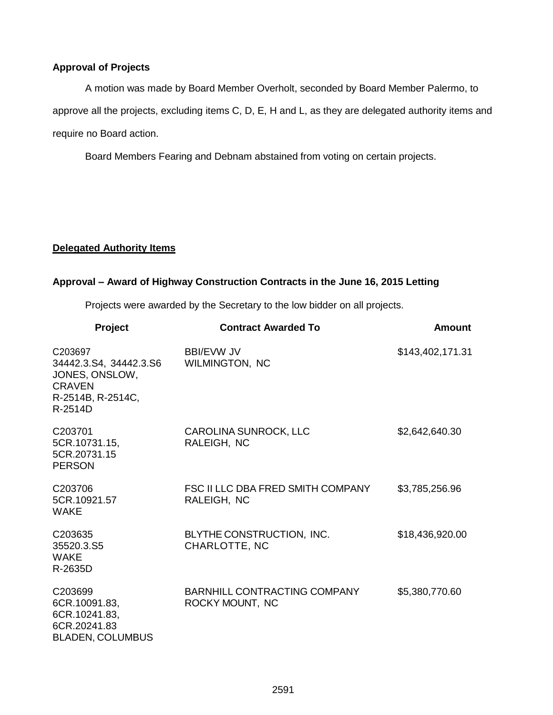#### **Approval of Projects**

A motion was made by Board Member Overholt, seconded by Board Member Palermo, to approve all the projects, excluding items C, D, E, H and L, as they are delegated authority items and require no Board action.

Board Members Fearing and Debnam abstained from voting on certain projects.

#### **Delegated Authority Items**

# **Approval – Award of Highway Construction Contracts in the June 16, 2015 Letting**

Projects were awarded by the Secretary to the low bidder on all projects.

| Project                                                                                                | <b>Contract Awarded To</b>                             | Amount           |
|--------------------------------------------------------------------------------------------------------|--------------------------------------------------------|------------------|
| C203697<br>34442.3.S4, 34442.3.S6<br>JONES, ONSLOW,<br><b>CRAVEN</b><br>R-2514B, R-2514C,<br>$R-2514D$ | <b>BBI/EVW JV</b><br>WILMINGTON, NC                    | \$143,402,171.31 |
| C203701<br>5CR.10731.15,<br>5CR.20731.15<br><b>PERSON</b>                                              | CAROLINA SUNROCK, LLC<br>RALEIGH, NC                   | \$2,642,640.30   |
| C203706<br>5CR.10921.57<br><b>WAKE</b>                                                                 | FSC II LLC DBA FRED SMITH COMPANY<br>RALEIGH, NC       | \$3,785,256.96   |
| C203635<br>35520.3.S5<br><b>WAKE</b><br>R-2635D                                                        | BLYTHE CONSTRUCTION, INC.<br>CHARLOTTE, NC             | \$18,436,920.00  |
| C203699<br>6CR.10091.83,<br>6CR.10241.83,<br>6CR.20241.83<br><b>BLADEN, COLUMBUS</b>                   | <b>BARNHILL CONTRACTING COMPANY</b><br>ROCKY MOUNT, NC | \$5,380,770.60   |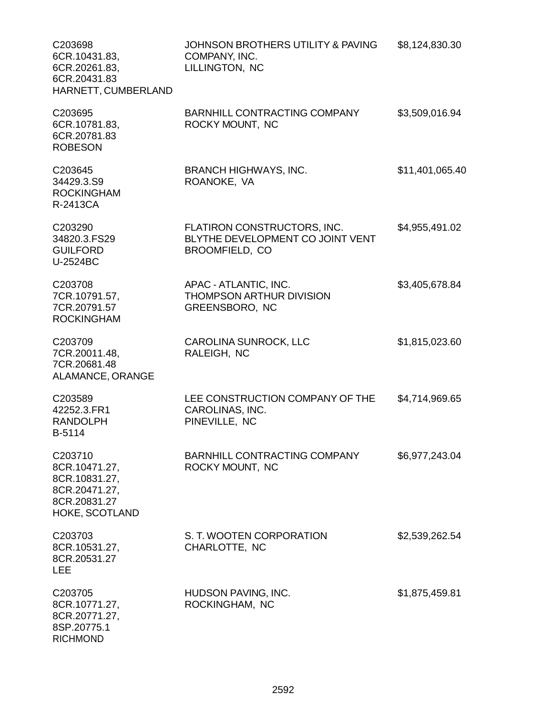| C203698<br>6CR.10431.83,<br>6CR.20261.83,<br>6CR.20431.83<br>HARNETT, CUMBERLAND             | JOHNSON BROTHERS UTILITY & PAVING<br>COMPANY, INC.<br>LILLINGTON, NC              | \$8,124,830.30  |
|----------------------------------------------------------------------------------------------|-----------------------------------------------------------------------------------|-----------------|
| C203695<br>6CR.10781.83,<br>6CR.20781.83<br><b>ROBESON</b>                                   | <b>BARNHILL CONTRACTING COMPANY</b><br>ROCKY MOUNT, NC                            | \$3,509,016.94  |
| C203645<br>34429.3.S9<br><b>ROCKINGHAM</b><br>R-2413CA                                       | <b>BRANCH HIGHWAYS, INC.</b><br>ROANOKE, VA                                       | \$11,401,065.40 |
| C203290<br>34820.3.FS29<br><b>GUILFORD</b><br>U-2524BC                                       | FLATIRON CONSTRUCTORS, INC.<br>BLYTHE DEVELOPMENT CO JOINT VENT<br>BROOMFIELD, CO | \$4,955,491.02  |
| C203708<br>7CR.10791.57,<br>7CR.20791.57<br><b>ROCKINGHAM</b>                                | APAC - ATLANTIC, INC.<br><b>THOMPSON ARTHUR DIVISION</b><br>GREENSBORO, NC        | \$3,405,678.84  |
| C203709<br>7CR.20011.48,<br>7CR.20681.48<br>ALAMANCE, ORANGE                                 | CAROLINA SUNROCK, LLC<br>RALEIGH, NC                                              | \$1,815,023.60  |
| C203589<br>42252.3.FR1<br><b>RANDOLPH</b><br>B-5114                                          | LEE CONSTRUCTION COMPANY OF THE<br>CAROLINAS, INC.<br>PINEVILLE, NC               | \$4,714,969.65  |
| C203710<br>8CR.10471.27,<br>8CR.10831.27,<br>8CR.20471.27,<br>8CR.20831.27<br>HOKE, SCOTLAND | BARNHILL CONTRACTING COMPANY<br>ROCKY MOUNT, NC                                   | \$6,977,243.04  |
| C203703<br>8CR.10531.27,<br>8CR.20531.27<br><b>LEE</b>                                       | S. T. WOOTEN CORPORATION<br>CHARLOTTE, NC                                         | \$2,539,262.54  |
| C203705<br>8CR.10771.27,<br>8CR.20771.27,<br>8SP.20775.1<br><b>RICHMOND</b>                  | HUDSON PAVING, INC.<br>ROCKINGHAM, NC                                             | \$1,875,459.81  |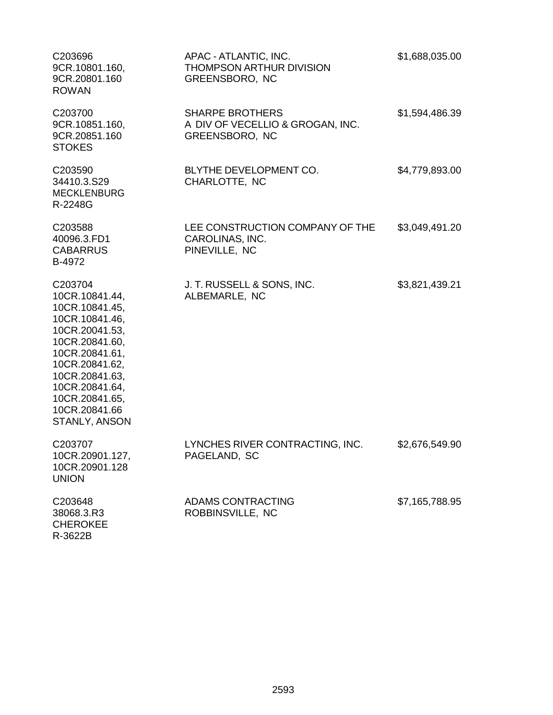| C203696<br>9CR.10801.160,<br>9CR.20801.160<br><b>ROWAN</b>                                                                                                                                                                    | APAC - ATLANTIC, INC.<br>THOMPSON ARTHUR DIVISION<br>GREENSBORO, NC          | \$1,688,035.00 |
|-------------------------------------------------------------------------------------------------------------------------------------------------------------------------------------------------------------------------------|------------------------------------------------------------------------------|----------------|
| C203700<br>9CR.10851.160,<br>9CR.20851.160<br><b>STOKES</b>                                                                                                                                                                   | <b>SHARPE BROTHERS</b><br>A DIV OF VECELLIO & GROGAN, INC.<br>GREENSBORO, NC | \$1,594,486.39 |
| C203590<br>34410.3.S29<br><b>MECKLENBURG</b><br>R-2248G                                                                                                                                                                       | BLYTHE DEVELOPMENT CO.<br>CHARLOTTE, NC                                      | \$4,779,893.00 |
| C203588<br>40096.3.FD1<br><b>CABARRUS</b><br>B-4972                                                                                                                                                                           | LEE CONSTRUCTION COMPANY OF THE<br>CAROLINAS, INC.<br>PINEVILLE, NC          | \$3,049,491.20 |
| C203704<br>10CR.10841.44,<br>10CR.10841.45,<br>10CR.10841.46,<br>10CR.20041.53,<br>10CR.20841.60,<br>10CR.20841.61,<br>10CR.20841.62,<br>10CR.20841.63,<br>10CR.20841.64,<br>10CR.20841.65,<br>10CR.20841.66<br>STANLY, ANSON | J. T. RUSSELL & SONS, INC.<br>ALBEMARLE, NC                                  | \$3,821,439.21 |
| C203707<br>10CR.20901.127,<br>10CR.20901.128<br><b>UNION</b>                                                                                                                                                                  | LYNCHES RIVER CONTRACTING, INC.<br>PAGELAND, SC                              | \$2,676,549.90 |
| C203648<br>38068.3.R3<br><b>CHEROKEE</b><br>R-3622B                                                                                                                                                                           | <b>ADAMS CONTRACTING</b><br>ROBBINSVILLE, NC                                 | \$7,165,788.95 |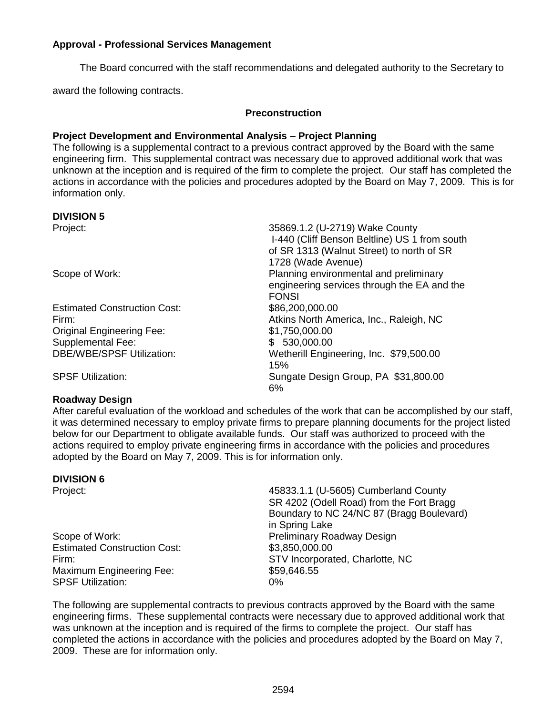#### **Approval - Professional Services Management**

The Board concurred with the staff recommendations and delegated authority to the Secretary to

award the following contracts.

#### **Preconstruction**

#### **Project Development and Environmental Analysis – Project Planning**

The following is a supplemental contract to a previous contract approved by the Board with the same engineering firm. This supplemental contract was necessary due to approved additional work that was unknown at the inception and is required of the firm to complete the project. Our staff has completed the actions in accordance with the policies and procedures adopted by the Board on May 7, 2009. This is for information only.

#### **DIVISION 5**

| Project:                            | 35869.1.2 (U-2719) Wake County<br>I-440 (Cliff Benson Beltline) US 1 from south<br>of SR 1313 (Walnut Street) to north of SR |
|-------------------------------------|------------------------------------------------------------------------------------------------------------------------------|
|                                     | 1728 (Wade Avenue)                                                                                                           |
| Scope of Work:                      | Planning environmental and preliminary                                                                                       |
|                                     | engineering services through the EA and the                                                                                  |
|                                     | <b>FONSI</b>                                                                                                                 |
| <b>Estimated Construction Cost:</b> | \$86,200,000.00                                                                                                              |
| Firm:                               | Atkins North America, Inc., Raleigh, NC                                                                                      |
| <b>Original Engineering Fee:</b>    | \$1,750,000.00                                                                                                               |
| Supplemental Fee:                   | \$ 530,000.00                                                                                                                |
| <b>DBE/WBE/SPSF Utilization:</b>    | Wetherill Engineering, Inc. \$79,500.00                                                                                      |
|                                     | 15%                                                                                                                          |
| <b>SPSF Utilization:</b>            | Sungate Design Group, PA \$31,800.00<br>6%                                                                                   |

#### **Roadway Design**

After careful evaluation of the workload and schedules of the work that can be accomplished by our staff, it was determined necessary to employ private firms to prepare planning documents for the project listed below for our Department to obligate available funds. Our staff was authorized to proceed with the actions required to employ private engineering firms in accordance with the policies and procedures adopted by the Board on May 7, 2009. This is for information only.

#### **DIVISION 6**

Scope of Work: Preliminary Roadway Design Estimated Construction Cost: \$3,850,000.00 Maximum Engineering Fee: \$59,646.55 SPSF Utilization: 0%

Project: 45833.1.1 (U-5605) Cumberland County SR 4202 (Odell Road) from the Fort Bragg Boundary to NC 24/NC 87 (Bragg Boulevard) in Spring Lake Firm: STV Incorporated, Charlotte, NC

The following are supplemental contracts to previous contracts approved by the Board with the same engineering firms. These supplemental contracts were necessary due to approved additional work that was unknown at the inception and is required of the firms to complete the project. Our staff has completed the actions in accordance with the policies and procedures adopted by the Board on May 7, 2009. These are for information only.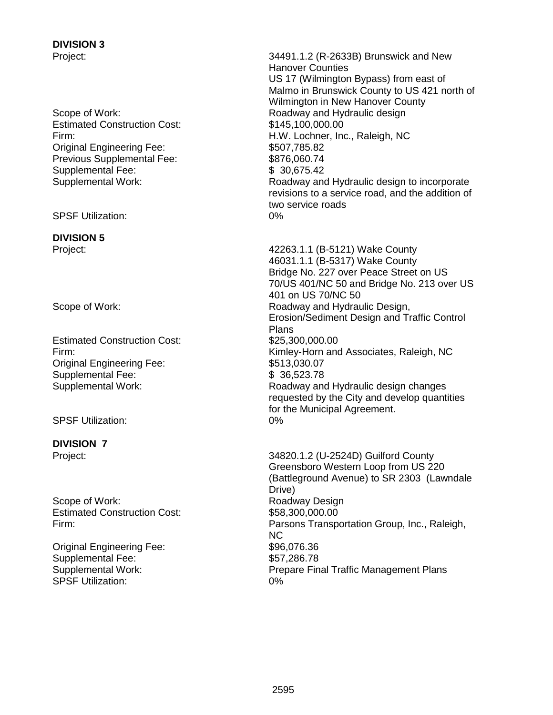# **DIVISION 3**

Estimated Construction Cost: \$145,100,000.00 Original Engineering Fee: \$507,785.82 Previous Supplemental Fee: \$876,060.74 Supplemental Fee: \$ 30,675.42

SPSF Utilization: 0%

# **DIVISION 5**

Estimated Construction Cost: \$25,300,000.00 Original Engineering Fee: \$513,030.07 Supplemental Fee: \$ 36,523.78

SPSF Utilization: 0%

**DIVISION 7**

Scope of Work: Scope of Work: Roadway Design Estimated Construction Cost: \$58,300,000.000

Original Engineering Fee: \$96,076.36 Supplemental Fee: \$57,286.78 SPSF Utilization: 0%

Project: 34491.1.2 (R-2633B) Brunswick and New Hanover Counties US 17 (Wilmington Bypass) from east of Malmo in Brunswick County to US 421 north of Wilmington in New Hanover County Scope of Work: The Contract of Muslim Contract and Audit and Hydraulic design and Hydraulic design Firm: H.W. Lochner, Inc., Raleigh, NC Supplemental Work: Roadway and Hydraulic design to incorporate revisions to a service road, and the addition of two service roads

Project: 42263.1.1 (B-5121) Wake County 46031.1.1 (B-5317) Wake County Bridge No. 227 over Peace Street on US 70/US 401/NC 50 and Bridge No. 213 over US 401 on US 70/NC 50 Scope of Work: The Contract of Muslim Roadway and Hydraulic Design, Erosion/Sediment Design and Traffic Control Plans Firm: Kimley-Horn and Associates, Raleigh, NC Supplemental Work: Supplemental Work: Roadway and Hydraulic design changes requested by the City and develop quantities for the Municipal Agreement.

Project: 34820.1.2 (U-2524D) Guilford County Greensboro Western Loop from US 220 (Battleground Avenue) to SR 2303 (Lawndale Drive) Firm: Parsons Transportation Group, Inc., Raleigh, NC Supplemental Work: Prepare Final Traffic Management Plans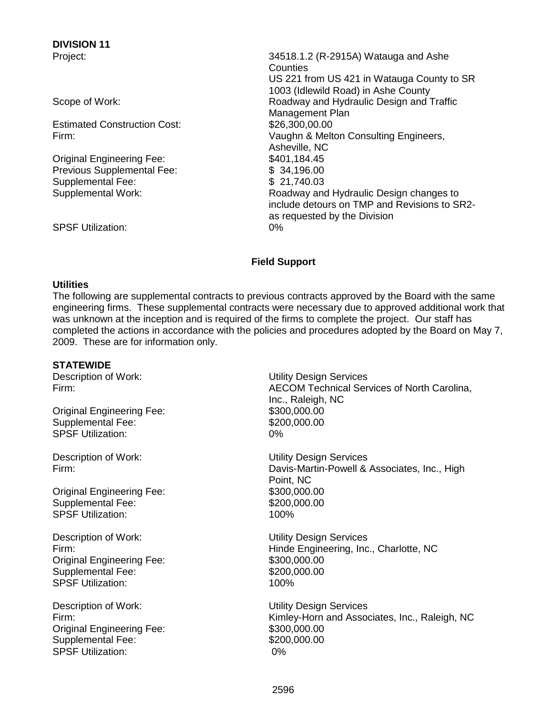**DIVISION 11**

Estimated Construction Cost: \$26,300,00.00

Original Engineering Fee: \$401,184.45 Previous Supplemental Fee: \$ 34,196.00 Supplemental Fee:  $$ 21,740.03$ <br>Supplemental Work: Roadway and

Project: 34518.1.2 (R-2915A) Watauga and Ashe **Counties** US 221 from US 421 in Watauga County to SR 1003 (Idlewild Road) in Ashe County Scope of Work:  $\begin{array}{c} \text{Scope of Work:} \\ \end{array}$  Roadway and Hydraulic Design and Traffic Management Plan Firm: Vaughn & Melton Consulting Engineers, Asheville, NC Roadway and Hydraulic Design changes to include detours on TMP and Revisions to SR2 as requested by the Division

#### SPSF Utilization: 0%

#### **Field Support**

#### **Utilities**

The following are supplemental contracts to previous contracts approved by the Board with the same engineering firms. These supplemental contracts were necessary due to approved additional work that was unknown at the inception and is required of the firms to complete the project. Our staff has completed the actions in accordance with the policies and procedures adopted by the Board on May 7, 2009. These are for information only.

#### **STATEWIDE**

Original Engineering Fee: \$300,000.00 Supplemental Fee: \$200,000.00 SPSF Utilization: 0%

Original Engineering Fee: \$300,000.00 Supplemental Fee: \$200,000.00 SPSF Utilization: 100%

Description of Work: Utility Design Services Original Engineering Fee: \$300,000.00 Supplemental Fee: \$200,000.00 SPSF Utilization: 100%

Description of Work: Utility Design Services Original Engineering Fee: \$300,000.00 Supplemental Fee: \$200,000.000 SPSF Utilization: 0%

Description of Work: Utility Design Services Firm: AECOM Technical Services of North Carolina, Inc., Raleigh, NC

Description of Work: Utility Design Services Firm: Davis-Martin-Powell & Associates, Inc., High Point, NC

Firm: Hinde Engineering, Inc., Charlotte, NC

Firm: Kimley-Horn and Associates, Inc., Raleigh, NC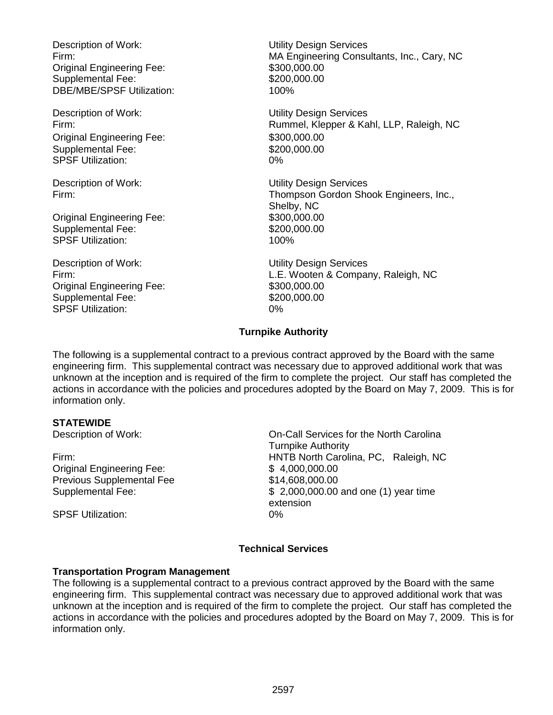Description of Work: Utility Design Services Original Engineering Fee: \$300,000.00 Supplemental Fee: \$200,000.00 DBE/MBE/SPSF Utilization: 100%

Description of Work: Utility Design Services Original Engineering Fee: \$300,000.00<br>Supplemental Fee: \$200,000.00 Supplemental Fee: SPSF Utilization: 0%

Original Engineering Fee: \$300,000.00 Supplemental Fee: \$200,000.00 SPSF Utilization: 100%

Description of Work: Utility Design Services Original Engineering Fee: \$300,000.00 Supplemental Fee: \$200,000.00 SPSF Utilization: 0%

Firm: MA Engineering Consultants, Inc., Cary, NC

Firm: Rummel, Klepper & Kahl, LLP, Raleigh, NC

Description of Work: Utility Design Services Firm: Thompson Gordon Shook Engineers, Inc., Shelby, NC

Firm: L.E. Wooten & Company, Raleigh, NC

# **Turnpike Authority**

The following is a supplemental contract to a previous contract approved by the Board with the same engineering firm. This supplemental contract was necessary due to approved additional work that was unknown at the inception and is required of the firm to complete the project. Our staff has completed the actions in accordance with the policies and procedures adopted by the Board on May 7, 2009. This is for information only.

#### **STATEWIDE**

Original Engineering Fee: \$ 4,000,000.00 Previous Supplemental Fee  $$14,608,000.00$ 

Description of Work: On-Call Services for the North Carolina Turnpike Authority Firm: HNTB North Carolina, PC, Raleigh, NC Supplemental Fee: \$ 2,000,000.00 and one (1) year time extension

SPSF Utilization: 0%

#### **Technical Services**

#### **Transportation Program Management**

The following is a supplemental contract to a previous contract approved by the Board with the same engineering firm. This supplemental contract was necessary due to approved additional work that was unknown at the inception and is required of the firm to complete the project. Our staff has completed the actions in accordance with the policies and procedures adopted by the Board on May 7, 2009. This is for information only.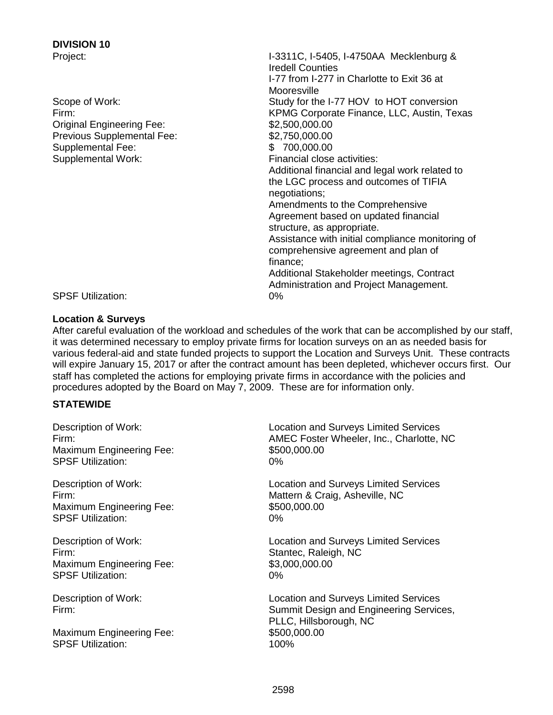# **DIVISION 10**

Original Engineering Fee: \$2,500,000.00 Previous Supplemental Fee: \$2,750,000.00 Supplemental Fee:  $$700,000.00$ Supplemental Work: Financial close activities:

Project: I-3311C, I-5405, I-4750AA Mecklenburg & Iredell Counties I-77 from I-277 in Charlotte to Exit 36 at **Mooresville** Scope of Work: Scope of Work: Study for the I-77 HOV to HOT conversion Firm: KPMG Corporate Finance, LLC, Austin, Texas Additional financial and legal work related to the LGC process and outcomes of TIFIA negotiations; Amendments to the Comprehensive Agreement based on updated financial structure, as appropriate. Assistance with initial compliance monitoring of comprehensive agreement and plan of finance; Additional Stakeholder meetings, Contract Administration and Project Management.

SPSF Utilization: 0%

#### **Location & Surveys**

After careful evaluation of the workload and schedules of the work that can be accomplished by our staff, it was determined necessary to employ private firms for location surveys on an as needed basis for various federal-aid and state funded projects to support the Location and Surveys Unit. These contracts will expire January 15, 2017 or after the contract amount has been depleted, whichever occurs first. Our staff has completed the actions for employing private firms in accordance with the policies and procedures adopted by the Board on May 7, 2009. These are for information only.

#### **STATEWIDE**

| Description of Work:                                      | <b>Location and Surveys Limited Services</b>                                                                                      |
|-----------------------------------------------------------|-----------------------------------------------------------------------------------------------------------------------------------|
| Firm:                                                     | AMEC Foster Wheeler, Inc., Charlotte, NC                                                                                          |
| <b>Maximum Engineering Fee:</b>                           | \$500,000.00                                                                                                                      |
| <b>SPSF Utilization:</b>                                  | $0\%$                                                                                                                             |
| Description of Work:                                      | <b>Location and Surveys Limited Services</b>                                                                                      |
| Firm:                                                     | Mattern & Craig, Asheville, NC                                                                                                    |
| <b>Maximum Engineering Fee:</b>                           | \$500,000.00                                                                                                                      |
| <b>SPSF Utilization:</b>                                  | 0%                                                                                                                                |
| Description of Work:                                      | <b>Location and Surveys Limited Services</b>                                                                                      |
| Firm:                                                     | Stantec, Raleigh, NC                                                                                                              |
| <b>Maximum Engineering Fee:</b>                           | \$3,000,000.00                                                                                                                    |
| <b>SPSF Utilization:</b>                                  | 0%                                                                                                                                |
| Description of Work:<br>Firm:<br>Maximum Engineering Fee: | <b>Location and Surveys Limited Services</b><br>Summit Design and Engineering Services,<br>PLLC, Hillsborough, NC<br>\$500,000.00 |
| <b>SPSF Utilization:</b>                                  | 100%                                                                                                                              |
|                                                           |                                                                                                                                   |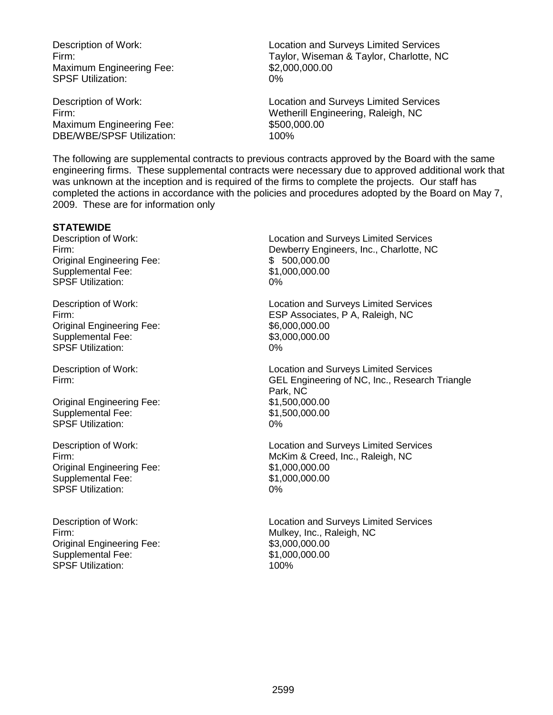Maximum Engineering Fee: \$2,000,000.000 SPSF Utilization: 0%

Maximum Engineering Fee: \$500,000.000 DBE/WBE/SPSF Utilization: 100%

Description of Work: Location and Surveys Limited Services Firm: Taylor, Wiseman & Taylor, Charlotte, NC

Description of Work: Location and Surveys Limited Services Firm: Wetherill Engineering, Raleigh, NC

The following are supplemental contracts to previous contracts approved by the Board with the same engineering firms. These supplemental contracts were necessary due to approved additional work that was unknown at the inception and is required of the firms to complete the projects. Our staff has completed the actions in accordance with the policies and procedures adopted by the Board on May 7, 2009. These are for information only

#### **STATEWIDE**

Original Engineering Fee: \$ 500,000.00 Supplemental Fee: \$1,000,000.00 SPSF Utilization: 0%

Original Engineering Fee: \$6,000,000.00 Supplemental Fee: \$3,000,000.00<br>SPSF Utilization: \$69,000,000.000 0% SPSF Utilization:

Original Engineering Fee: \$1,500,000.00 Supplemental Fee: \$1,500,000.00 SPSF Utilization: 0%

Original Engineering Fee: \$1,000,000.00 Supplemental Fee: \$1,000,000.00 SPSF Utilization: 0%

Original Engineering Fee: \$3,000,000.00 Supplemental Fee: \$1,000,000.00 SPSF Utilization: 100%

Description of Work: Location and Surveys Limited Services Firm: Dewberry Engineers, Inc., Charlotte, NC

Description of Work: Location and Surveys Limited Services Firm: ESP Associates, P A, Raleigh, NC

Description of Work: Location and Surveys Limited Services Firm: GEL Engineering of NC, Inc., Research Triangle Park, NC

Description of Work: Location and Surveys Limited Services Firm: McKim & Creed, Inc., Raleigh, NC

Description of Work: Location and Surveys Limited Services Firm: Mulkey, Inc., Raleigh, NC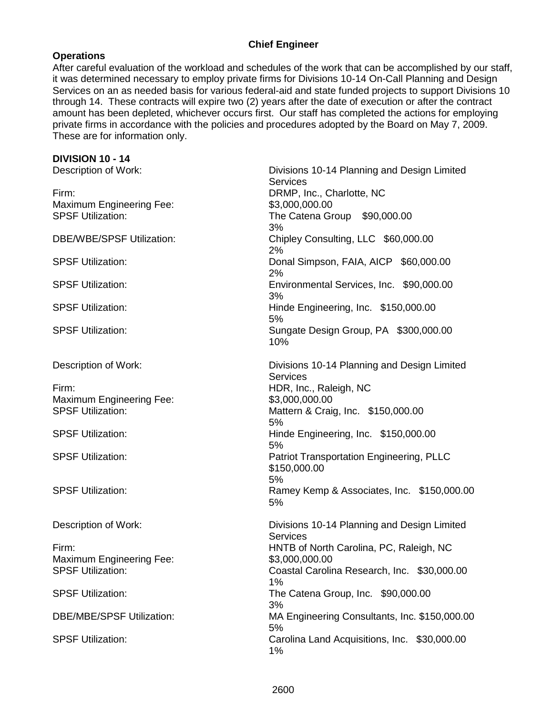## **Chief Engineer**

# **Operations**

After careful evaluation of the workload and schedules of the work that can be accomplished by our staff, it was determined necessary to employ private firms for Divisions 10-14 On-Call Planning and Design Services on an as needed basis for various federal-aid and state funded projects to support Divisions 10 through 14. These contracts will expire two (2) years after the date of execution or after the contract amount has been depleted, whichever occurs first. Our staff has completed the actions for employing private firms in accordance with the policies and procedures adopted by the Board on May 7, 2009. These are for information only.

| <b>DIVISION 10 - 14</b>          |                                                                       |  |  |
|----------------------------------|-----------------------------------------------------------------------|--|--|
| Description of Work:             | Divisions 10-14 Planning and Design Limited                           |  |  |
|                                  | <b>Services</b>                                                       |  |  |
| Firm:                            | DRMP, Inc., Charlotte, NC                                             |  |  |
| <b>Maximum Engineering Fee:</b>  | \$3,000,000.00                                                        |  |  |
| <b>SPSF Utilization:</b>         | The Catena Group \$90,000.00                                          |  |  |
|                                  | 3%                                                                    |  |  |
| <b>DBE/WBE/SPSF Utilization:</b> | Chipley Consulting, LLC \$60,000.00<br>2%                             |  |  |
| <b>SPSF Utilization:</b>         | Donal Simpson, FAIA, AICP \$60,000.00<br>2%                           |  |  |
| <b>SPSF Utilization:</b>         | Environmental Services, Inc. \$90,000.00<br>3%                        |  |  |
| <b>SPSF Utilization:</b>         | Hinde Engineering, Inc. \$150,000.00<br>5%                            |  |  |
| <b>SPSF Utilization:</b>         | Sungate Design Group, PA \$300,000.00<br>10%                          |  |  |
| Description of Work:             | Divisions 10-14 Planning and Design Limited<br><b>Services</b>        |  |  |
| Firm:                            | HDR, Inc., Raleigh, NC                                                |  |  |
| <b>Maximum Engineering Fee:</b>  | \$3,000,000.00                                                        |  |  |
| <b>SPSF Utilization:</b>         | Mattern & Craig, Inc. \$150,000.00                                    |  |  |
|                                  | 5%                                                                    |  |  |
| <b>SPSF Utilization:</b>         | Hinde Engineering, Inc. \$150,000.00<br>5%                            |  |  |
| <b>SPSF Utilization:</b>         | <b>Patriot Transportation Engineering, PLLC</b><br>\$150,000.00<br>5% |  |  |
| <b>SPSF Utilization:</b>         | Ramey Kemp & Associates, Inc. \$150,000.00<br>5%                      |  |  |
| Description of Work:             | Divisions 10-14 Planning and Design Limited<br><b>Services</b>        |  |  |
| Firm:                            | HNTB of North Carolina, PC, Raleigh, NC                               |  |  |
| <b>Maximum Engineering Fee:</b>  | \$3,000,000.00                                                        |  |  |
| <b>SPSF Utilization:</b>         | Coastal Carolina Research, Inc. \$30,000.00                           |  |  |
|                                  | 1%                                                                    |  |  |
| <b>SPSF Utilization:</b>         | The Catena Group, Inc. \$90,000.00                                    |  |  |
|                                  | 3%                                                                    |  |  |
| <b>DBE/MBE/SPSF Utilization:</b> | MA Engineering Consultants, Inc. \$150,000.00<br>5%                   |  |  |
| <b>SPSF Utilization:</b>         | Carolina Land Acquisitions, Inc. \$30,000.00<br>1%                    |  |  |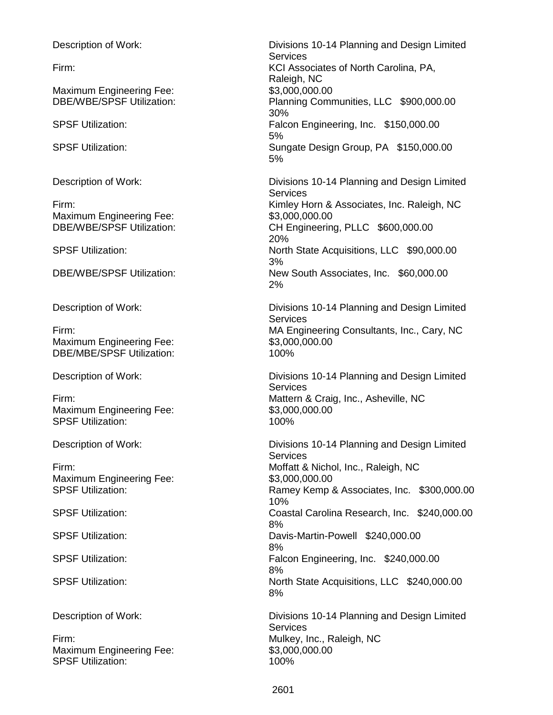Maximum Engineering Fee: \$3,000,000.00

Maximum Engineering Fee: \$3,000,000.000

Maximum Engineering Fee: \$3,000,000.00 DBE/MBE/SPSF Utilization: 100%

Maximum Engineering Fee: \$3,000,000.000 SPSF Utilization: 100%

Maximum Engineering Fee: \$3,000,000.000

Firm: Entertainment of the Mulkey, Inc., Raleigh, NC Maximum Engineering Fee: \$3,000,000.000 SPSF Utilization: 100%

Description of Work: Divisions 10-14 Planning and Design Limited Services Firm: KCI Associates of North Carolina, PA, Raleigh, NC DBE/WBE/SPSF Utilization: Planning Communities, LLC \$900,000.00 30% SPSF Utilization: Falcon Engineering, Inc. \$150,000.00 5% SPSF Utilization: Sungate Design Group, PA \$150,000.00 5% Description of Work: Divisions 10-14 Planning and Design Limited **Services** Firm: Firm: Example 2011 11 2012 12:30 Kimley Horn & Associates, Inc. Raleigh, NC DBE/WBE/SPSF Utilization: CH Engineering, PLLC \$600,000.00 20% SPSF Utilization: North State Acquisitions, LLC \$90,000.00 3% DBE/WBE/SPSF Utilization: New South Associates, Inc. \$60,000.00 2% Description of Work: Divisions 10-14 Planning and Design Limited **Services** Firm: MA Engineering Consultants, Inc., Cary, NC Description of Work: Divisions 10-14 Planning and Design Limited **Services** Firm: Mattern & Craig, Inc., Asheville, NC Description of Work: Divisions 10-14 Planning and Design Limited **Services** Firm: Moffatt & Nichol, Inc., Raleigh, NC SPSF Utilization: Ramey Kemp & Associates, Inc. \$300,000.00 10% SPSF Utilization: Coastal Carolina Research, Inc. \$240,000.00 8% SPSF Utilization: Davis-Martin-Powell \$240,000.00 8% SPSF Utilization: Falcon Engineering, Inc. \$240,000.00 8% SPSF Utilization: North State Acquisitions, LLC \$240,000.00 8% Description of Work: Divisions 10-14 Planning and Design Limited

**Services**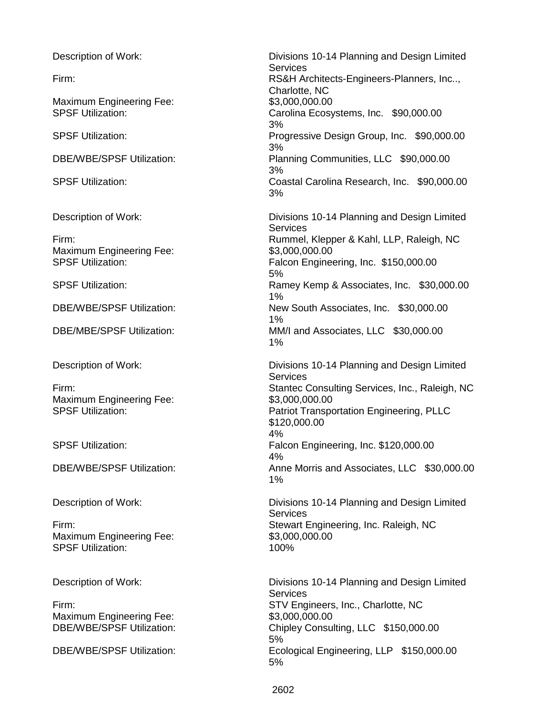Maximum Engineering Fee: \$3,000,000.000

Maximum Engineering Fee: \$3,000,000.000

Maximum Engineering Fee: \$3,000,000.000

Maximum Engineering Fee: \$3,000,000.000 SPSF Utilization: 100%

Maximum Engineering Fee: \$3,000,000.000.00

Description of Work: Divisions 10-14 Planning and Design Limited **Services** Firm: **Firm: RS&H Architects-Engineers-Planners, Inc..,** Charlotte, NC SPSF Utilization: Carolina Ecosystems, Inc. \$90,000.00 3% SPSF Utilization: Progressive Design Group, Inc. \$90,000.00 3% DBE/WBE/SPSF Utilization: Planning Communities, LLC \$90,000.00 3% SPSF Utilization: Coastal Carolina Research, Inc. \$90,000.00 3% Description of Work: Divisions 10-14 Planning and Design Limited **Services** Firm: Rummel, Klepper & Kahl, LLP, Raleigh, NC

SPSF Utilization: The SPSF Utilization: Falcon Engineering, Inc. \$150,000.00 5% SPSF Utilization: Ramey Kemp & Associates, Inc. \$30,000.00 1% DBE/WBE/SPSF Utilization: New South Associates, Inc. \$30,000.00 1%

## DBE/MBE/SPSF Utilization: MM/I and Associates, LLC \$30,000.00 1%

Description of Work: Divisions 10-14 Planning and Design Limited Services Firm: Stantec Consulting Services, Inc., Raleigh, NC SPSF Utilization: **Patriot Transportation Engineering, PLLC** \$120,000.00 4% SPSF Utilization: Falcon Engineering, Inc. \$120,000.00 4% DBE/WBE/SPSF Utilization: Anne Morris and Associates, LLC \$30,000.00 1%

Description of Work: Divisions 10-14 Planning and Design Limited Services Firm: Stewart Engineering, Inc. Raleigh, NC

Description of Work: Divisions 10-14 Planning and Design Limited Services Firm: STV Engineers, Inc., Charlotte, NC DBE/WBE/SPSF Utilization: Chipley Consulting, LLC \$150,000.00 5% DBE/WBE/SPSF Utilization: Ecological Engineering, LLP \$150,000.00 5%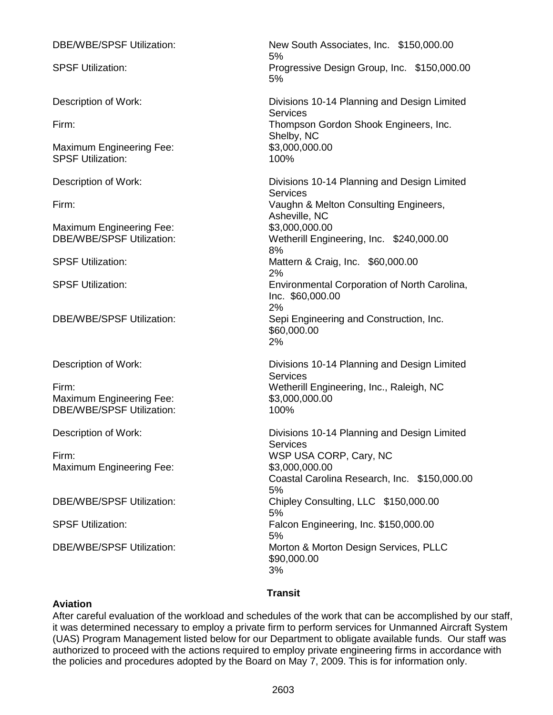| <b>DBE/WBE/SPSF Utilization:</b>                                             | New South Associates, Inc. \$150,000.00<br>5%                                                               |
|------------------------------------------------------------------------------|-------------------------------------------------------------------------------------------------------------|
| <b>SPSF Utilization:</b>                                                     | Progressive Design Group, Inc. \$150,000.00<br>5%                                                           |
| Description of Work:                                                         | Divisions 10-14 Planning and Design Limited                                                                 |
| Firm:                                                                        | <b>Services</b><br>Thompson Gordon Shook Engineers, Inc.                                                    |
| <b>Maximum Engineering Fee:</b><br><b>SPSF Utilization:</b>                  | Shelby, NC<br>\$3,000,000.00<br>100%                                                                        |
| Description of Work:                                                         | Divisions 10-14 Planning and Design Limited<br>Services                                                     |
| Firm:                                                                        | Vaughn & Melton Consulting Engineers,<br>Asheville, NC                                                      |
| <b>Maximum Engineering Fee:</b><br><b>DBE/WBE/SPSF Utilization:</b>          | \$3,000,000.00<br>Wetherill Engineering, Inc. \$240,000.00<br>8%                                            |
| <b>SPSF Utilization:</b>                                                     | Mattern & Craig, Inc. \$60,000.00<br>2%                                                                     |
| <b>SPSF Utilization:</b>                                                     | Environmental Corporation of North Carolina,<br>Inc. \$60,000.00<br>2%                                      |
| DBE/WBE/SPSF Utilization:                                                    | Sepi Engineering and Construction, Inc.<br>\$60,000.00<br>2%                                                |
| Description of Work:                                                         | Divisions 10-14 Planning and Design Limited<br><b>Services</b>                                              |
| Firm:<br><b>Maximum Engineering Fee:</b><br><b>DBE/WBE/SPSF Utilization:</b> | Wetherill Engineering, Inc., Raleigh, NC<br>\$3,000,000.00<br>100%                                          |
| Description of Work:                                                         | Divisions 10-14 Planning and Design Limited                                                                 |
| Firm:<br>Maximum Engineering Fee:                                            | <b>Services</b><br>WSP USA CORP, Cary, NC<br>\$3,000,000.00<br>Coastal Carolina Research, Inc. \$150,000.00 |
| <b>DBE/WBE/SPSF Utilization:</b>                                             | 5%<br>Chipley Consulting, LLC \$150,000.00                                                                  |
| <b>SPSF Utilization:</b>                                                     | 5%<br>Falcon Engineering, Inc. \$150,000.00<br>5%                                                           |
| <b>DBE/WBE/SPSF Utilization:</b>                                             | Morton & Morton Design Services, PLLC<br>\$90,000.00<br>3%                                                  |
|                                                                              | <b>Transit</b>                                                                                              |

#### **Aviation**

After careful evaluation of the workload and schedules of the work that can be accomplished by our staff, it was determined necessary to employ a private firm to perform services for Unmanned Aircraft System (UAS) Program Management listed below for our Department to obligate available funds. Our staff was authorized to proceed with the actions required to employ private engineering firms in accordance with the policies and procedures adopted by the Board on May 7, 2009. This is for information only.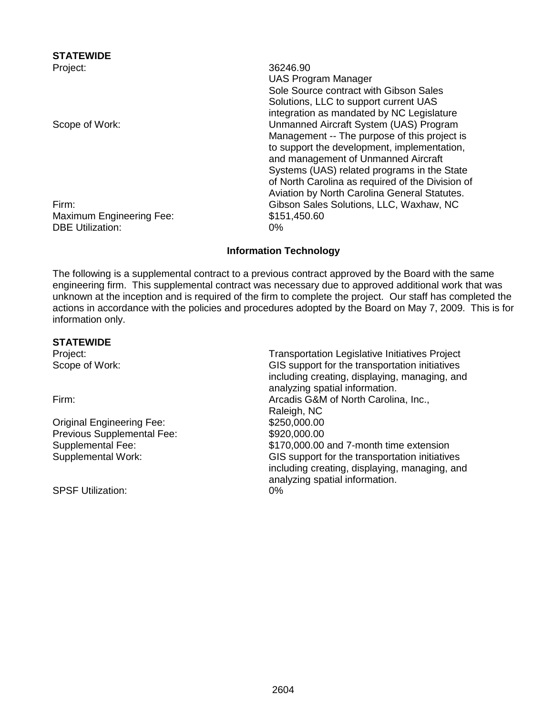**STATEWIDE**

Maximum Engineering Fee: \$151,450.60 DBE Utilization: 0%

Project: 36246.90 UAS Program Manager Sole Source contract with Gibson Sales Solutions, LLC to support current UAS integration as mandated by NC Legislature Scope of Work: Unmanned Aircraft System (UAS) Program Management -- The purpose of this project is to support the development, implementation, and management of Unmanned Aircraft Systems (UAS) related programs in the State of North Carolina as required of the Division of Aviation by North Carolina General Statutes. Firm: Gibson Sales Solutions, LLC, Waxhaw, NC

# **Information Technology**

The following is a supplemental contract to a previous contract approved by the Board with the same engineering firm. This supplemental contract was necessary due to approved additional work that was unknown at the inception and is required of the firm to complete the project. Our staff has completed the actions in accordance with the policies and procedures adopted by the Board on May 7, 2009. This is for information only.

#### **STATEWIDE**

Original Engineering Fee: \$250,000.00 Previous Supplemental Fee: \$920,000.00

SPSF Utilization: 0%

Project: Transportation Legislative Initiatives Project Scope of Work: GIS support for the transportation initiatives including creating, displaying, managing, and analyzing spatial information. Firm: Arcadis G&M of North Carolina, Inc., Raleigh, NC Supplemental Fee: \$170,000.00 and 7-month time extension Supplemental Work: GIS support for the transportation initiatives including creating, displaying, managing, and analyzing spatial information.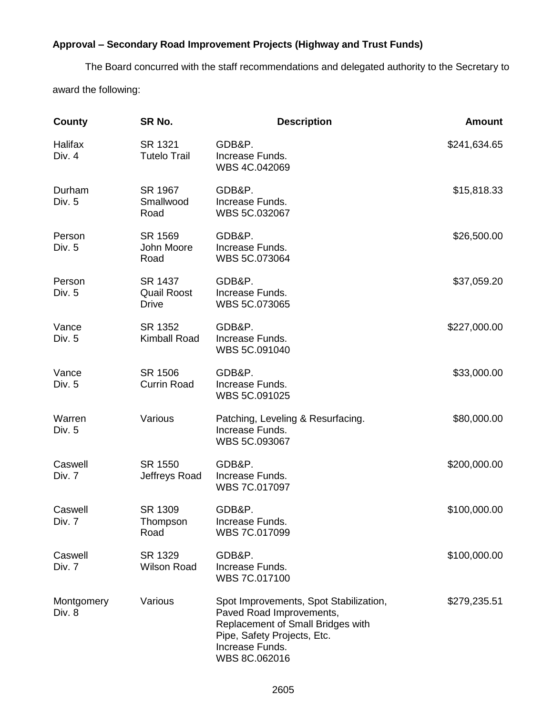# **Approval – Secondary Road Improvement Projects (Highway and Trust Funds)**

The Board concurred with the staff recommendations and delegated authority to the Secretary to award the following:

| County               | SR No.                                        | <b>Description</b>                                                                                                                                                         | <b>Amount</b> |
|----------------------|-----------------------------------------------|----------------------------------------------------------------------------------------------------------------------------------------------------------------------------|---------------|
| Halifax<br>Div. 4    | SR 1321<br><b>Tutelo Trail</b>                | GDB&P.<br>Increase Funds.<br>WBS 4C.042069                                                                                                                                 | \$241,634.65  |
| Durham<br>Div. 5     | SR 1967<br>Smallwood<br>Road                  | GDB&P.<br>Increase Funds.<br>WBS 5C.032067                                                                                                                                 | \$15,818.33   |
| Person<br>Div. 5     | SR 1569<br>John Moore<br>Road                 | GDB&P.<br>Increase Funds.<br>WBS 5C.073064                                                                                                                                 | \$26,500.00   |
| Person<br>Div. 5     | SR 1437<br><b>Quail Roost</b><br><b>Drive</b> | GDB&P.<br>Increase Funds.<br>WBS 5C.073065                                                                                                                                 | \$37,059.20   |
| Vance<br>Div. 5      | SR 1352<br><b>Kimball Road</b>                | GDB&P.<br>Increase Funds.<br>WBS 5C.091040                                                                                                                                 | \$227,000.00  |
| Vance<br>Div. 5      | SR 1506<br><b>Currin Road</b>                 | GDB&P.<br>Increase Funds.<br>WBS 5C.091025                                                                                                                                 | \$33,000.00   |
| Warren<br>Div. 5     | Various                                       | Patching, Leveling & Resurfacing.<br>Increase Funds.<br>WBS 5C.093067                                                                                                      | \$80,000.00   |
| Caswell<br>Div. 7    | SR 1550<br>Jeffreys Road                      | GDB&P.<br>Increase Funds.<br>WBS 7C.017097                                                                                                                                 | \$200,000.00  |
| Caswell<br>Div. 7    | SR 1309<br>Thompson<br>Road                   | GDB&P.<br>Increase Funds.<br>WBS 7C.017099                                                                                                                                 | \$100,000.00  |
| Caswell<br>Div. 7    | SR 1329<br><b>Wilson Road</b>                 | GDB&P.<br>Increase Funds.<br>WBS 7C.017100                                                                                                                                 | \$100,000.00  |
| Montgomery<br>Div. 8 | Various                                       | Spot Improvements, Spot Stabilization,<br>Paved Road Improvements,<br>Replacement of Small Bridges with<br>Pipe, Safety Projects, Etc.<br>Increase Funds.<br>WBS 8C.062016 | \$279,235.51  |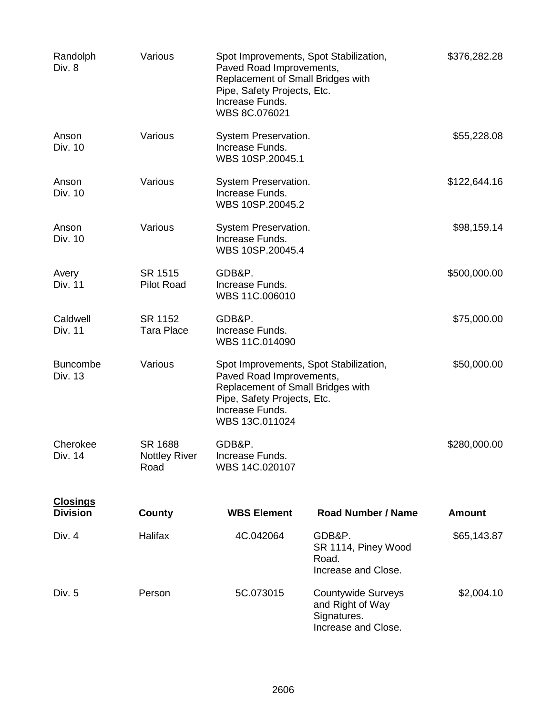| Randolph<br>Div. 8                 | Various                                 | Spot Improvements, Spot Stabilization,<br>Paved Road Improvements,<br>Replacement of Small Bridges with<br>Pipe, Safety Projects, Etc.<br>Increase Funds.<br>WBS 8C.076021  |                                                                                     | \$376,282.28  |
|------------------------------------|-----------------------------------------|-----------------------------------------------------------------------------------------------------------------------------------------------------------------------------|-------------------------------------------------------------------------------------|---------------|
| Anson<br>Div. 10                   | Various                                 | System Preservation.<br>Increase Funds.<br>WBS 10SP.20045.1                                                                                                                 |                                                                                     | \$55,228.08   |
| Anson<br>Div. 10                   | Various                                 | System Preservation.<br>Increase Funds.<br>WBS 10SP.20045.2                                                                                                                 |                                                                                     | \$122,644.16  |
| Anson<br>Div. 10                   | Various                                 | System Preservation.<br>Increase Funds.<br>WBS 10SP.20045.4                                                                                                                 |                                                                                     | \$98,159.14   |
| Avery<br>Div. 11                   | SR 1515<br><b>Pilot Road</b>            | GDB&P.<br>Increase Funds.<br>WBS 11C.006010                                                                                                                                 |                                                                                     | \$500,000.00  |
| Caldwell<br><b>Div. 11</b>         | SR 1152<br><b>Tara Place</b>            | GDB&P.<br>Increase Funds.<br>WBS 11C.014090                                                                                                                                 |                                                                                     | \$75,000.00   |
| <b>Buncombe</b><br>Div. 13         | Various                                 | Spot Improvements, Spot Stabilization,<br>Paved Road Improvements,<br>Replacement of Small Bridges with<br>Pipe, Safety Projects, Etc.<br>Increase Funds.<br>WBS 13C.011024 |                                                                                     | \$50,000.00   |
| Cherokee<br>Div. 14                | SR 1688<br><b>Nottley River</b><br>Road | GDB&P.<br>Increase Funds.<br>WBS 14C.020107                                                                                                                                 |                                                                                     | \$280,000.00  |
| <b>Closings</b><br><b>Division</b> | County                                  | <b>WBS Element</b>                                                                                                                                                          | <b>Road Number / Name</b>                                                           | <b>Amount</b> |
| Div. 4                             | Halifax                                 | 4C.042064                                                                                                                                                                   | GDB&P.<br>SR 1114, Piney Wood<br>Road.<br>Increase and Close.                       | \$65,143.87   |
| Div. 5                             | Person                                  | 5C.073015                                                                                                                                                                   | <b>Countywide Surveys</b><br>and Right of Way<br>Signatures.<br>Increase and Close. | \$2,004.10    |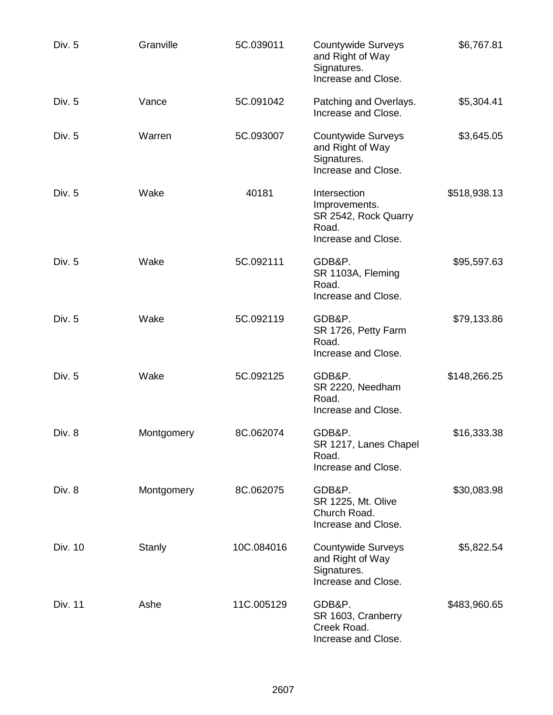| Div. 5  | Granville     | 5C.039011  | <b>Countywide Surveys</b><br>and Right of Way<br>Signatures.<br>Increase and Close.   | \$6,767.81   |
|---------|---------------|------------|---------------------------------------------------------------------------------------|--------------|
| Div. 5  | Vance         | 5C.091042  | Patching and Overlays.<br>Increase and Close.                                         | \$5,304.41   |
| Div. 5  | Warren        | 5C.093007  | <b>Countywide Surveys</b><br>and Right of Way<br>Signatures.<br>Increase and Close.   | \$3,645.05   |
| Div. 5  | Wake          | 40181      | Intersection<br>Improvements.<br>SR 2542, Rock Quarry<br>Road.<br>Increase and Close. | \$518,938.13 |
| Div. 5  | Wake          | 5C.092111  | GDB&P.<br>SR 1103A, Fleming<br>Road.<br>Increase and Close.                           | \$95,597.63  |
| Div. 5  | Wake          | 5C.092119  | GDB&P.<br>SR 1726, Petty Farm<br>Road.<br>Increase and Close.                         | \$79,133.86  |
| Div. 5  | Wake          | 5C.092125  | GDB&P.<br>SR 2220, Needham<br>Road.<br>Increase and Close.                            | \$148,266.25 |
| Div. 8  | Montgomery    | 8C.062074  | GDB&P.<br>SR 1217, Lanes Chapel<br>Road.<br>Increase and Close.                       | \$16,333.38  |
| Div. 8  | Montgomery    | 8C.062075  | GDB&P.<br>SR 1225, Mt. Olive<br>Church Road.<br>Increase and Close.                   | \$30,083.98  |
| Div. 10 | <b>Stanly</b> | 10C.084016 | <b>Countywide Surveys</b><br>and Right of Way<br>Signatures.<br>Increase and Close.   | \$5,822.54   |
| Div. 11 | Ashe          | 11C.005129 | GDB&P.<br>SR 1603, Cranberry<br>Creek Road.<br>Increase and Close.                    | \$483,960.65 |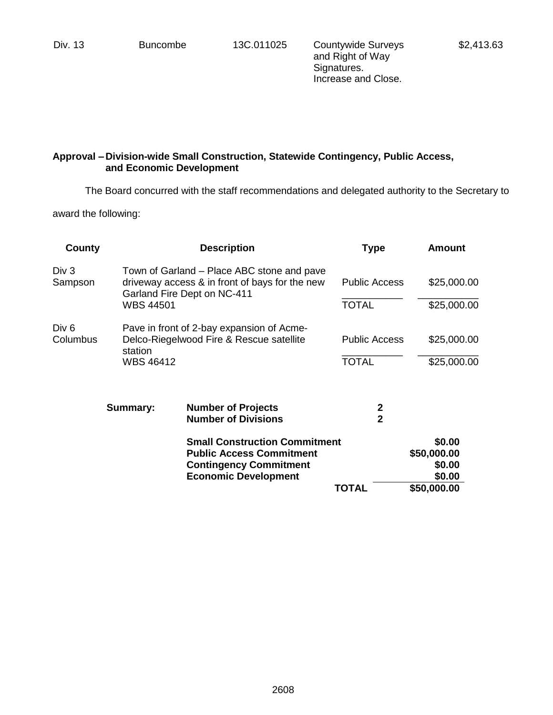Div. 13 Buncombe 13C.011025 Countywide Surveys and Right of Way Signatures. Increase and Close.

# **Approval – Division-wide Small Construction, Statewide Contingency, Public Access, and Economic Development**

The Board concurred with the staff recommendations and delegated authority to the Secretary to

award the following:

| County            |                  | <b>Description</b>                                                                                                          | <b>Type</b>                   | <b>Amount</b>         |  |
|-------------------|------------------|-----------------------------------------------------------------------------------------------------------------------------|-------------------------------|-----------------------|--|
| Div 3<br>Sampson  |                  | Town of Garland – Place ABC stone and pave<br>driveway access & in front of bays for the new<br>Garland Fire Dept on NC-411 | <b>Public Access</b>          | \$25,000.00           |  |
|                   | <b>WBS 44501</b> |                                                                                                                             | <b>TOTAL</b>                  | \$25,000.00           |  |
| Div 6<br>Columbus | station          | Pave in front of 2-bay expansion of Acme-<br>Delco-Riegelwood Fire & Rescue satellite                                       | <b>Public Access</b>          | \$25,000.00           |  |
|                   | <b>WBS 46412</b> |                                                                                                                             | <b>TOTAL</b>                  | \$25,000.00           |  |
|                   | <b>Summary:</b>  | <b>Number of Projects</b><br><b>Number of Divisions</b>                                                                     | $\mathbf 2$<br>$\overline{2}$ |                       |  |
|                   |                  | <b>Small Construction Commitment</b><br><b>Public Access Commitment</b>                                                     |                               | \$0.00<br>\$50,000.00 |  |
|                   |                  | <b>Contingency Commitment</b><br><b>Economic Development</b>                                                                |                               | \$0.00<br>\$0.00      |  |
|                   |                  |                                                                                                                             | TOTAL                         | \$50,000.00           |  |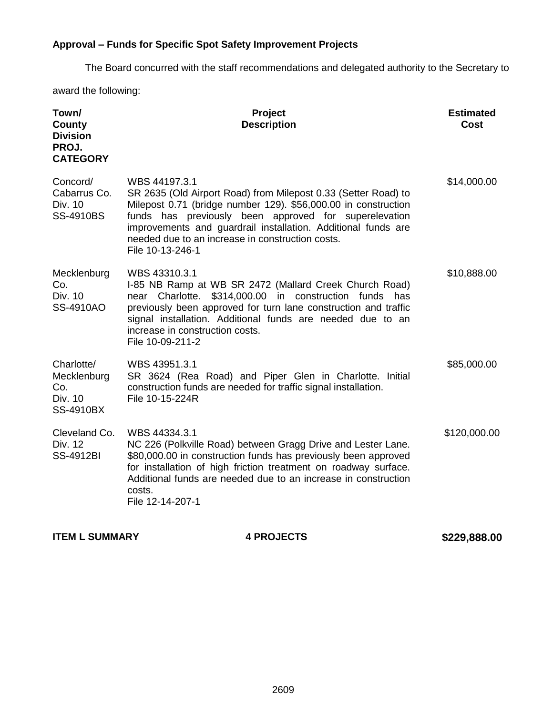# **Approval – Funds for Specific Spot Safety Improvement Projects**

The Board concurred with the staff recommendations and delegated authority to the Secretary to

award the following:

| Town/<br>County<br><b>Division</b><br>PROJ.<br><b>CATEGORY</b>  | Project<br><b>Description</b>                                                                                                                                                                                                                                                                                                                       | <b>Estimated</b><br>Cost |
|-----------------------------------------------------------------|-----------------------------------------------------------------------------------------------------------------------------------------------------------------------------------------------------------------------------------------------------------------------------------------------------------------------------------------------------|--------------------------|
| Concord/<br>Cabarrus Co.<br>Div. 10<br><b>SS-4910BS</b>         | WBS 44197.3.1<br>SR 2635 (Old Airport Road) from Milepost 0.33 (Setter Road) to<br>Milepost 0.71 (bridge number 129). \$56,000.00 in construction<br>funds has previously been approved for superelevation<br>improvements and guardrail installation. Additional funds are<br>needed due to an increase in construction costs.<br>File 10-13-246-1 | \$14,000.00              |
| Mecklenburg<br>Co.<br>Div. 10<br>SS-4910AO                      | WBS 43310.3.1<br>I-85 NB Ramp at WB SR 2472 (Mallard Creek Church Road)<br>Charlotte.<br>\$314,000.00 in construction funds<br>has<br>near<br>previously been approved for turn lane construction and traffic<br>signal installation. Additional funds are needed due to an<br>increase in construction costs.<br>File 10-09-211-2                  | \$10,888.00              |
| Charlotte/<br>Mecklenburg<br>Co.<br>Div. 10<br><b>SS-4910BX</b> | WBS 43951.3.1<br>SR 3624 (Rea Road) and Piper Glen in Charlotte. Initial<br>construction funds are needed for traffic signal installation.<br>File 10-15-224R                                                                                                                                                                                       | \$85,000.00              |
| Cleveland Co.<br>Div. 12<br><b>SS-4912BI</b>                    | WBS 44334.3.1<br>NC 226 (Polkville Road) between Gragg Drive and Lester Lane.<br>\$80,000.00 in construction funds has previously been approved<br>for installation of high friction treatment on roadway surface.<br>Additional funds are needed due to an increase in construction<br>costs.<br>File 12-14-207-1                                  | \$120,000.00             |

**ITEM L SUMMARY 4 PROJECTS** 4 **4 PROJECTS** \$229,888.00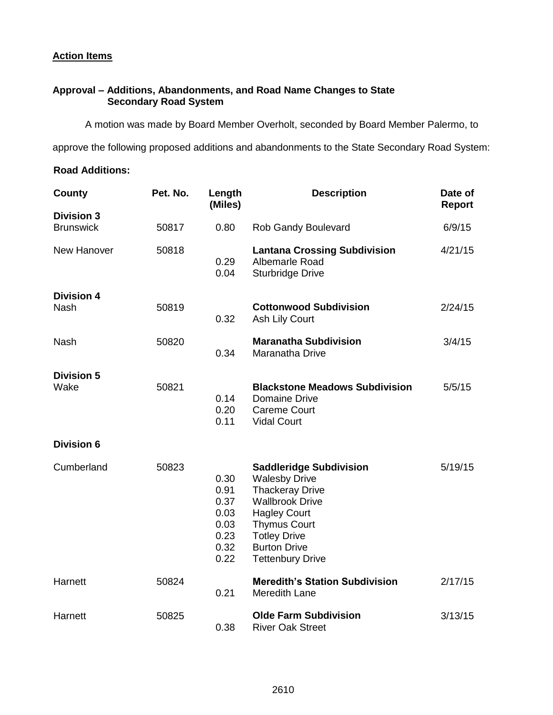#### **Action Items**

#### **Approval – Additions, Abandonments, and Road Name Changes to State Secondary Road System**

A motion was made by Board Member Overholt, seconded by Board Member Palermo, to

approve the following proposed additions and abandonments to the State Secondary Road System:

#### **Road Additions:**

| County                                | Pet. No. | Length<br>(Miles)                                            | <b>Description</b>                                                                                                                                                                                                                | Date of<br><b>Report</b> |
|---------------------------------------|----------|--------------------------------------------------------------|-----------------------------------------------------------------------------------------------------------------------------------------------------------------------------------------------------------------------------------|--------------------------|
| <b>Division 3</b><br><b>Brunswick</b> | 50817    | 0.80                                                         | Rob Gandy Boulevard                                                                                                                                                                                                               | 6/9/15                   |
| New Hanover                           | 50818    | 0.29<br>0.04                                                 | <b>Lantana Crossing Subdivision</b><br>Albemarle Road<br><b>Sturbridge Drive</b>                                                                                                                                                  | 4/21/15                  |
| <b>Division 4</b><br>Nash             | 50819    | 0.32                                                         | <b>Cottonwood Subdivision</b><br>Ash Lily Court                                                                                                                                                                                   | 2/24/15                  |
| <b>Nash</b>                           | 50820    | 0.34                                                         | <b>Maranatha Subdivision</b><br>Maranatha Drive                                                                                                                                                                                   | 3/4/15                   |
| <b>Division 5</b><br>Wake             | 50821    | 0.14<br>0.20<br>0.11                                         | <b>Blackstone Meadows Subdivision</b><br>Domaine Drive<br><b>Careme Court</b><br><b>Vidal Court</b>                                                                                                                               | 5/5/15                   |
| <b>Division 6</b>                     |          |                                                              |                                                                                                                                                                                                                                   |                          |
| Cumberland                            | 50823    | 0.30<br>0.91<br>0.37<br>0.03<br>0.03<br>0.23<br>0.32<br>0.22 | <b>Saddleridge Subdivision</b><br><b>Walesby Drive</b><br><b>Thackeray Drive</b><br><b>Wallbrook Drive</b><br><b>Hagley Court</b><br><b>Thymus Court</b><br><b>Totley Drive</b><br><b>Burton Drive</b><br><b>Tettenbury Drive</b> | 5/19/15                  |
| Harnett                               | 50824    | 0.21                                                         | <b>Meredith's Station Subdivision</b><br>Meredith Lane                                                                                                                                                                            | 2/17/15                  |
| Harnett                               | 50825    | 0.38                                                         | <b>Olde Farm Subdivision</b><br><b>River Oak Street</b>                                                                                                                                                                           | 3/13/15                  |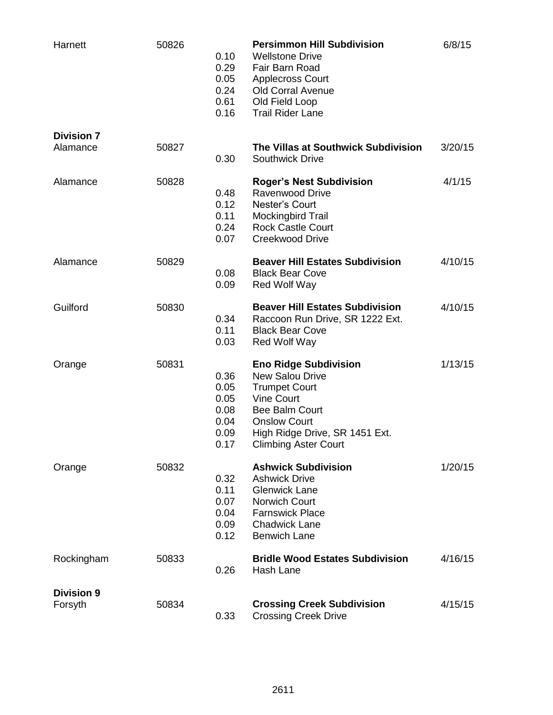| Harnett                       | 50826 | 0.10<br>0.29<br>0.05<br>0.24<br>0.61<br>0.16         | <b>Persimmon Hill Subdivision</b><br><b>Wellstone Drive</b><br>Fair Barn Road<br><b>Applecross Court</b><br><b>Old Corral Avenue</b><br>Old Field Loop<br><b>Trail Rider Lane</b>                      | 6/8/15  |
|-------------------------------|-------|------------------------------------------------------|--------------------------------------------------------------------------------------------------------------------------------------------------------------------------------------------------------|---------|
| <b>Division 7</b><br>Alamance | 50827 | 0.30                                                 | The Villas at Southwick Subdivision<br><b>Southwick Drive</b>                                                                                                                                          | 3/20/15 |
| Alamance                      | 50828 | 0.48<br>0.12<br>0.11<br>0.24<br>0.07                 | <b>Roger's Nest Subdivision</b><br><b>Ravenwood Drive</b><br>Nester's Court<br><b>Mockingbird Trail</b><br><b>Rock Castle Court</b><br><b>Creekwood Drive</b>                                          | 4/1/15  |
| Alamance                      | 50829 | 0.08<br>0.09                                         | <b>Beaver Hill Estates Subdivision</b><br><b>Black Bear Cove</b><br><b>Red Wolf Way</b>                                                                                                                | 4/10/15 |
| Guilford                      | 50830 | 0.34<br>0.11<br>0.03                                 | <b>Beaver Hill Estates Subdivision</b><br>Raccoon Run Drive, SR 1222 Ext.<br><b>Black Bear Cove</b><br><b>Red Wolf Way</b>                                                                             | 4/10/15 |
| Orange                        | 50831 | 0.36<br>0.05<br>0.05<br>0.08<br>0.04<br>0.09<br>0.17 | <b>Eno Ridge Subdivision</b><br>New Salou Drive<br><b>Trumpet Court</b><br><b>Vine Court</b><br>Bee Balm Court<br><b>Onslow Court</b><br>High Ridge Drive, SR 1451 Ext.<br><b>Climbing Aster Court</b> | 1/13/15 |
| Orange                        | 50832 | 0.32<br>0.11<br>0.07<br>0.04<br>0.09<br>0.12         | <b>Ashwick Subdivision</b><br><b>Ashwick Drive</b><br><b>Glenwick Lane</b><br><b>Norwich Court</b><br><b>Farnswick Place</b><br><b>Chadwick Lane</b><br><b>Benwich Lane</b>                            | 1/20/15 |
| Rockingham                    | 50833 | 0.26                                                 | <b>Bridle Wood Estates Subdivision</b><br>Hash Lane                                                                                                                                                    | 4/16/15 |
| <b>Division 9</b><br>Forsyth  | 50834 | 0.33                                                 | <b>Crossing Creek Subdivision</b><br><b>Crossing Creek Drive</b>                                                                                                                                       | 4/15/15 |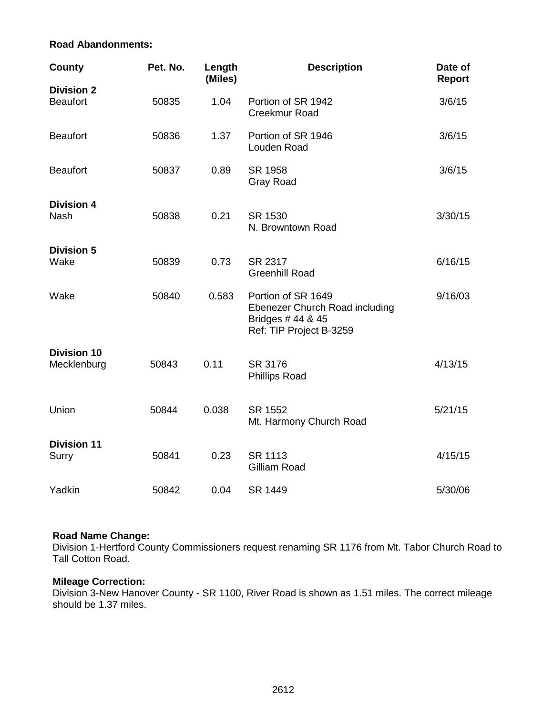#### **Road Abandonments:**

| <b>County</b>                     | Pet. No. | Length<br>(Miles) | <b>Description</b>                                                                                   | Date of<br><b>Report</b> |
|-----------------------------------|----------|-------------------|------------------------------------------------------------------------------------------------------|--------------------------|
| <b>Division 2</b>                 |          |                   |                                                                                                      |                          |
| <b>Beaufort</b>                   | 50835    | 1.04              | Portion of SR 1942<br>Creekmur Road                                                                  | 3/6/15                   |
| <b>Beaufort</b>                   | 50836    | 1.37              | Portion of SR 1946<br>Louden Road                                                                    | 3/6/15                   |
| <b>Beaufort</b>                   | 50837    | 0.89              | SR 1958<br><b>Gray Road</b>                                                                          | 3/6/15                   |
| <b>Division 4</b><br><b>Nash</b>  | 50838    | 0.21              | SR 1530<br>N. Browntown Road                                                                         | 3/30/15                  |
| <b>Division 5</b><br>Wake         | 50839    | 0.73              | SR 2317<br><b>Greenhill Road</b>                                                                     | 6/16/15                  |
| Wake                              | 50840    | 0.583             | Portion of SR 1649<br>Ebenezer Church Road including<br>Bridges # 44 & 45<br>Ref: TIP Project B-3259 | 9/16/03                  |
| <b>Division 10</b><br>Mecklenburg | 50843    | 0.11              | SR 3176<br><b>Phillips Road</b>                                                                      | 4/13/15                  |
| Union                             | 50844    | 0.038             | SR 1552<br>Mt. Harmony Church Road                                                                   | 5/21/15                  |
| <b>Division 11</b><br>Surry       | 50841    | 0.23              | <b>SR 1113</b><br>Gilliam Road                                                                       | 4/15/15                  |
| Yadkin                            | 50842    | 0.04              | SR 1449                                                                                              | 5/30/06                  |

### **Road Name Change:**

Division 1-Hertford County Commissioners request renaming SR 1176 from Mt. Tabor Church Road to Tall Cotton Road.

### **Mileage Correction:**

Division 3-New Hanover County - SR 1100, River Road is shown as 1.51 miles. The correct mileage should be 1.37 miles.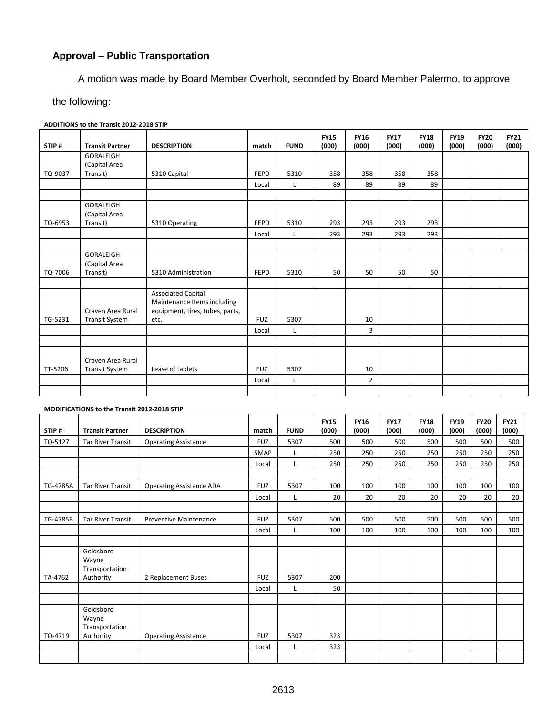## **Approval – Public Transportation**

A motion was made by Board Member Overholt, seconded by Board Member Palermo, to approve

the following:

**ADDITIONS to the Transit 2012-2018 STIP**

| STIP#   | <b>Transit Partner</b> | <b>DESCRIPTION</b>                                       | match       | <b>FUND</b> | <b>FY15</b><br>(000) | <b>FY16</b><br>(000) | <b>FY17</b><br>(000) | <b>FY18</b><br>(000) | <b>FY19</b><br>(000) | <b>FY20</b><br>(000) | <b>FY21</b><br>(000) |
|---------|------------------------|----------------------------------------------------------|-------------|-------------|----------------------|----------------------|----------------------|----------------------|----------------------|----------------------|----------------------|
|         | <b>GORALEIGH</b>       |                                                          |             |             |                      |                      |                      |                      |                      |                      |                      |
|         | (Capital Area          |                                                          |             |             |                      |                      |                      |                      |                      |                      |                      |
| TQ-9037 | Transit)               | 5310 Capital                                             | <b>FEPD</b> | 5310        | 358                  | 358                  | 358                  | 358                  |                      |                      |                      |
|         |                        |                                                          | Local       | L           | 89                   | 89                   | 89                   | 89                   |                      |                      |                      |
|         |                        |                                                          |             |             |                      |                      |                      |                      |                      |                      |                      |
|         | GORALEIGH              |                                                          |             |             |                      |                      |                      |                      |                      |                      |                      |
|         | (Capital Area          |                                                          |             |             |                      |                      |                      |                      |                      |                      |                      |
| TQ-6953 | Transit)               | 5310 Operating                                           | <b>FEPD</b> | 5310        | 293                  | 293                  | 293                  | 293                  |                      |                      |                      |
|         |                        |                                                          | Local       | L           | 293                  | 293                  | 293                  | 293                  |                      |                      |                      |
|         |                        |                                                          |             |             |                      |                      |                      |                      |                      |                      |                      |
|         | GORALEIGH              |                                                          |             |             |                      |                      |                      |                      |                      |                      |                      |
|         | (Capital Area          |                                                          |             |             |                      |                      |                      |                      |                      |                      |                      |
| TQ-7006 | Transit)               | 5310 Administration                                      | <b>FEPD</b> | 5310        | 50                   | 50                   | 50                   | 50                   |                      |                      |                      |
|         |                        |                                                          |             |             |                      |                      |                      |                      |                      |                      |                      |
|         |                        | <b>Associated Capital</b><br>Maintenance Items including |             |             |                      |                      |                      |                      |                      |                      |                      |
|         | Craven Area Rural      | equipment, tires, tubes, parts,                          |             |             |                      |                      |                      |                      |                      |                      |                      |
| TG-5231 | <b>Transit System</b>  | etc.                                                     | <b>FUZ</b>  | 5307        |                      | 10                   |                      |                      |                      |                      |                      |
|         |                        |                                                          | Local       | L           |                      | 3                    |                      |                      |                      |                      |                      |
|         |                        |                                                          |             |             |                      |                      |                      |                      |                      |                      |                      |
|         |                        |                                                          |             |             |                      |                      |                      |                      |                      |                      |                      |
|         | Craven Area Rural      |                                                          |             |             |                      |                      |                      |                      |                      |                      |                      |
| TT-5206 | <b>Transit System</b>  | Lease of tablets                                         | <b>FUZ</b>  | 5307        |                      | 10                   |                      |                      |                      |                      |                      |
|         |                        |                                                          | Local       | L           |                      | $\overline{2}$       |                      |                      |                      |                      |                      |
|         |                        |                                                          |             |             |                      |                      |                      |                      |                      |                      |                      |

#### **MODIFICATIONS to the Transit 2012-2018 STIP**

| STIP#    | <b>Transit Partner</b>                            | <b>DESCRIPTION</b>              | match      | <b>FUND</b> | <b>FY15</b><br>(000) | <b>FY16</b><br>(000) | <b>FY17</b><br>(000) | <b>FY18</b><br>(000) | <b>FY19</b><br>(000) | <b>FY20</b><br>(000) | <b>FY21</b><br>(000) |
|----------|---------------------------------------------------|---------------------------------|------------|-------------|----------------------|----------------------|----------------------|----------------------|----------------------|----------------------|----------------------|
|          |                                                   |                                 |            |             |                      |                      |                      |                      |                      |                      |                      |
| TO-5127  | <b>Tar River Transit</b>                          | <b>Operating Assistance</b>     | <b>FUZ</b> | 5307        | 500                  | 500                  | 500                  | 500                  | 500                  | 500                  | 500                  |
|          |                                                   |                                 | SMAP       |             | 250                  | 250                  | 250                  | 250                  | 250                  | 250                  | 250                  |
|          |                                                   |                                 | Local      |             | 250                  | 250                  | 250                  | 250                  | 250                  | 250                  | 250                  |
|          |                                                   |                                 |            |             |                      |                      |                      |                      |                      |                      |                      |
| TG-4785A | <b>Tar River Transit</b>                          | <b>Operating Assistance ADA</b> | <b>FUZ</b> | 5307        | 100                  | 100                  | 100                  | 100                  | 100                  | 100                  | 100                  |
|          |                                                   |                                 | Local      |             | 20                   | 20                   | 20                   | 20                   | 20                   | 20                   | 20                   |
|          |                                                   |                                 |            |             |                      |                      |                      |                      |                      |                      |                      |
| TG-4785B | <b>Tar River Transit</b>                          | <b>Preventive Maintenance</b>   | <b>FUZ</b> | 5307        | 500                  | 500                  | 500                  | 500                  | 500                  | 500                  | 500                  |
|          |                                                   |                                 | Local      |             | 100                  | 100                  | 100                  | 100                  | 100                  | 100                  | 100                  |
|          |                                                   |                                 |            |             |                      |                      |                      |                      |                      |                      |                      |
| TA-4762  | Goldsboro<br>Wayne<br>Transportation<br>Authority | 2 Replacement Buses             | <b>FUZ</b> | 5307        | 200                  |                      |                      |                      |                      |                      |                      |
|          |                                                   |                                 | Local      | L           | 50                   |                      |                      |                      |                      |                      |                      |
|          |                                                   |                                 |            |             |                      |                      |                      |                      |                      |                      |                      |
|          | Goldsboro<br>Wayne<br>Transportation              |                                 |            |             |                      |                      |                      |                      |                      |                      |                      |
| TO-4719  | Authority                                         | <b>Operating Assistance</b>     | <b>FUZ</b> | 5307        | 323                  |                      |                      |                      |                      |                      |                      |
|          |                                                   |                                 | Local      | L           | 323                  |                      |                      |                      |                      |                      |                      |
|          |                                                   |                                 |            |             |                      |                      |                      |                      |                      |                      |                      |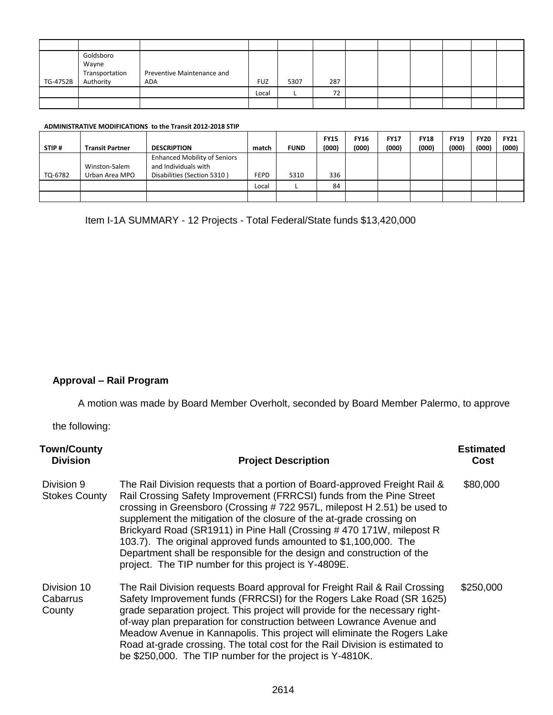| TG-4752B | Goldsboro<br>Wayne<br>Transportation<br>Authority | Preventive Maintenance and<br>ADA | <b>FUZ</b> | 5307 | 287 |  |  |  |
|----------|---------------------------------------------------|-----------------------------------|------------|------|-----|--|--|--|
|          |                                                   |                                   | Local      |      | 72  |  |  |  |
|          |                                                   |                                   |            |      |     |  |  |  |

#### **ADMINISTRATIVE MODIFICATIONS to the Transit 2012-2018 STIP**

| STIP#   | <b>Transit Partner</b>          | <b>DESCRIPTION</b>                                                                         | match       | <b>FUND</b> | <b>FY15</b><br>(000) | <b>FY16</b><br>(000) | <b>FY17</b><br>(000) | <b>FY18</b><br>(000) | <b>FY19</b><br>(000) | <b>FY20</b><br>(000) | <b>FY21</b><br>(000) |
|---------|---------------------------------|--------------------------------------------------------------------------------------------|-------------|-------------|----------------------|----------------------|----------------------|----------------------|----------------------|----------------------|----------------------|
| TQ-6782 | Winston-Salem<br>Urban Area MPO | <b>Enhanced Mobility of Seniors</b><br>and Individuals with<br>Disabilities (Section 5310) | <b>FEPD</b> | 5310        | 336                  |                      |                      |                      |                      |                      |                      |
|         |                                 |                                                                                            | Local       |             | 84                   |                      |                      |                      |                      |                      |                      |
|         |                                 |                                                                                            |             |             |                      |                      |                      |                      |                      |                      |                      |

Item I-1A SUMMARY - 12 Projects - Total Federal/State funds \$13,420,000

## **Approval – Rail Program**

A motion was made by Board Member Overholt, seconded by Board Member Palermo, to approve

the following:

| <b>Town/County</b><br><b>Division</b> | <b>Project Description</b>                                                                                                                                                                                                                                                                                                                                                                                                                                                                                                                                                          | <b>Estimated</b><br><b>Cost</b> |
|---------------------------------------|-------------------------------------------------------------------------------------------------------------------------------------------------------------------------------------------------------------------------------------------------------------------------------------------------------------------------------------------------------------------------------------------------------------------------------------------------------------------------------------------------------------------------------------------------------------------------------------|---------------------------------|
| Division 9<br><b>Stokes County</b>    | The Rail Division requests that a portion of Board-approved Freight Rail &<br>Rail Crossing Safety Improvement (FRRCSI) funds from the Pine Street<br>crossing in Greensboro (Crossing #722 957L, milepost H 2.51) be used to<br>supplement the mitigation of the closure of the at-grade crossing on<br>Brickyard Road (SR1911) in Pine Hall (Crossing #470 171W, milepost R<br>103.7). The original approved funds amounted to \$1,100,000. The<br>Department shall be responsible for the design and construction of the<br>project. The TIP number for this project is Y-4809E. | \$80,000                        |
| Division 10<br>Cabarrus<br>County     | The Rail Division requests Board approval for Freight Rail & Rail Crossing<br>Safety Improvement funds (FRRCSI) for the Rogers Lake Road (SR 1625)<br>grade separation project. This project will provide for the necessary right-<br>of-way plan preparation for construction between Lowrance Avenue and<br>Meadow Avenue in Kannapolis. This project will eliminate the Rogers Lake<br>Road at-grade crossing. The total cost for the Rail Division is estimated to<br>be \$250,000. The TIP number for the project is Y-4810K.                                                  | \$250,000                       |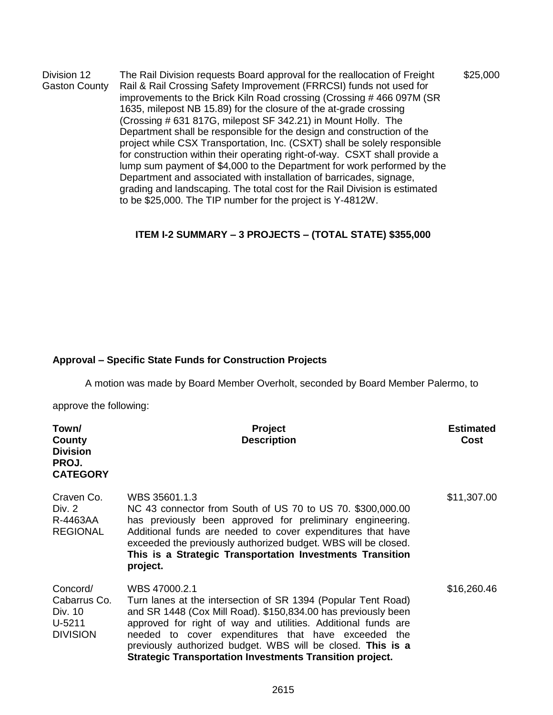Division 12 Gaston County The Rail Division requests Board approval for the reallocation of Freight Rail & Rail Crossing Safety Improvement (FRRCSI) funds not used for improvements to the Brick Kiln Road crossing (Crossing # 466 097M (SR 1635, milepost NB 15.89) for the closure of the at-grade crossing (Crossing # 631 817G, milepost SF 342.21) in Mount Holly. The Department shall be responsible for the design and construction of the project while CSX Transportation, Inc. (CSXT) shall be solely responsible for construction within their operating right-of-way. CSXT shall provide a lump sum payment of \$4,000 to the Department for work performed by the Department and associated with installation of barricades, signage, grading and landscaping. The total cost for the Rail Division is estimated to be \$25,000. The TIP number for the project is Y-4812W. \$25,000

### **ITEM I-2 SUMMARY – 3 PROJECTS – (TOTAL STATE) \$355,000**

#### **Approval – Specific State Funds for Construction Projects**

A motion was made by Board Member Overholt, seconded by Board Member Palermo, to

approve the following:

| Town/<br>County<br><b>Division</b><br>PROJ.<br><b>CATEGORY</b>     | <b>Project</b><br><b>Description</b>                                                                                                                                                                                                                                                                                                                                                                      | <b>Estimated</b><br>Cost |
|--------------------------------------------------------------------|-----------------------------------------------------------------------------------------------------------------------------------------------------------------------------------------------------------------------------------------------------------------------------------------------------------------------------------------------------------------------------------------------------------|--------------------------|
| Craven Co.<br>Div. 2<br>R-4463AA<br><b>REGIONAL</b>                | WBS 35601.1.3<br>NC 43 connector from South of US 70 to US 70. \$300,000.00<br>has previously been approved for preliminary engineering.<br>Additional funds are needed to cover expenditures that have<br>exceeded the previously authorized budget. WBS will be closed.<br>This is a Strategic Transportation Investments Transition<br>project.                                                        | \$11,307.00              |
| Concord/<br>Cabarrus Co.<br>Div. 10<br>$U-5211$<br><b>DIVISION</b> | WBS 47000.2.1<br>Turn lanes at the intersection of SR 1394 (Popular Tent Road)<br>and SR 1448 (Cox Mill Road). \$150,834.00 has previously been<br>approved for right of way and utilities. Additional funds are<br>needed to cover expenditures that have exceeded the<br>previously authorized budget. WBS will be closed. This is a<br><b>Strategic Transportation Investments Transition project.</b> | \$16,260.46              |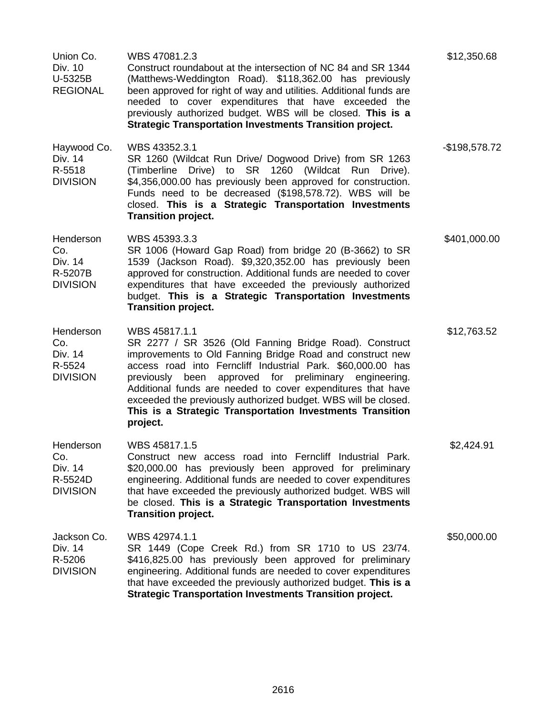| Union Co.<br>Div. 10<br>U-5325B<br><b>REGIONAL</b>        | WBS 47081.2.3<br>Construct roundabout at the intersection of NC 84 and SR 1344<br>(Matthews-Weddington Road). \$118,362.00 has previously<br>been approved for right of way and utilities. Additional funds are<br>needed to cover expenditures that have exceeded the<br>previously authorized budget. WBS will be closed. This is a<br><b>Strategic Transportation Investments Transition project.</b>                                                                     | \$12,350.68    |
|-----------------------------------------------------------|------------------------------------------------------------------------------------------------------------------------------------------------------------------------------------------------------------------------------------------------------------------------------------------------------------------------------------------------------------------------------------------------------------------------------------------------------------------------------|----------------|
| Haywood Co.<br>Div. 14<br>R-5518<br><b>DIVISION</b>       | WBS 43352.3.1<br>SR 1260 (Wildcat Run Drive/ Dogwood Drive) from SR 1263<br>Drive) to SR 1260<br>(Wildcat Run Drive).<br>(Timberline<br>\$4,356,000.00 has previously been approved for construction.<br>Funds need to be decreased (\$198,578.72). WBS will be<br>closed. This is a Strategic Transportation Investments<br><b>Transition project.</b>                                                                                                                      | $-$198,578.72$ |
| Henderson<br>Co.<br>Div. 14<br>R-5207B<br><b>DIVISION</b> | WBS 45393.3.3<br>SR 1006 (Howard Gap Road) from bridge 20 (B-3662) to SR<br>1539 (Jackson Road). \$9,320,352.00 has previously been<br>approved for construction. Additional funds are needed to cover<br>expenditures that have exceeded the previously authorized<br>budget. This is a Strategic Transportation Investments<br><b>Transition project.</b>                                                                                                                  | \$401,000.00   |
| Henderson<br>Co.<br>Div. 14<br>R-5524<br><b>DIVISION</b>  | WBS 45817.1.1<br>SR 2277 / SR 3526 (Old Fanning Bridge Road). Construct<br>improvements to Old Fanning Bridge Road and construct new<br>access road into Ferncliff Industrial Park. \$60,000.00 has<br>approved for preliminary engineering.<br>been<br>previously<br>Additional funds are needed to cover expenditures that have<br>exceeded the previously authorized budget. WBS will be closed.<br>This is a Strategic Transportation Investments Transition<br>project. | \$12,763.52    |
| Henderson<br>Co.<br>Div. 14<br>R-5524D<br><b>DIVISION</b> | WBS 45817.1.5<br>Construct new access road into Ferncliff Industrial Park.<br>\$20,000.00 has previously been approved for preliminary<br>engineering. Additional funds are needed to cover expenditures<br>that have exceeded the previously authorized budget. WBS will<br>be closed. This is a Strategic Transportation Investments<br><b>Transition project.</b>                                                                                                         | \$2,424.91     |
| Jackson Co.<br>Div. 14<br>R-5206<br><b>DIVISION</b>       | WBS 42974.1.1<br>SR 1449 (Cope Creek Rd.) from SR 1710 to US 23/74.<br>\$416,825.00 has previously been approved for preliminary<br>engineering. Additional funds are needed to cover expenditures<br>that have exceeded the previously authorized budget. This is a<br><b>Strategic Transportation Investments Transition project.</b>                                                                                                                                      | \$50,000.00    |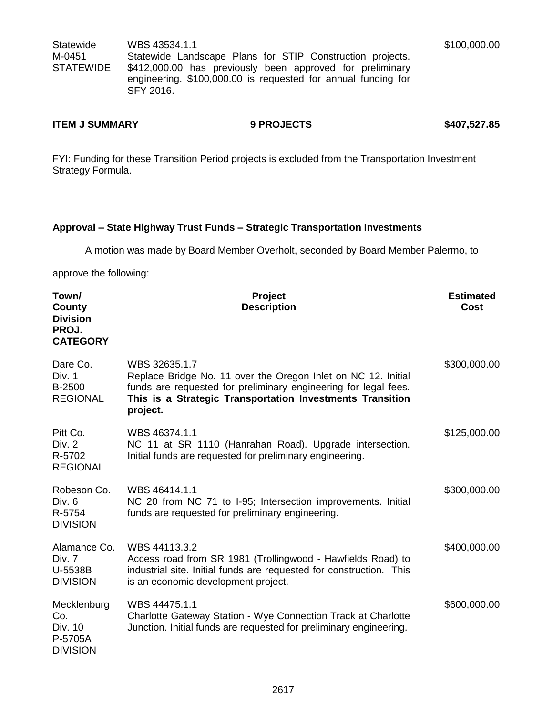**Statewide** M-0451 STATEWIDE WBS 43534.1.1 Statewide Landscape Plans for STIP Construction projects. \$412,000.00 has previously been approved for preliminary engineering. \$100,000.00 is requested for annual funding for SFY 2016.

#### **ITEM J SUMMARY 6 8 PROJECTS \$407,527.85**

FYI: Funding for these Transition Period projects is excluded from the Transportation Investment Strategy Formula.

#### **Approval – State Highway Trust Funds – Strategic Transportation Investments**

A motion was made by Board Member Overholt, seconded by Board Member Palermo, to

approve the following:

| Town/<br>County<br><b>Division</b><br>PROJ.<br><b>CATEGORY</b> | Project<br><b>Description</b>                                                                                                                                                                                              | <b>Estimated</b><br><b>Cost</b> |
|----------------------------------------------------------------|----------------------------------------------------------------------------------------------------------------------------------------------------------------------------------------------------------------------------|---------------------------------|
| Dare Co.<br>Div. 1<br>B-2500<br><b>REGIONAL</b>                | WBS 32635.1.7<br>Replace Bridge No. 11 over the Oregon Inlet on NC 12. Initial<br>funds are requested for preliminary engineering for legal fees.<br>This is a Strategic Transportation Investments Transition<br>project. | \$300,000.00                    |
| Pitt Co.<br>Div. 2<br>R-5702<br><b>REGIONAL</b>                | WBS 46374.1.1<br>NC 11 at SR 1110 (Hanrahan Road). Upgrade intersection.<br>Initial funds are requested for preliminary engineering.                                                                                       | \$125,000.00                    |
| Robeson Co.<br>Div. 6<br>R-5754<br><b>DIVISION</b>             | WBS 46414.1.1<br>NC 20 from NC 71 to I-95; Intersection improvements. Initial<br>funds are requested for preliminary engineering.                                                                                          | \$300,000.00                    |
| Alamance Co.<br>Div. 7<br>U-5538B<br><b>DIVISION</b>           | WBS 44113.3.2<br>Access road from SR 1981 (Trollingwood - Hawfields Road) to<br>industrial site. Initial funds are requested for construction. This<br>is an economic development project.                                 | \$400,000.00                    |
| Mecklenburg<br>Co.<br>Div. 10<br>P-5705A<br><b>DIVISION</b>    | WBS 44475.1.1<br>Charlotte Gateway Station - Wye Connection Track at Charlotte<br>Junction. Initial funds are requested for preliminary engineering.                                                                       | \$600,000.00                    |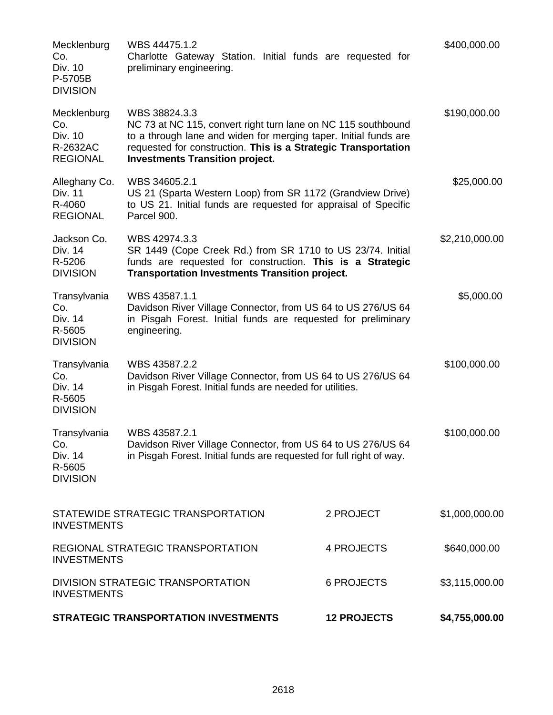|                                                                                     | <b>STRATEGIC TRANSPORTATION INVESTMENTS</b>                                                                                                                                                                                                                    | <b>12 PROJECTS</b> | \$4,755,000.00 |
|-------------------------------------------------------------------------------------|----------------------------------------------------------------------------------------------------------------------------------------------------------------------------------------------------------------------------------------------------------------|--------------------|----------------|
| <b>DIVISION STRATEGIC TRANSPORTATION</b><br><b>6 PROJECTS</b><br><b>INVESTMENTS</b> |                                                                                                                                                                                                                                                                |                    | \$3,115,000.00 |
| <b>INVESTMENTS</b>                                                                  | REGIONAL STRATEGIC TRANSPORTATION                                                                                                                                                                                                                              | 4 PROJECTS         | \$640,000.00   |
| <b>INVESTMENTS</b>                                                                  | STATEWIDE STRATEGIC TRANSPORTATION                                                                                                                                                                                                                             | 2 PROJECT          | \$1,000,000.00 |
| Transylvania<br>Co.<br>Div. 14<br>R-5605<br><b>DIVISION</b>                         | Davidson River Village Connector, from US 64 to US 276/US 64<br>in Pisgah Forest. Initial funds are requested for full right of way.                                                                                                                           | \$100,000.00       |                |
| Transylvania<br>Co.<br>Div. 14<br>R-5605<br><b>DIVISION</b>                         | WBS 43587.2.2<br>Davidson River Village Connector, from US 64 to US 276/US 64<br>in Pisgah Forest. Initial funds are needed for utilities.                                                                                                                     |                    | \$100,000.00   |
| Transylvania<br>Co.<br>Div. 14<br>R-5605<br><b>DIVISION</b>                         | WBS 43587.1.1<br>Davidson River Village Connector, from US 64 to US 276/US 64<br>in Pisgah Forest. Initial funds are requested for preliminary<br>engineering.                                                                                                 |                    | \$5,000.00     |
| Jackson Co.<br>Div. 14<br>R-5206<br><b>DIVISION</b>                                 | WBS 42974.3.3<br>SR 1449 (Cope Creek Rd.) from SR 1710 to US 23/74. Initial<br>funds are requested for construction. This is a Strategic<br><b>Transportation Investments Transition project.</b>                                                              |                    | \$2,210,000.00 |
| Alleghany Co.<br>Div. 11<br>R-4060<br><b>REGIONAL</b>                               | WBS 34605.2.1<br>US 21 (Sparta Western Loop) from SR 1172 (Grandview Drive)<br>to US 21. Initial funds are requested for appraisal of Specific<br>Parcel 900.                                                                                                  |                    | \$25,000.00    |
| Mecklenburg<br>Co.<br>Div. 10<br>R-2632AC<br><b>REGIONAL</b>                        | WBS 38824.3.3<br>NC 73 at NC 115, convert right turn lane on NC 115 southbound<br>to a through lane and widen for merging taper. Initial funds are<br>requested for construction. This is a Strategic Transportation<br><b>Investments Transition project.</b> |                    | \$190,000.00   |
| Mecklenburg<br>Co.<br>Div. 10<br>P-5705B<br><b>DIVISION</b>                         | WBS 44475.1.2<br>Charlotte Gateway Station. Initial funds are requested for<br>preliminary engineering.                                                                                                                                                        |                    | \$400,000.00   |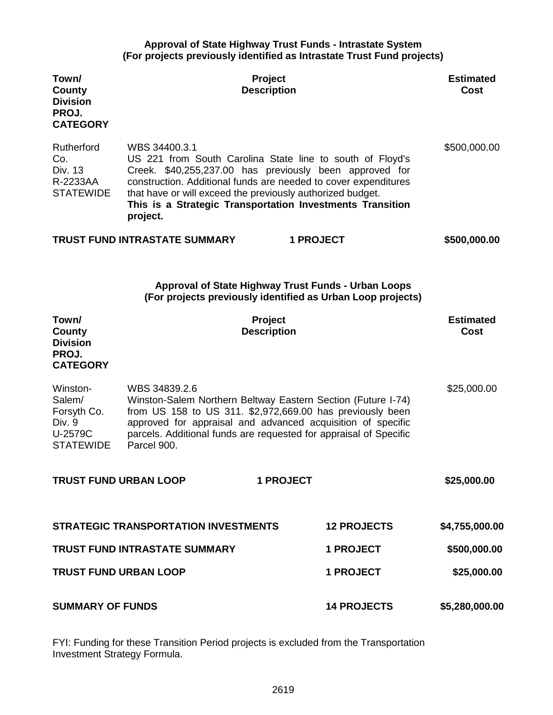#### **Approval of State Highway Trust Funds - Intrastate System (For projects previously identified as Intrastate Trust Fund projects)**

| Town/<br>County<br><b>Division</b><br>PROJ.<br><b>CATEGORY</b>             |                                                                                                                                                                                                                                                                                                                                                 | Project<br><b>Description</b> |                    | <b>Estimated</b><br>Cost |
|----------------------------------------------------------------------------|-------------------------------------------------------------------------------------------------------------------------------------------------------------------------------------------------------------------------------------------------------------------------------------------------------------------------------------------------|-------------------------------|--------------------|--------------------------|
| Rutherford<br>Co.<br>Div. 13<br>R-2233AA<br><b>STATEWIDE</b>               | WBS 34400.3.1<br>US 221 from South Carolina State line to south of Floyd's<br>Creek. \$40,255,237.00 has previously been approved for<br>construction. Additional funds are needed to cover expenditures<br>that have or will exceed the previously authorized budget.<br>This is a Strategic Transportation Investments Transition<br>project. |                               |                    | \$500,000.00             |
|                                                                            | <b>TRUST FUND INTRASTATE SUMMARY</b>                                                                                                                                                                                                                                                                                                            | <b>1 PROJECT</b>              |                    | \$500,000.00             |
|                                                                            | <b>Approval of State Highway Trust Funds - Urban Loops</b><br>(For projects previously identified as Urban Loop projects)                                                                                                                                                                                                                       |                               |                    |                          |
| Town/<br><b>County</b><br><b>Division</b><br>PROJ.<br><b>CATEGORY</b>      |                                                                                                                                                                                                                                                                                                                                                 | Project<br><b>Description</b> |                    | <b>Estimated</b><br>Cost |
| Winston-<br>Salem/<br>Forsyth Co.<br>Div. 9<br>U-2579C<br><b>STATEWIDE</b> | WBS 34839.2.6<br>Winston-Salem Northern Beltway Eastern Section (Future I-74)<br>from US 158 to US 311. \$2,972,669.00 has previously been<br>approved for appraisal and advanced acquisition of specific<br>parcels. Additional funds are requested for appraisal of Specific<br>Parcel 900.                                                   |                               |                    | \$25,000.00              |
| <b>TRUST FUND URBAN LOOP</b>                                               |                                                                                                                                                                                                                                                                                                                                                 | <b>1 PROJECT</b>              |                    | \$25,000.00              |
|                                                                            | <b>STRATEGIC TRANSPORTATION INVESTMENTS</b>                                                                                                                                                                                                                                                                                                     |                               | <b>12 PROJECTS</b> | \$4,755,000.00           |
|                                                                            | <b>TRUST FUND INTRASTATE SUMMARY</b>                                                                                                                                                                                                                                                                                                            |                               | <b>1 PROJECT</b>   | \$500,000.00             |
| <b>TRUST FUND URBAN LOOP</b>                                               |                                                                                                                                                                                                                                                                                                                                                 |                               | <b>1 PROJECT</b>   | \$25,000.00              |
| <b>SUMMARY OF FUNDS</b>                                                    |                                                                                                                                                                                                                                                                                                                                                 |                               | <b>14 PROJECTS</b> | \$5,280,000.00           |

FYI: Funding for these Transition Period projects is excluded from the Transportation Investment Strategy Formula.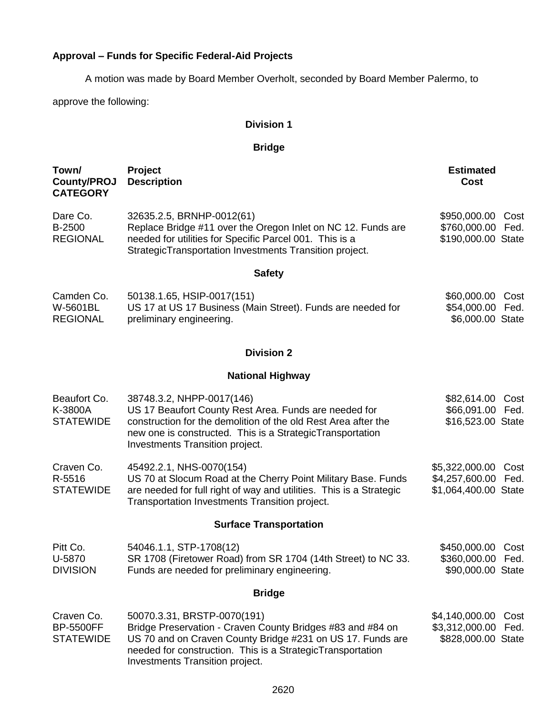## **Approval – Funds for Specific Federal-Aid Projects**

A motion was made by Board Member Overholt, seconded by Board Member Palermo, to

approve the following:

### **Division 1**

## **Bridge**

| Town/<br><b>County/PROJ</b><br><b>CATEGORY</b>     | Project<br><b>Description</b>                                                                                                                                                                                                                            | <b>Estimated</b><br>Cost                                                 |
|----------------------------------------------------|----------------------------------------------------------------------------------------------------------------------------------------------------------------------------------------------------------------------------------------------------------|--------------------------------------------------------------------------|
| Dare Co.<br>B-2500<br><b>REGIONAL</b>              | 32635.2.5, BRNHP-0012(61)<br>Replace Bridge #11 over the Oregon Inlet on NC 12. Funds are<br>needed for utilities for Specific Parcel 001. This is a<br>StrategicTransportation Investments Transition project.                                          | \$950,000.00<br>Cost<br>\$760,000.00 Fed.<br>\$190,000.00 State          |
|                                                    | <b>Safety</b>                                                                                                                                                                                                                                            |                                                                          |
| Camden Co.<br>W-5601BL<br><b>REGIONAL</b>          | 50138.1.65, HSIP-0017(151)<br>US 17 at US 17 Business (Main Street). Funds are needed for<br>preliminary engineering.                                                                                                                                    | \$60,000.00<br>Cost<br>\$54,000.00 Fed.<br>\$6,000.00 State              |
|                                                    | <b>Division 2</b>                                                                                                                                                                                                                                        |                                                                          |
|                                                    | <b>National Highway</b>                                                                                                                                                                                                                                  |                                                                          |
| Beaufort Co.<br>K-3800A<br><b>STATEWIDE</b>        | 38748.3.2, NHPP-0017(146)<br>US 17 Beaufort County Rest Area. Funds are needed for<br>construction for the demolition of the old Rest Area after the<br>new one is constructed. This is a StrategicTransportation<br>Investments Transition project.     | \$82,614.00<br>Cost<br>\$66,091.00 Fed.<br>\$16,523.00 State             |
| Craven Co.<br>R-5516<br><b>STATEWIDE</b>           | 45492.2.1, NHS-0070(154)<br>US 70 at Slocum Road at the Cherry Point Military Base. Funds<br>are needed for full right of way and utilities. This is a Strategic<br>Transportation Investments Transition project.                                       | \$5,322,000.00<br>Cost<br>\$4,257,600.00<br>Fed.<br>\$1,064,400.00 State |
|                                                    | <b>Surface Transportation</b>                                                                                                                                                                                                                            |                                                                          |
| Pitt Co.<br>U-5870<br><b>DIVISION</b>              | 54046.1.1, STP-1708(12)<br>SR 1708 (Firetower Road) from SR 1704 (14th Street) to NC 33.<br>Funds are needed for preliminary engineering.                                                                                                                | \$450,000.00<br>Cost<br>\$360,000.00<br>Fed.<br>\$90,000.00 State        |
|                                                    | <b>Bridge</b>                                                                                                                                                                                                                                            |                                                                          |
| Craven Co.<br><b>BP-5500FF</b><br><b>STATEWIDE</b> | 50070.3.31, BRSTP-0070(191)<br>Bridge Preservation - Craven County Bridges #83 and #84 on<br>US 70 and on Craven County Bridge #231 on US 17. Funds are<br>needed for construction. This is a StrategicTransportation<br>Investments Transition project. | \$4,140,000.00<br>Cost<br>\$3,312,000.00<br>Fed.<br>\$828,000.00 State   |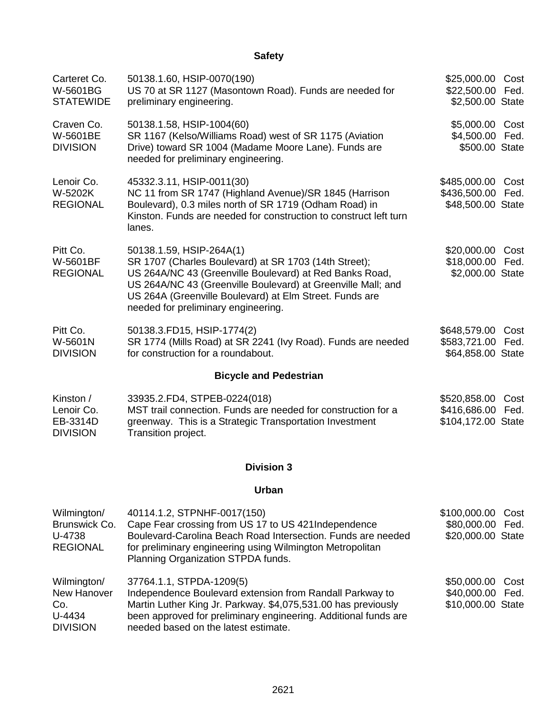## **Safety**

| Carteret Co.<br>W-5601BG<br><b>STATEWIDE</b>           | 50138.1.60, HSIP-0070(190)<br>US 70 at SR 1127 (Masontown Road). Funds are needed for<br>preliminary engineering.                                                                                                                                                                                              | \$25,000.00<br>\$22,500.00<br>\$2,500.00 State     | Cost<br>Fed. |
|--------------------------------------------------------|----------------------------------------------------------------------------------------------------------------------------------------------------------------------------------------------------------------------------------------------------------------------------------------------------------------|----------------------------------------------------|--------------|
| Craven Co.<br>W-5601BE<br><b>DIVISION</b>              | 50138.1.58, HSIP-1004(60)<br>SR 1167 (Kelso/Williams Road) west of SR 1175 (Aviation<br>Drive) toward SR 1004 (Madame Moore Lane). Funds are<br>needed for preliminary engineering.                                                                                                                            | \$5,000.00<br>\$4,500.00<br>\$500.00 State         | Cost<br>Fed. |
| Lenoir Co.<br>W-5202K<br><b>REGIONAL</b>               | 45332.3.11, HSIP-0011(30)<br>NC 11 from SR 1747 (Highland Avenue)/SR 1845 (Harrison<br>Boulevard), 0.3 miles north of SR 1719 (Odham Road) in<br>Kinston. Funds are needed for construction to construct left turn<br>lanes.                                                                                   | \$485,000.00<br>\$436,500.00<br>\$48,500.00 State  | Cost<br>Fed. |
| Pitt Co.<br>W-5601BF<br><b>REGIONAL</b>                | 50138.1.59, HSIP-264A(1)<br>SR 1707 (Charles Boulevard) at SR 1703 (14th Street);<br>US 264A/NC 43 (Greenville Boulevard) at Red Banks Road,<br>US 264A/NC 43 (Greenville Boulevard) at Greenville Mall; and<br>US 264A (Greenville Boulevard) at Elm Street. Funds are<br>needed for preliminary engineering. | \$20,000.00<br>\$18,000.00<br>\$2,000.00 State     | Cost<br>Fed. |
| Pitt Co.<br>W-5601N<br><b>DIVISION</b>                 | 50138.3.FD15, HSIP-1774(2)<br>SR 1774 (Mills Road) at SR 2241 (Ivy Road). Funds are needed<br>for construction for a roundabout.                                                                                                                                                                               | \$648,579.00<br>\$583,721.00<br>\$64,858.00 State  | Cost<br>Fed. |
|                                                        | <b>Bicycle and Pedestrian</b>                                                                                                                                                                                                                                                                                  |                                                    |              |
| Kinston /<br>Lenoir Co.<br>EB-3314D<br><b>DIVISION</b> | 33935.2.FD4, STPEB-0224(018)<br>MST trail connection. Funds are needed for construction for a<br>greenway. This is a Strategic Transportation Investment<br>Transition project.                                                                                                                                | \$520,858.00<br>\$416,686.00<br>\$104,172.00 State | Cost<br>Fed. |

### **Division 3**

### **Urban**

| Wilmington/<br>Brunswick Co.<br>U-4738<br><b>REGIONAL</b>      | 40114.1.2, STPNHF-0017(150)<br>Cape Fear crossing from US 17 to US 421Independence<br>Boulevard-Carolina Beach Road Intersection. Funds are needed<br>for preliminary engineering using Wilmington Metropolitan<br>Planning Organization STPDA funds.            | \$100,000.00 Cost<br>\$80,000.00 Fed.<br>\$20,000.00 State |  |
|----------------------------------------------------------------|------------------------------------------------------------------------------------------------------------------------------------------------------------------------------------------------------------------------------------------------------------------|------------------------------------------------------------|--|
| Wilmington/<br>New Hanover<br>Co.<br>U-4434<br><b>DIVISION</b> | 37764.1.1, STPDA-1209(5)<br>Independence Boulevard extension from Randall Parkway to<br>Martin Luther King Jr. Parkway. \$4,075,531.00 has previously<br>been approved for preliminary engineering. Additional funds are<br>needed based on the latest estimate. | \$50,000.00 Cost<br>\$40,000.00 Fed.<br>\$10,000.00 State  |  |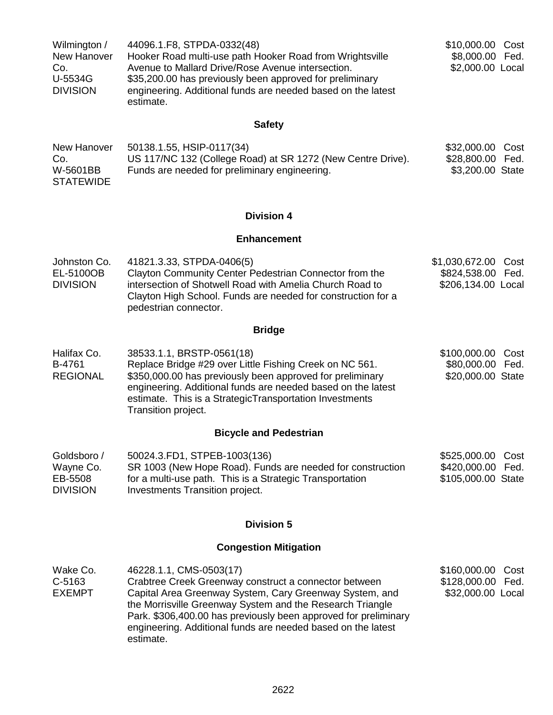| Wilmington /    | 44096.1.F8, STPDA-0332(48)                                   | \$10,000.00 Cost |
|-----------------|--------------------------------------------------------------|------------------|
| New Hanover     | Hooker Road multi-use path Hooker Road from Wrightsville     | \$8,000.00 Fed.  |
| Co.             | Avenue to Mallard Drive/Rose Avenue intersection.            | \$2,000.00 Local |
| U-5534G         | \$35,200.00 has previously been approved for preliminary     |                  |
| <b>DIVISION</b> | engineering. Additional funds are needed based on the latest |                  |
|                 | estimate.                                                    |                  |

## **Safety**

| New Hanover      | 50138.1.55, HSIP-0117(34)                                   | \$32,000.00 Cost |  |
|------------------|-------------------------------------------------------------|------------------|--|
| Co.              | US 117/NC 132 (College Road) at SR 1272 (New Centre Drive). | \$28,800.00 Fed. |  |
| W-5601BB         | Funds are needed for preliminary engineering.               | \$3,200.00 State |  |
| <b>STATEWIDE</b> |                                                             |                  |  |

## **Division 4**

#### **Enhancement**

| Johnston Co.    | 41821.3.33, STPDA-0406(5)                                    | \$1,030,672.00 Cost |  |
|-----------------|--------------------------------------------------------------|---------------------|--|
| EL-5100OB       | Clayton Community Center Pedestrian Connector from the       | \$824,538.00 Fed.   |  |
| <b>DIVISION</b> | intersection of Shotwell Road with Amelia Church Road to     | \$206,134.00 Local  |  |
|                 | Clayton High School. Funds are needed for construction for a |                     |  |
|                 | pedestrian connector.                                        |                     |  |

# **Bridge**

| Halifax Co.     | 38533.1.1, BRSTP-0561(18)                                                                                                                                                                                   | \$100,000.00 Cost |  |
|-----------------|-------------------------------------------------------------------------------------------------------------------------------------------------------------------------------------------------------------|-------------------|--|
| B-4761          | Replace Bridge #29 over Little Fishing Creek on NC 561.                                                                                                                                                     | \$80,000.00 Fed.  |  |
| <b>REGIONAL</b> | \$350,000.00 has previously been approved for preliminary<br>engineering. Additional funds are needed based on the latest<br>estimate. This is a StrategicTransportation Investments<br>Transition project. | \$20,000.00 State |  |

## **Bicycle and Pedestrian**

| Goldsboro /     | 50024.3.FD1, STPEB-1003(136)                               | \$525,000.00 Cost  |  |
|-----------------|------------------------------------------------------------|--------------------|--|
| Wayne Co.       | SR 1003 (New Hope Road). Funds are needed for construction | \$420,000.00 Fed.  |  |
| EB-5508         | for a multi-use path. This is a Strategic Transportation   | \$105,000.00 State |  |
| <b>DIVISION</b> | Investments Transition project.                            |                    |  |

## **Division 5**

## **Congestion Mitigation**

| Wake Co.      | 46228.1.1, CMS-0503(17)                                                                                                                                                                                                                                              | \$160,000.00 Cost |  |
|---------------|----------------------------------------------------------------------------------------------------------------------------------------------------------------------------------------------------------------------------------------------------------------------|-------------------|--|
| $C-5163$      | Crabtree Creek Greenway construct a connector between                                                                                                                                                                                                                | \$128,000.00 Fed. |  |
| <b>EXEMPT</b> | Capital Area Greenway System, Cary Greenway System, and<br>the Morrisville Greenway System and the Research Triangle<br>Park. \$306,400.00 has previously been approved for preliminary<br>engineering. Additional funds are needed based on the latest<br>estimate. | \$32,000.00 Local |  |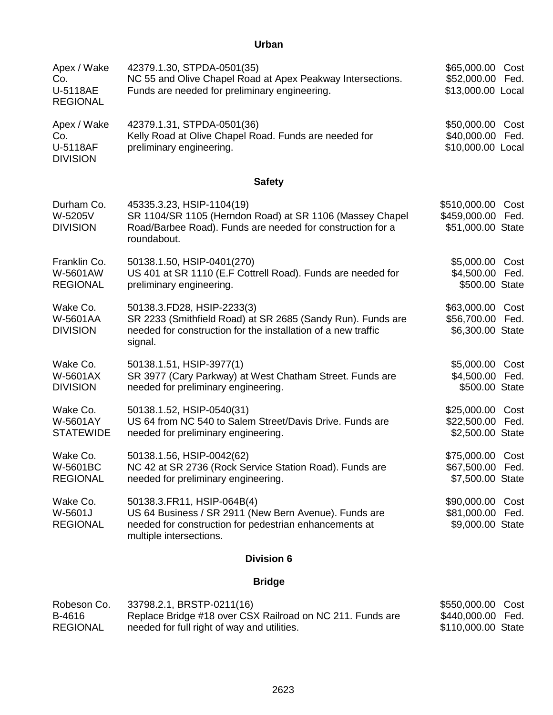## **Urban**

| Apex / Wake<br>Co.<br>U-5118AE<br><b>REGIONAL</b> | 42379.1.30, STPDA-0501(35)<br>NC 55 and Olive Chapel Road at Apex Peakway Intersections.<br>Funds are needed for preliminary engineering.                                | \$65,000.00 Cost<br>\$52,000.00 Fed.<br>\$13,000.00 Local |              |
|---------------------------------------------------|--------------------------------------------------------------------------------------------------------------------------------------------------------------------------|-----------------------------------------------------------|--------------|
| Apex / Wake<br>Co.<br>U-5118AF<br><b>DIVISION</b> | 42379.1.31, STPDA-0501(36)<br>Kelly Road at Olive Chapel Road. Funds are needed for<br>preliminary engineering.                                                          | \$50,000.00 Cost<br>\$40,000.00 Fed.<br>\$10,000.00 Local |              |
|                                                   | <b>Safety</b>                                                                                                                                                            |                                                           |              |
| Durham Co.<br>W-5205V<br><b>DIVISION</b>          | 45335.3.23, HSIP-1104(19)<br>SR 1104/SR 1105 (Herndon Road) at SR 1106 (Massey Chapel<br>Road/Barbee Road). Funds are needed for construction for a<br>roundabout.       | \$510,000.00<br>\$459,000.00<br>\$51,000.00 State         | Cost<br>Fed. |
| Franklin Co.<br>W-5601AW<br><b>REGIONAL</b>       | 50138.1.50, HSIP-0401(270)<br>US 401 at SR 1110 (E.F Cottrell Road). Funds are needed for<br>preliminary engineering.                                                    | \$5,000.00 Cost<br>\$4,500.00 Fed.<br>\$500.00 State      |              |
| Wake Co.<br>W-5601AA<br><b>DIVISION</b>           | 50138.3.FD28, HSIP-2233(3)<br>SR 2233 (Smithfield Road) at SR 2685 (Sandy Run). Funds are<br>needed for construction for the installation of a new traffic<br>signal.    | \$63,000.00 Cost<br>\$56,700.00 Fed.<br>\$6,300.00 State  |              |
| Wake Co.<br>W-5601AX<br><b>DIVISION</b>           | 50138.1.51, HSIP-3977(1)<br>SR 3977 (Cary Parkway) at West Chatham Street. Funds are<br>needed for preliminary engineering.                                              | \$5,000.00 Cost<br>\$4,500.00 Fed.<br>\$500.00 State      |              |
| Wake Co.<br>W-5601AY<br><b>STATEWIDE</b>          | 50138.1.52, HSIP-0540(31)<br>US 64 from NC 540 to Salem Street/Davis Drive. Funds are<br>needed for preliminary engineering.                                             | \$25,000.00 Cost<br>\$22,500.00 Fed.<br>\$2,500.00 State  |              |
| Wake Co.<br>W-5601BC<br><b>REGIONAL</b>           | 50138.1.56, HSIP-0042(62)<br>NC 42 at SR 2736 (Rock Service Station Road). Funds are<br>needed for preliminary engineering.                                              | \$75,000.00 Cost<br>\$67,500.00 Fed.<br>\$7,500.00 State  |              |
| Wake Co.<br>W-5601J<br><b>REGIONAL</b>            | 50138.3.FR11, HSIP-064B(4)<br>US 64 Business / SR 2911 (New Bern Avenue). Funds are<br>needed for construction for pedestrian enhancements at<br>multiple intersections. | \$90,000.00<br>\$81,000.00 Fed.<br>\$9,000.00 State       | Cost         |
|                                                   | <b>Division 6</b>                                                                                                                                                        |                                                           |              |
|                                                   | <b>Bridge</b>                                                                                                                                                            |                                                           |              |

| Robeson Co.     | 33798.2.1, BRSTP-0211(16)                                 | \$550,000.00 Cost  |  |
|-----------------|-----------------------------------------------------------|--------------------|--|
| B-4616          | Replace Bridge #18 over CSX Railroad on NC 211. Funds are | \$440,000.00 Fed.  |  |
| <b>REGIONAL</b> | needed for full right of way and utilities.               | \$110,000.00 State |  |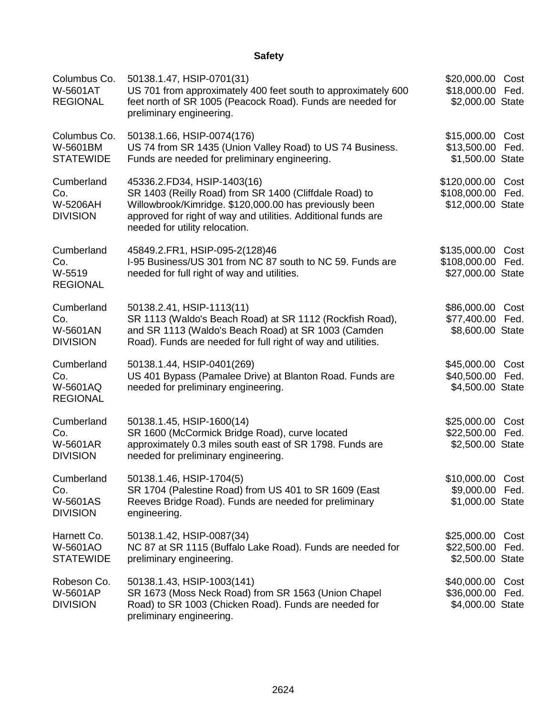## **Safety**

| Columbus Co.<br>W-5601AT<br><b>REGIONAL</b>             | 50138.1.47, HSIP-0701(31)<br>US 701 from approximately 400 feet south to approximately 600<br>feet north of SR 1005 (Peacock Road). Funds are needed for<br>preliminary engineering.                                                               | \$20,000.00 Cost<br>\$18,000.00 Fed.<br>\$2,000.00 State    |              |
|---------------------------------------------------------|----------------------------------------------------------------------------------------------------------------------------------------------------------------------------------------------------------------------------------------------------|-------------------------------------------------------------|--------------|
| Columbus Co.<br>W-5601BM<br><b>STATEWIDE</b>            | 50138.1.66, HSIP-0074(176)<br>US 74 from SR 1435 (Union Valley Road) to US 74 Business.<br>Funds are needed for preliminary engineering.                                                                                                           | \$15,000.00 Cost<br>\$13,500.00 Fed.<br>\$1,500.00 State    |              |
| Cumberland<br>Co.<br>W-5206AH<br><b>DIVISION</b>        | 45336.2.FD34, HSIP-1403(16)<br>SR 1403 (Reilly Road) from SR 1400 (Cliffdale Road) to<br>Willowbrook/Kimridge. \$120,000.00 has previously been<br>approved for right of way and utilities. Additional funds are<br>needed for utility relocation. | \$120,000.00 Cost<br>\$108,000.00 Fed.<br>\$12,000.00 State |              |
| Cumberland<br>Co.<br>W-5519<br><b>REGIONAL</b>          | 45849.2.FR1, HSIP-095-2(128)46<br>I-95 Business/US 301 from NC 87 south to NC 59. Funds are<br>needed for full right of way and utilities.                                                                                                         | \$135,000.00<br>\$108,000.00<br>\$27,000.00 State           | Cost<br>Fed. |
| Cumberland<br>Co.<br>W-5601AN<br><b>DIVISION</b>        | 50138.2.41, HSIP-1113(11)<br>SR 1113 (Waldo's Beach Road) at SR 1112 (Rockfish Road),<br>and SR 1113 (Waldo's Beach Road) at SR 1003 (Camden<br>Road). Funds are needed for full right of way and utilities.                                       | \$86,000.00 Cost<br>\$77,400.00 Fed.<br>\$8,600.00 State    |              |
| Cumberland<br>Co.<br>W-5601AQ<br><b>REGIONAL</b>        | 50138.1.44, HSIP-0401(269)<br>US 401 Bypass (Pamalee Drive) at Blanton Road. Funds are<br>needed for preliminary engineering.                                                                                                                      | \$45,000.00<br>\$40,500.00 Fed.<br>\$4,500.00 State         | Cost         |
| Cumberland<br>Co.<br><b>W-5601AR</b><br><b>DIVISION</b> | 50138.1.45, HSIP-1600(14)<br>SR 1600 (McCormick Bridge Road), curve located<br>approximately 0.3 miles south east of SR 1798. Funds are<br>needed for preliminary engineering.                                                                     | \$25,000.00<br>\$22,500.00 Fed.<br>\$2,500.00 State         | Cost         |
| Cumberland<br>Co.<br>W-5601AS<br><b>DIVISION</b>        | 50138.1.46, HSIP-1704(5)<br>SR 1704 (Palestine Road) from US 401 to SR 1609 (East<br>Reeves Bridge Road). Funds are needed for preliminary<br>engineering.                                                                                         | \$10,000.00 Cost<br>\$9,000.00 Fed.<br>\$1,000.00 State     |              |
| Harnett Co.<br>W-5601AO<br><b>STATEWIDE</b>             | 50138.1.42, HSIP-0087(34)<br>NC 87 at SR 1115 (Buffalo Lake Road). Funds are needed for<br>preliminary engineering.                                                                                                                                | \$25,000.00<br>\$22,500.00<br>\$2,500.00 State              | Cost<br>Fed. |
| Robeson Co.<br>W-5601AP<br><b>DIVISION</b>              | 50138.1.43, HSIP-1003(141)<br>SR 1673 (Moss Neck Road) from SR 1563 (Union Chapel<br>Road) to SR 1003 (Chicken Road). Funds are needed for<br>preliminary engineering.                                                                             | \$40,000.00<br>\$36,000.00<br>\$4,000.00 State              | Cost<br>Fed. |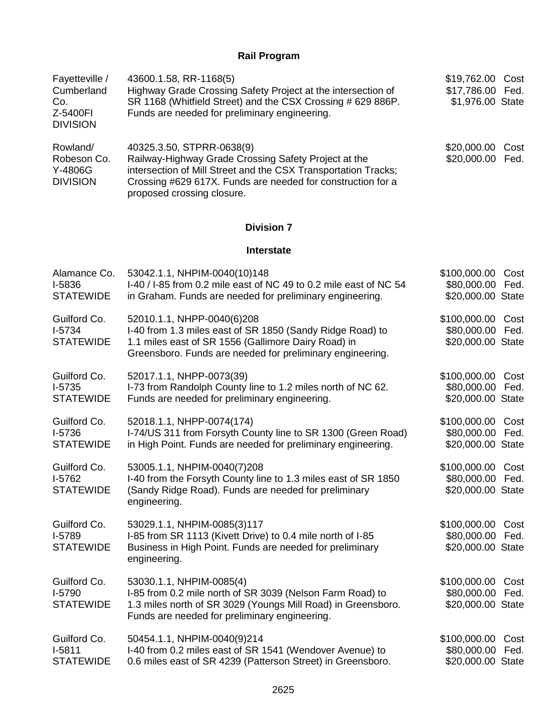#### **Rail Program**

| Fayetteville /<br>Cumberland<br>Co.<br>Z-5400FI<br><b>DIVISION</b> | 43600.1.58, RR-1168(5)<br>Highway Grade Crossing Safety Project at the intersection of<br>SR 1168 (Whitfield Street) and the CSX Crossing # 629 886P.<br>Funds are needed for preliminary engineering.                                           | \$19,762.00 Cost<br>\$17,786.00 Fed.<br>\$1,976.00 State         |
|--------------------------------------------------------------------|--------------------------------------------------------------------------------------------------------------------------------------------------------------------------------------------------------------------------------------------------|------------------------------------------------------------------|
| Rowland/<br>Robeson Co.<br>Y-4806G<br><b>DIVISION</b>              | 40325.3.50, STPRR-0638(9)<br>Railway-Highway Grade Crossing Safety Project at the<br>intersection of Mill Street and the CSX Transportation Tracks;<br>Crossing #629 617X. Funds are needed for construction for a<br>proposed crossing closure. | \$20,000.00<br>Cost<br>\$20,000.00<br>Fed.                       |
|                                                                    | <b>Division 7</b>                                                                                                                                                                                                                                |                                                                  |
|                                                                    | <b>Interstate</b>                                                                                                                                                                                                                                |                                                                  |
| Alamance Co.<br>I-5836<br><b>STATEWIDE</b>                         | 53042.1.1, NHPIM-0040(10)148<br>I-40 / I-85 from 0.2 mile east of NC 49 to 0.2 mile east of NC 54<br>in Graham. Funds are needed for preliminary engineering.                                                                                    | \$100,000.00<br>Cost<br>\$80,000.00 Fed.<br>\$20,000.00 State    |
| Guilford Co.<br>I-5734<br><b>STATEWIDE</b>                         | 52010.1.1, NHPP-0040(6)208<br>I-40 from 1.3 miles east of SR 1850 (Sandy Ridge Road) to<br>1.1 miles east of SR 1556 (Gallimore Dairy Road) in<br>Greensboro. Funds are needed for preliminary engineering.                                      | \$100,000.00 Cost<br>\$80,000.00 Fed.<br>\$20,000.00 State       |
| Guilford Co.<br>$I-5735$<br><b>STATEWIDE</b>                       | 52017.1.1, NHPP-0073(39)<br>I-73 from Randolph County line to 1.2 miles north of NC 62.<br>Funds are needed for preliminary engineering.                                                                                                         | \$100,000.00 Cost<br>\$80,000.00 Fed.<br>\$20,000.00 State       |
| Guilford Co.<br>I-5736<br><b>STATEWIDE</b>                         | 52018.1.1, NHPP-0074(174)<br>I-74/US 311 from Forsyth County line to SR 1300 (Green Road)<br>in High Point. Funds are needed for preliminary engineering.                                                                                        | \$100,000.00<br>Cost<br>\$80,000.00<br>Fed.<br>\$20,000.00 State |
| Guilford Co.<br>I-5762                                             | 53005.1.1, NHPIM-0040(7)208<br>I-40 from the Forsyth County line to 1.3 miles east of SR 1850                                                                                                                                                    | \$100,000.00 Cost<br>\$80,000.00 Fed.                            |

I-5762 **STATEWIDE** I-40 from the Forsyth County line to 1.3 miles east of SR 1850 (Sandy Ridge Road). Funds are needed for preliminary engineering.

Guilford Co. I-5789 **STATEWIDE** 53029.1.1, NHPIM-0085(3)117 I-85 from SR 1113 (Kivett Drive) to 0.4 mile north of I-85 Business in High Point. Funds are needed for preliminary engineering. \$100,000.00 Cost \$80,000.00 Fed. \$20,000.00 State Guilford Co. I-5790 53030.1.1, NHPIM-0085(4) I-85 from 0.2 mile north of SR 3039 (Nelson Farm Road) to \$100,000.00 Cost \$80,000.00 Fed.

\$20,000.00 State

| Funds are needed for preliminary engineering.               | \$20,000.00 State                                                                                                        |                  |
|-------------------------------------------------------------|--------------------------------------------------------------------------------------------------------------------------|------------------|
| 50454.1.1, NHPIM-0040(9)214                                 | \$100,000.00 Cost                                                                                                        |                  |
|                                                             |                                                                                                                          |                  |
| 0.6 miles east of SR 4239 (Patterson Street) in Greensboro. | \$20,000.00 State                                                                                                        |                  |
|                                                             | 1.3 miles north of SR 3029 (Youngs Mill Road) in Greensboro.<br>I-40 from 0.2 miles east of SR 1541 (Wendover Avenue) to | \$80,000.00 Fed. |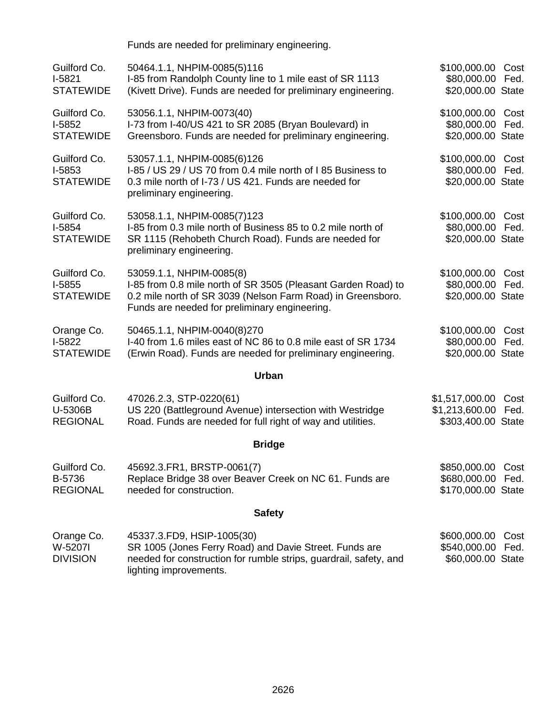|                                              | Funds are needed for preliminary engineering.                                                                                                                                                             |                                                        |              |
|----------------------------------------------|-----------------------------------------------------------------------------------------------------------------------------------------------------------------------------------------------------------|--------------------------------------------------------|--------------|
| Guilford Co.<br>$I-5821$<br><b>STATEWIDE</b> | 50464.1.1, NHPIM-0085(5)116<br>I-85 from Randolph County line to 1 mile east of SR 1113<br>(Kivett Drive). Funds are needed for preliminary engineering.                                                  | \$100,000.00<br>\$80,000.00<br>\$20,000.00 State       | Cost<br>Fed. |
| Guilford Co.<br>$I-5852$<br><b>STATEWIDE</b> | 53056.1.1, NHPIM-0073(40)<br>I-73 from I-40/US 421 to SR 2085 (Bryan Boulevard) in<br>Greensboro. Funds are needed for preliminary engineering.                                                           | \$100,000.00 Cost<br>\$80,000.00<br>\$20,000.00 State  | Fed.         |
| Guilford Co.<br>$I-5853$<br><b>STATEWIDE</b> | 53057.1.1, NHPIM-0085(6)126<br>I-85 / US 29 / US 70 from 0.4 mile north of 185 Business to<br>0.3 mile north of I-73 / US 421. Funds are needed for<br>preliminary engineering.                           | \$100,000.00 Cost<br>\$80,000.00<br>\$20,000.00 State  | Fed.         |
| Guilford Co.<br>I-5854<br><b>STATEWIDE</b>   | 53058.1.1, NHPIM-0085(7)123<br>I-85 from 0.3 mile north of Business 85 to 0.2 mile north of<br>SR 1115 (Rehobeth Church Road). Funds are needed for<br>preliminary engineering.                           | \$100,000.00<br>\$80,000.00<br>\$20,000.00 State       | Cost<br>Fed. |
| Guilford Co.<br>$I-5855$<br><b>STATEWIDE</b> | 53059.1.1, NHPIM-0085(8)<br>I-85 from 0.8 mile north of SR 3505 (Pleasant Garden Road) to<br>0.2 mile north of SR 3039 (Nelson Farm Road) in Greensboro.<br>Funds are needed for preliminary engineering. | \$100,000.00 Cost<br>\$80,000.00<br>\$20,000.00 State  | Fed.         |
| Orange Co.<br>$I-5822$<br><b>STATEWIDE</b>   | 50465.1.1, NHPIM-0040(8)270<br>I-40 from 1.6 miles east of NC 86 to 0.8 mile east of SR 1734<br>(Erwin Road). Funds are needed for preliminary engineering.                                               | \$100,000.00<br>\$80,000.00<br>\$20,000.00 State       | Cost<br>Fed. |
|                                              | <b>Urban</b>                                                                                                                                                                                              |                                                        |              |
| Guilford Co.<br>U-5306B<br><b>REGIONAL</b>   | 47026.2.3, STP-0220(61)<br>US 220 (Battleground Avenue) intersection with Westridge<br>Road. Funds are needed for full right of way and utilities.                                                        | \$1,517,000.00<br>\$1,213,600.00<br>\$303,400.00 State | Cost<br>Fed. |
|                                              | <b>Bridge</b>                                                                                                                                                                                             |                                                        |              |
| Guilford Co.<br>B-5736<br><b>REGIONAL</b>    | 45692.3.FR1, BRSTP-0061(7)<br>Replace Bridge 38 over Beaver Creek on NC 61. Funds are<br>needed for construction.                                                                                         | \$850,000.00<br>\$680,000.00<br>\$170,000.00 State     | Cost<br>Fed. |
|                                              | <b>Safety</b>                                                                                                                                                                                             |                                                        |              |
| Orange Co.<br>W-5207I<br><b>DIVISION</b>     | 45337.3.FD9, HSIP-1005(30)<br>SR 1005 (Jones Ferry Road) and Davie Street. Funds are<br>needed for construction for rumble strips, guardrail, safety, and                                                 | \$600,000.00<br>\$540,000.00<br>\$60,000.00 State      | Cost<br>Fed. |

lighting improvements.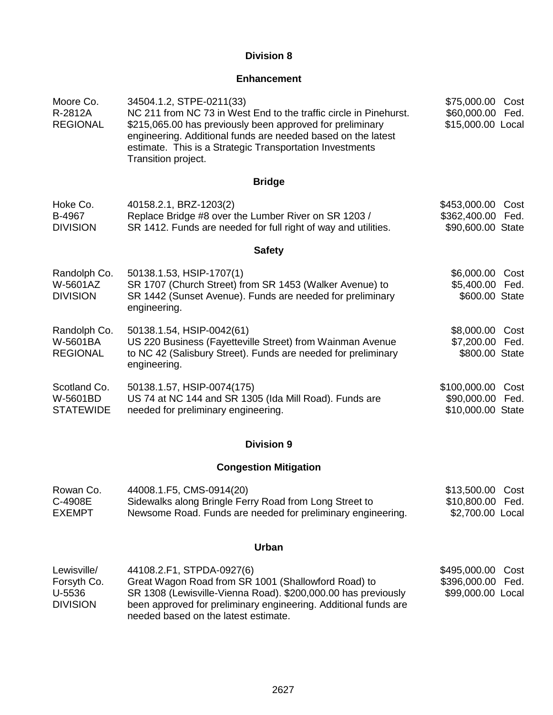### **Division 8**

### **Enhancement**

| Moore Co.<br>R-2812A<br><b>REGIONAL</b>      | 34504.1.2, STPE-0211(33)<br>NC 211 from NC 73 in West End to the traffic circle in Pinehurst.<br>\$215,065.00 has previously been approved for preliminary<br>engineering. Additional funds are needed based on the latest<br>estimate. This is a Strategic Transportation Investments<br>Transition project. | \$75,000.00 Cost<br>\$60,000.00<br>\$15,000.00 Local  | Fed.         |
|----------------------------------------------|---------------------------------------------------------------------------------------------------------------------------------------------------------------------------------------------------------------------------------------------------------------------------------------------------------------|-------------------------------------------------------|--------------|
|                                              | <b>Bridge</b>                                                                                                                                                                                                                                                                                                 |                                                       |              |
| Hoke Co.<br>B-4967<br><b>DIVISION</b>        | 40158.2.1, BRZ-1203(2)<br>Replace Bridge #8 over the Lumber River on SR 1203 /<br>SR 1412. Funds are needed for full right of way and utilities.                                                                                                                                                              | \$453,000.00<br>\$362,400.00<br>\$90,600.00 State     | Cost<br>Fed. |
|                                              | <b>Safety</b>                                                                                                                                                                                                                                                                                                 |                                                       |              |
| Randolph Co.<br>W-5601AZ<br><b>DIVISION</b>  | 50138.1.53, HSIP-1707(1)<br>SR 1707 (Church Street) from SR 1453 (Walker Avenue) to<br>SR 1442 (Sunset Avenue). Funds are needed for preliminary<br>engineering.                                                                                                                                              | \$6,000.00<br>\$5,400.00 Fed.<br>\$600.00 State       | Cost         |
| Randolph Co.<br>W-5601BA<br><b>REGIONAL</b>  | 50138.1.54, HSIP-0042(61)<br>US 220 Business (Fayetteville Street) from Wainman Avenue<br>to NC 42 (Salisbury Street). Funds are needed for preliminary<br>engineering.                                                                                                                                       | \$8,000.00 Cost<br>\$7,200.00 Fed.<br>\$800.00 State  |              |
| Scotland Co.<br>W-5601BD<br><b>STATEWIDE</b> | 50138.1.57, HSIP-0074(175)<br>US 74 at NC 144 and SR 1305 (Ida Mill Road). Funds are<br>needed for preliminary engineering.                                                                                                                                                                                   | \$100,000.00<br>\$90,000.00 Fed.<br>\$10,000.00 State | Cost         |

## **Division 9**

## **Congestion Mitigation**

| Rowan Co. | 44008.1.F5, CMS-0914(20)                                    | \$13,500.00 Cost |  |
|-----------|-------------------------------------------------------------|------------------|--|
| C-4908E   | Sidewalks along Bringle Ferry Road from Long Street to      |                  |  |
| EXEMPT    | Newsome Road. Funds are needed for preliminary engineering. | \$2,700.00 Local |  |

### **Urban**

| Lewisville/     | 44108.2.F1, STPDA-0927(6)                                       | \$495,000.00 Cost |  |
|-----------------|-----------------------------------------------------------------|-------------------|--|
| Forsyth Co.     | Great Wagon Road from SR 1001 (Shallowford Road) to             | \$396,000.00 Fed. |  |
| U-5536          | SR 1308 (Lewisville-Vienna Road). \$200,000.00 has previously   | \$99,000.00 Local |  |
| <b>DIVISION</b> | been approved for preliminary engineering. Additional funds are |                   |  |
|                 | needed based on the latest estimate.                            |                   |  |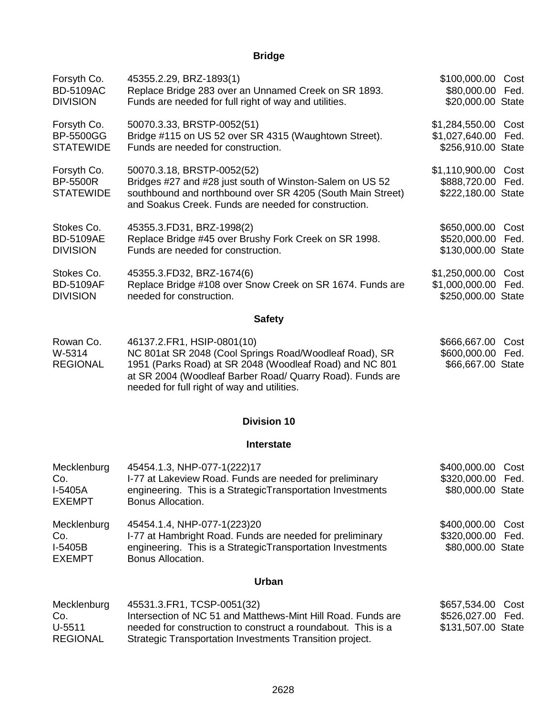## **Bridge**

| Forsyth Co.      | 45355.2.29, BRZ-1893(1)                                                                                            | \$100,000.00       | Cost |
|------------------|--------------------------------------------------------------------------------------------------------------------|--------------------|------|
| <b>BD-5109AC</b> | Replace Bridge 283 over an Unnamed Creek on SR 1893.                                                               | \$80,000.00        | Fed. |
| <b>DIVISION</b>  | Funds are needed for full right of way and utilities.                                                              | \$20,000.00 State  |      |
| Forsyth Co.      | 50070.3.33, BRSTP-0052(51)                                                                                         | \$1,284,550.00     | Cost |
| <b>BP-5500GG</b> | Bridge #115 on US 52 over SR 4315 (Waughtown Street).                                                              | \$1,027,640.00     | Fed. |
| <b>STATEWIDE</b> | Funds are needed for construction.                                                                                 | \$256,910.00 State |      |
| Forsyth Co.      | 50070.3.18, BRSTP-0052(52)                                                                                         | \$1,110,900.00     | Cost |
| <b>BP-5500R</b>  | Bridges #27 and #28 just south of Winston-Salem on US 52                                                           | \$888,720.00       | Fed. |
| <b>STATEWIDE</b> | southbound and northbound over SR 4205 (South Main Street)<br>and Soakus Creek. Funds are needed for construction. | \$222,180.00 State |      |
| Stokes Co.       | 45355.3.FD31, BRZ-1998(2)                                                                                          | \$650,000.00       | Cost |
| <b>BD-5109AE</b> | Replace Bridge #45 over Brushy Fork Creek on SR 1998.                                                              | \$520,000.00       | Fed. |
| <b>DIVISION</b>  | Funds are needed for construction.                                                                                 | \$130,000.00 State |      |
| Stokes Co.       | 45355.3.FD32, BRZ-1674(6)                                                                                          | \$1,250,000.00     | Cost |
| <b>BD-5109AF</b> | Replace Bridge #108 over Snow Creek on SR 1674. Funds are                                                          | \$1,000,000.00     | Fed. |
| <b>DIVISION</b>  | needed for construction.                                                                                           | \$250,000.00 State |      |
|                  | <b>Safety</b>                                                                                                      |                    |      |
| Rowan Co.        | 46137.2. FR1, HSIP-0801 (10)                                                                                       | \$666,667.00       | Cost |
| W-5314           | NC 801at SR 2048 (Cool Springs Road/Woodleaf Road), SR                                                             | \$600,000.00       | Fed. |

| W-5314          | NC 801at SR 2048 (Cool Springs Road/Woodleaf Road), SR    | \$600,000.00 Fed. |
|-----------------|-----------------------------------------------------------|-------------------|
| <b>REGIONAL</b> | 1951 (Parks Road) at SR 2048 (Woodleaf Road) and NC 801   | \$66,667.00 State |
|                 | at SR 2004 (Woodleaf Barber Road/ Quarry Road). Funds are |                   |
|                 | needed for full right of way and utilities.               |                   |
|                 |                                                           |                   |

### **Division 10**

#### **Interstate**

| Mecklenburg<br>Co.<br>I-5405A<br><b>EXEMPT</b>   | 45454.1.3, NHP-077-1(222)17<br>I-77 at Lakeview Road. Funds are needed for preliminary<br>engineering. This is a StrategicTransportation Investments<br>Bonus Allocation.  | \$400,000.00 Cost<br>\$320,000.00 Fed.<br>\$80,000.00 State |  |
|--------------------------------------------------|----------------------------------------------------------------------------------------------------------------------------------------------------------------------------|-------------------------------------------------------------|--|
| Mecklenburg<br>Co.<br>$I-5405B$<br><b>EXEMPT</b> | 45454.1.4, NHP-077-1(223)20<br>I-77 at Hambright Road. Funds are needed for preliminary<br>engineering. This is a StrategicTransportation Investments<br>Bonus Allocation. | \$400,000.00 Cost<br>\$320,000.00 Fed.<br>\$80,000.00 State |  |
|                                                  | <b>Urban</b>                                                                                                                                                               |                                                             |  |
| <b>Mooklophura</b>                               | AEE94.2 EDA. TCCD. AOE4 (22)                                                                                                                                               | CCTE2A00C201                                                |  |

| Mecklenburg     | 45531.3.FR1, ICSP-0051(32)                                   | \$657,534.00 Cost  |
|-----------------|--------------------------------------------------------------|--------------------|
| Co.             | Intersection of NC 51 and Matthews-Mint Hill Road. Funds are | \$526,027.00 Fed.  |
| U-5511          | needed for construction to construct a roundabout. This is a | \$131,507.00 State |
| <b>REGIONAL</b> | Strategic Transportation Investments Transition project.     |                    |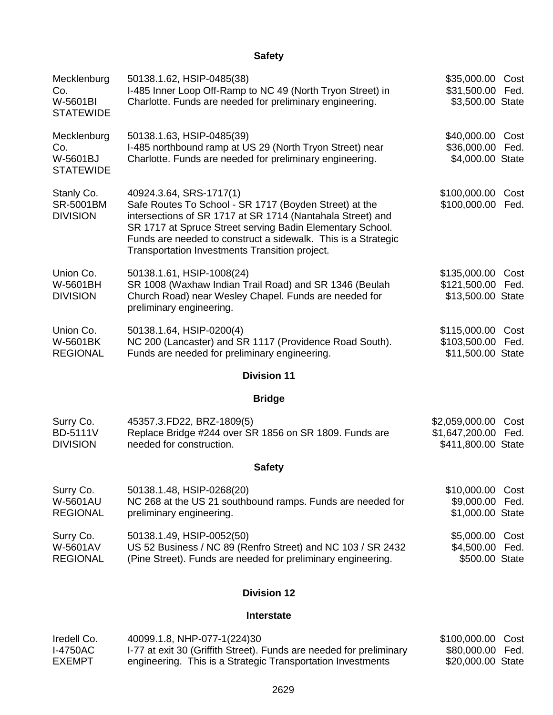## **Safety**

| Mecklenburg<br>Co.<br>W-5601BI<br><b>STATEWIDE</b> | 50138.1.62, HSIP-0485(38)<br>I-485 Inner Loop Off-Ramp to NC 49 (North Tryon Street) in<br>Charlotte. Funds are needed for preliminary engineering.                                                                                                                                                                             | \$35,000.00 Cost<br>\$31,500.00 Fed.<br>\$3,500.00 State    |              |
|----------------------------------------------------|---------------------------------------------------------------------------------------------------------------------------------------------------------------------------------------------------------------------------------------------------------------------------------------------------------------------------------|-------------------------------------------------------------|--------------|
| Mecklenburg<br>Co.<br>W-5601BJ<br><b>STATEWIDE</b> | 50138.1.63, HSIP-0485(39)<br>I-485 northbound ramp at US 29 (North Tryon Street) near<br>Charlotte. Funds are needed for preliminary engineering.                                                                                                                                                                               | \$40,000.00 Cost<br>\$36,000.00<br>\$4,000.00 State         | Fed.         |
| Stanly Co.<br><b>SR-5001BM</b><br><b>DIVISION</b>  | 40924.3.64, SRS-1717(1)<br>Safe Routes To School - SR 1717 (Boyden Street) at the<br>intersections of SR 1717 at SR 1714 (Nantahala Street) and<br>SR 1717 at Spruce Street serving Badin Elementary School.<br>Funds are needed to construct a sidewalk. This is a Strategic<br>Transportation Investments Transition project. | \$100,000.00<br>\$100,000.00                                | Cost<br>Fed. |
| Union Co.<br>W-5601BH<br><b>DIVISION</b>           | 50138.1.61, HSIP-1008(24)<br>SR 1008 (Waxhaw Indian Trail Road) and SR 1346 (Beulah<br>Church Road) near Wesley Chapel. Funds are needed for<br>preliminary engineering.                                                                                                                                                        | \$135,000.00 Cost<br>\$121,500.00 Fed.<br>\$13,500.00 State |              |
| Union Co.<br>W-5601BK<br><b>REGIONAL</b>           | 50138.1.64, HSIP-0200(4)<br>NC 200 (Lancaster) and SR 1117 (Providence Road South).<br>Funds are needed for preliminary engineering.                                                                                                                                                                                            | \$115,000.00<br>\$103,500.00<br>\$11,500.00 State           | Cost<br>Fed. |
|                                                    | <b>Division 11</b>                                                                                                                                                                                                                                                                                                              |                                                             |              |
|                                                    | <b>Bridge</b>                                                                                                                                                                                                                                                                                                                   |                                                             |              |
| Surry Co.<br><b>BD-5111V</b><br><b>DIVISION</b>    | 45357.3.FD22, BRZ-1809(5)<br>Replace Bridge #244 over SR 1856 on SR 1809. Funds are<br>needed for construction.                                                                                                                                                                                                                 | \$2,059,000.00<br>\$1,647,200.00<br>\$411,800.00 State      | Cost<br>Fed. |
|                                                    | <b>Safety</b>                                                                                                                                                                                                                                                                                                                   |                                                             |              |
| Surry Co.<br><b>W-5601AU</b><br><b>REGIONAL</b>    | 50138.1.48, HSIP-0268(20)<br>NC 268 at the US 21 southbound ramps. Funds are needed for<br>preliminary engineering.                                                                                                                                                                                                             | \$10,000.00 Cost<br>\$9,000.00 Fed.<br>\$1,000.00 State     |              |
| Surry Co.<br>W-5601AV<br><b>REGIONAL</b>           | 50138.1.49, HSIP-0052(50)<br>US 52 Business / NC 89 (Renfro Street) and NC 103 / SR 2432<br>(Pine Street). Funds are needed for preliminary engineering.                                                                                                                                                                        | \$5,000.00<br>\$4,500.00<br>\$500.00 State                  | Cost<br>Fed. |

## **Division 12**

#### **Interstate**

| Iredell Co. | 40099.1.8, NHP-077-1(224)30                                         | \$100,000.00 Cost |  |
|-------------|---------------------------------------------------------------------|-------------------|--|
| I-4750AC    | 1-77 at exit 30 (Griffith Street). Funds are needed for preliminary | \$80.000.00 Fed.  |  |
| EXEMPT      | engineering. This is a Strategic Transportation Investments         | \$20,000.00 State |  |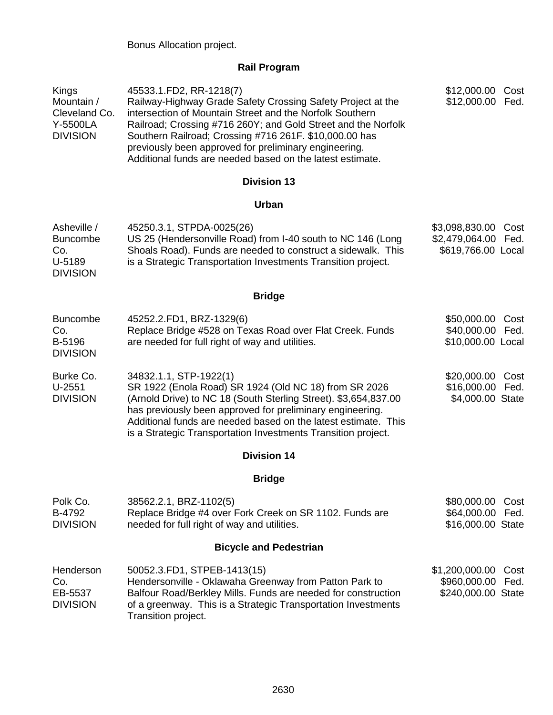## **Rail Program**

| Kings<br>Mountain /<br>Cleveland Co.<br>Y-5500LA<br><b>DIVISION</b> | 45533.1.FD2, RR-1218(7)<br>Railway-Highway Grade Safety Crossing Safety Project at the<br>intersection of Mountain Street and the Norfolk Southern<br>Railroad; Crossing #716 260Y; and Gold Street and the Norfolk<br>Southern Railroad; Crossing #716 261F. \$10,000.00 has<br>previously been approved for preliminary engineering.<br>Additional funds are needed based on the latest estimate. | \$12,000.00<br>Cost<br>\$12,000.00 Fed.                                |
|---------------------------------------------------------------------|-----------------------------------------------------------------------------------------------------------------------------------------------------------------------------------------------------------------------------------------------------------------------------------------------------------------------------------------------------------------------------------------------------|------------------------------------------------------------------------|
|                                                                     | <b>Division 13</b>                                                                                                                                                                                                                                                                                                                                                                                  |                                                                        |
|                                                                     | <b>Urban</b>                                                                                                                                                                                                                                                                                                                                                                                        |                                                                        |
| Asheville /<br><b>Buncombe</b><br>Co.<br>U-5189<br><b>DIVISION</b>  | 45250.3.1, STPDA-0025(26)<br>US 25 (Hendersonville Road) from I-40 south to NC 146 (Long<br>Shoals Road). Funds are needed to construct a sidewalk. This<br>is a Strategic Transportation Investments Transition project.                                                                                                                                                                           | \$3,098,830.00<br>Cost<br>\$2,479,064.00<br>Fed.<br>\$619,766.00 Local |
|                                                                     | <b>Bridge</b>                                                                                                                                                                                                                                                                                                                                                                                       |                                                                        |
| <b>Buncombe</b><br>Co.<br>B-5196<br><b>DIVISION</b>                 | 45252.2.FD1, BRZ-1329(6)<br>Replace Bridge #528 on Texas Road over Flat Creek. Funds<br>are needed for full right of way and utilities.                                                                                                                                                                                                                                                             | \$50,000.00 Cost<br>\$40,000.00 Fed.<br>\$10,000.00 Local              |
| Burke Co.<br>$U-2551$<br><b>DIVISION</b>                            | 34832.1.1, STP-1922(1)<br>SR 1922 (Enola Road) SR 1924 (Old NC 18) from SR 2026<br>(Arnold Drive) to NC 18 (South Sterling Street). \$3,654,837.00<br>has previously been approved for preliminary engineering.<br>Additional funds are needed based on the latest estimate. This<br>is a Strategic Transportation Investments Transition project.                                                  | \$20,000.00 Cost<br>\$16,000.00 Fed.<br>\$4,000.00 State               |
|                                                                     | <b>Division 14</b>                                                                                                                                                                                                                                                                                                                                                                                  |                                                                        |
|                                                                     | <b>Bridge</b>                                                                                                                                                                                                                                                                                                                                                                                       |                                                                        |
| Polk Co.<br>B-4792<br><b>DIVISION</b>                               | 38562.2.1, BRZ-1102(5)<br>Replace Bridge #4 over Fork Creek on SR 1102. Funds are<br>needed for full right of way and utilities.                                                                                                                                                                                                                                                                    | \$80,000.00 Cost<br>\$64,000.00 Fed.<br>\$16,000.00 State              |
|                                                                     | <b>Bicycle and Pedestrian</b>                                                                                                                                                                                                                                                                                                                                                                       |                                                                        |
| Henderson<br>Co.<br>EB-5537<br><b>DIVISION</b>                      | 50052.3.FD1, STPEB-1413(15)<br>Hendersonville - Oklawaha Greenway from Patton Park to<br>Balfour Road/Berkley Mills. Funds are needed for construction<br>of a greenway. This is a Strategic Transportation Investments<br>Transition project.                                                                                                                                                      | \$1,200,000.00<br>Cost<br>\$960,000.00<br>Fed.<br>\$240,000.00 State   |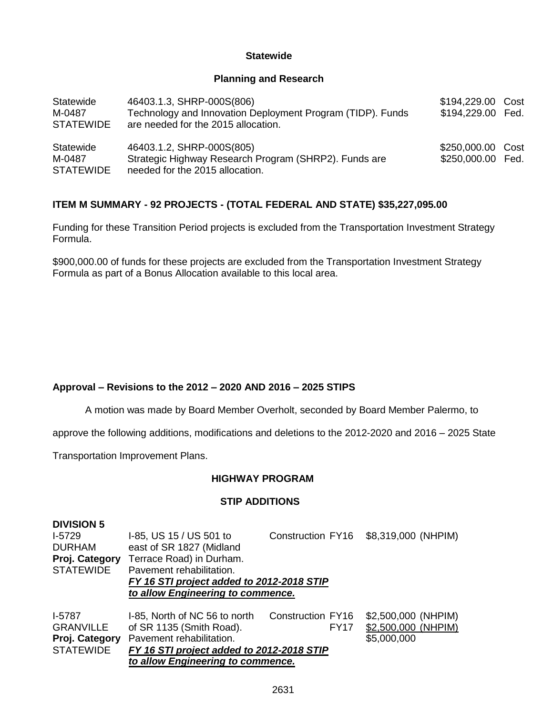#### **Statewide**

#### **Planning and Research**

| Statewide<br>M-0487<br><b>STATEWIDE</b> | 46403.1.3, SHRP-000S(806)<br>Technology and Innovation Deployment Program (TIDP). Funds<br>are needed for the 2015 allocation. | \$194,229.00 Cost<br>\$194,229.00 Fed. |  |
|-----------------------------------------|--------------------------------------------------------------------------------------------------------------------------------|----------------------------------------|--|
| Statewide<br>M-0487<br><b>STATEWIDE</b> | 46403.1.2, SHRP-000S(805)<br>Strategic Highway Research Program (SHRP2). Funds are<br>needed for the 2015 allocation.          | \$250,000.00 Cost<br>\$250,000.00 Fed. |  |

### **ITEM M SUMMARY - 92 PROJECTS - (TOTAL FEDERAL AND STATE) \$35,227,095.00**

Funding for these Transition Period projects is excluded from the Transportation Investment Strategy Formula.

\$900,000.00 of funds for these projects are excluded from the Transportation Investment Strategy Formula as part of a Bonus Allocation available to this local area.

### **Approval – Revisions to the 2012 – 2020 AND 2016 – 2025 STIPS**

A motion was made by Board Member Overholt, seconded by Board Member Palermo, to

approve the following additions, modifications and deletions to the 2012-2020 and 2016 – 2025 State

Transportation Improvement Plans.

#### **HIGHWAY PROGRAM**

#### **STIP ADDITIONS**

| <b>DIVISION 5</b> |                                           |                   |                     |
|-------------------|-------------------------------------------|-------------------|---------------------|
| $1-5729$          | I-85, US 15 / US 501 to                   | Construction FY16 | \$8,319,000 (NHPIM) |
| <b>DURHAM</b>     | east of SR 1827 (Midland                  |                   |                     |
| Proj. Category    | Terrace Road) in Durham.                  |                   |                     |
| <b>STATEWIDE</b>  | Pavement rehabilitation.                  |                   |                     |
|                   | FY 16 STI project added to 2012-2018 STIP |                   |                     |
|                   | to allow Engineering to commence.         |                   |                     |
| <b>I-5787</b>     | I-85, North of NC 56 to north             | Construction FY16 | \$2,500,000 (NHPIM) |
| <b>GRANVILLE</b>  | of SR 1135 (Smith Road).                  | <b>FY17</b>       | \$2,500,000 (NHPIM) |
| Proj. Category    | Pavement rehabilitation.                  |                   | \$5,000,000         |
| <b>STATEWIDE</b>  | FY 16 STI project added to 2012-2018 STIP |                   |                     |
|                   | to allow Engineering to commence.         |                   |                     |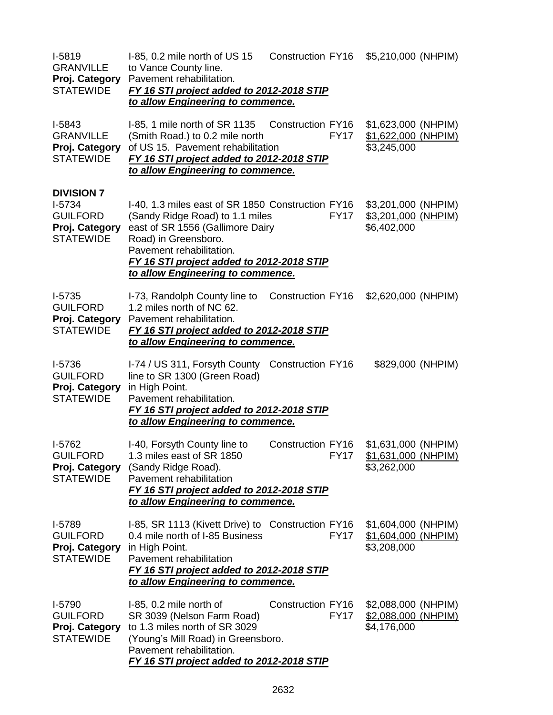| I-5819<br><b>GRANVILLE</b><br>Proj. Category<br><b>STATEWIDE</b>                       | I-85, 0.2 mile north of US 15<br>to Vance County line.<br>Pavement rehabilitation.<br>FY 16 STI project added to 2012-2018 STIP<br>to allow Engineering to commence.                                                                                           | <b>Construction FY16</b> |             | \$5,210,000 (NHPIM)                                       |
|----------------------------------------------------------------------------------------|----------------------------------------------------------------------------------------------------------------------------------------------------------------------------------------------------------------------------------------------------------------|--------------------------|-------------|-----------------------------------------------------------|
| I-5843<br><b>GRANVILLE</b><br>Proj. Category<br><b>STATEWIDE</b>                       | I-85, 1 mile north of SR 1135<br>(Smith Road.) to 0.2 mile north<br>of US 15. Pavement rehabilitation<br>FY 16 STI project added to 2012-2018 STIP<br>to allow Engineering to commence.                                                                        | <b>Construction FY16</b> | <b>FY17</b> | \$1,623,000 (NHPIM)<br>\$1,622,000 (NHPIM)<br>\$3,245,000 |
| <b>DIVISION 7</b><br>$I-5734$<br><b>GUILFORD</b><br>Proj. Category<br><b>STATEWIDE</b> | I-40, 1.3 miles east of SR 1850 Construction FY16<br>(Sandy Ridge Road) to 1.1 miles<br>east of SR 1556 (Gallimore Dairy<br>Road) in Greensboro.<br>Pavement rehabilitation.<br>FY 16 STI project added to 2012-2018 STIP<br>to allow Engineering to commence. |                          | <b>FY17</b> | \$3,201,000 (NHPIM)<br>\$3,201,000 (NHPIM)<br>\$6,402,000 |
| $I-5735$<br><b>GUILFORD</b><br>Proj. Category<br><b>STATEWIDE</b>                      | I-73, Randolph County line to<br>1.2 miles north of NC 62.<br>Pavement rehabilitation.<br>FY 16 STI project added to 2012-2018 STIP<br>to allow Engineering to commence.                                                                                       | Construction FY16        |             | \$2,620,000 (NHPIM)                                       |
| $I-5736$<br><b>GUILFORD</b><br>Proj. Category<br><b>STATEWIDE</b>                      | I-74 / US 311, Forsyth County Construction FY16<br>line to SR 1300 (Green Road)<br>in High Point.<br>Pavement rehabilitation.<br>FY 16 STI project added to 2012-2018 STIP<br>to allow Engineering to commence.                                                |                          |             | \$829,000 (NHPIM)                                         |
| I-5762<br><b>GUILFORD</b><br>Proj. Category<br><b>STATEWIDE</b>                        | I-40, Forsyth County line to<br>1.3 miles east of SR 1850<br>(Sandy Ridge Road).<br>Pavement rehabilitation<br>FY 16 STI project added to 2012-2018 STIP<br>to allow Engineering to commence.                                                                  | Construction FY16        | <b>FY17</b> | \$1,631,000 (NHPIM)<br>\$1,631,000 (NHPIM)<br>\$3,262,000 |
| I-5789<br><b>GUILFORD</b><br>Proj. Category<br><b>STATEWIDE</b>                        | I-85, SR 1113 (Kivett Drive) to Construction FY16<br>0.4 mile north of I-85 Business<br>in High Point.<br>Pavement rehabilitation<br>FY 16 STI project added to 2012-2018 STIP<br>to allow Engineering to commence.                                            |                          | <b>FY17</b> | \$1,604,000 (NHPIM)<br>\$1,604,000 (NHPIM)<br>\$3,208,000 |
| I-5790<br><b>GUILFORD</b><br>Proj. Category<br><b>STATEWIDE</b>                        | I-85, 0.2 mile north of<br>SR 3039 (Nelson Farm Road)<br>to 1.3 miles north of SR 3029<br>(Young's Mill Road) in Greensboro.<br>Pavement rehabilitation.<br>FY 16 STI project added to 2012-2018 STIP                                                          | Construction FY16        | <b>FY17</b> | \$2,088,000 (NHPIM)<br>\$2,088,000 (NHPIM)<br>\$4,176,000 |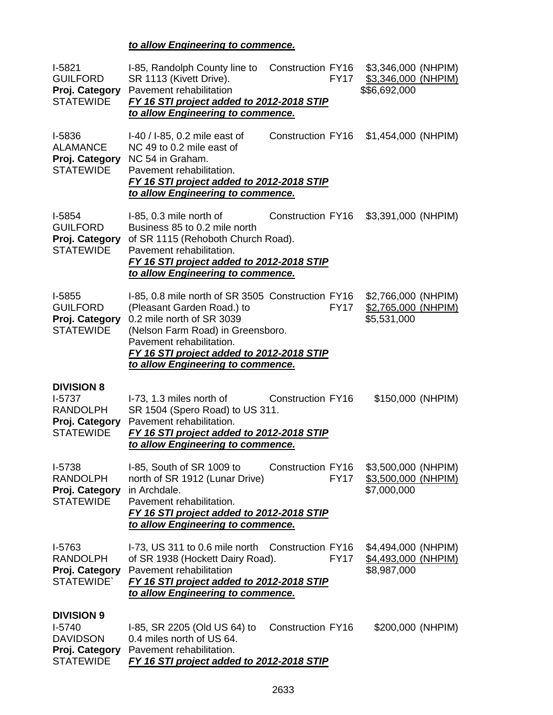## *to allow Engineering to commence.*

| $I-5821$<br><b>GUILFORD</b><br>Proj. Category<br><b>STATEWIDE</b>                      | I-85, Randolph County line to Construction FY16<br>SR 1113 (Kivett Drive).<br>Pavement rehabilitation<br>FY 16 STI project added to 2012-2018 STIP<br>to allow Engineering to commence.                                                                         | <b>FY17</b>                             | \$3,346,000 (NHPIM)<br>\$3,346,000 (NHPIM)<br>\$\$6,692,000 |
|----------------------------------------------------------------------------------------|-----------------------------------------------------------------------------------------------------------------------------------------------------------------------------------------------------------------------------------------------------------------|-----------------------------------------|-------------------------------------------------------------|
| I-5836<br><b>ALAMANCE</b><br>Proj. Category<br><b>STATEWIDE</b>                        | I-40 / I-85, 0.2 mile east of<br>NC 49 to 0.2 mile east of<br>NC 54 in Graham.<br>Pavement rehabilitation.<br>FY 16 STI project added to 2012-2018 STIP<br>to allow Engineering to commence.                                                                    |                                         | Construction FY16 \$1,454,000 (NHPIM)                       |
| $I-5854$<br><b>GUILFORD</b><br>Proj. Category<br><b>STATEWIDE</b>                      | I-85, 0.3 mile north of<br>Business 85 to 0.2 mile north<br>of SR 1115 (Rehoboth Church Road).<br>Pavement rehabilitation.<br>FY 16 STI project added to 2012-2018 STIP<br>to allow Engineering to commence.                                                    | Construction FY16                       | \$3,391,000 (NHPIM)                                         |
| $I-5855$<br><b>GUILFORD</b><br>Proj. Category<br><b>STATEWIDE</b>                      | I-85, 0.8 mile north of SR 3505 Construction FY16<br>(Pleasant Garden Road.) to<br>0.2 mile north of SR 3039<br>(Nelson Farm Road) in Greensboro.<br>Pavement rehabilitation.<br>FY 16 STI project added to 2012-2018 STIP<br>to allow Engineering to commence. | <b>FY17</b>                             | \$2,766,000 (NHPIM)<br>\$2,765,000 (NHPIM)<br>\$5,531,000   |
| <b>DIVISION 8</b><br>$I-5737$<br><b>RANDOLPH</b><br>Proj. Category<br><b>STATEWIDE</b> | I-73, 1.3 miles north of<br>SR 1504 (Spero Road) to US 311.<br>Pavement rehabilitation.<br>FY 16 STI project added to 2012-2018 STIP<br>to allow Engineering to commence.                                                                                       | <b>Construction FY16</b>                | \$150,000 (NHPIM)                                           |
| I-5738<br><b>RANDOLPH</b><br>Proj. Category<br><b>STATEWIDE</b>                        | I-85, South of SR 1009 to<br>north of SR 1912 (Lunar Drive)<br>in Archdale.<br>Pavement rehabilitation.<br>FY 16 STI project added to 2012-2018 STIP<br>to allow Engineering to commence.                                                                       | <b>Construction FY16</b><br><b>FY17</b> | \$3,500,000 (NHPIM)<br>\$3,500,000 (NHPIM)<br>\$7,000,000   |
| I-5763<br><b>RANDOLPH</b><br>Proj. Category<br><b>STATEWIDE</b>                        | I-73, US 311 to 0.6 mile north Construction FY16<br>of SR 1938 (Hockett Dairy Road).<br>Pavement rehabilitation<br>FY 16 STI project added to 2012-2018 STIP<br>to allow Engineering to commence.                                                               | <b>FY17</b>                             | \$4,494,000 (NHPIM)<br>\$4,493,000 (NHPIM)<br>\$8,987,000   |
| <b>DIVISION 9</b><br>$I-5740$<br><b>DAVIDSON</b><br>Proj. Category<br><b>STATEWIDE</b> | I-85, SR 2205 (Old US 64) to<br>0.4 miles north of US 64.<br>Pavement rehabilitation.<br>FY 16 STI project added to 2012-2018 STIP                                                                                                                              | <b>Construction FY16</b>                | \$200,000 (NHPIM)                                           |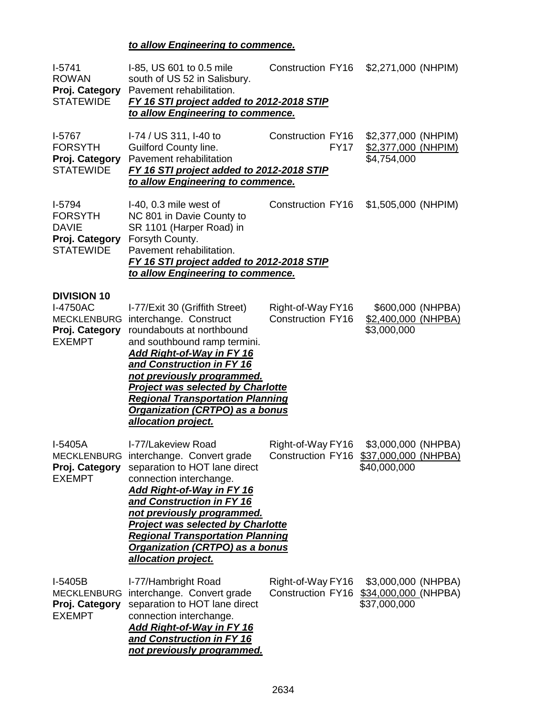## *to allow Engineering to commence.*

| $I-5741$<br><b>ROWAN</b><br>Proj. Category<br><b>STATEWIDE</b>                 | 1-85, US 601 to 0.5 mile<br>south of US 52 in Salisbury.<br>Pavement rehabilitation.<br>FY 16 STI project added to 2012-2018 STIP<br>to allow Engineering to commence.                                                                                                                                                                                                            | <b>Construction FY16</b>                      | \$2,271,000 (NHPIM)                                         |
|--------------------------------------------------------------------------------|-----------------------------------------------------------------------------------------------------------------------------------------------------------------------------------------------------------------------------------------------------------------------------------------------------------------------------------------------------------------------------------|-----------------------------------------------|-------------------------------------------------------------|
| $I-5767$<br><b>FORSYTH</b><br>Proj. Category<br><b>STATEWIDE</b>               | I-74 / US 311, I-40 to<br><b>Guilford County line.</b><br>Pavement rehabilitation<br>FY 16 STI project added to 2012-2018 STIP<br>to allow Engineering to commence.                                                                                                                                                                                                               | Construction FY16<br><b>FY17</b>              | \$2,377,000 (NHPIM)<br>\$2,377,000 (NHPIM)<br>\$4,754,000   |
| I-5794<br><b>FORSYTH</b><br><b>DAVIE</b><br>Proj. Category<br><b>STATEWIDE</b> | I-40, 0.3 mile west of<br>NC 801 in Davie County to<br>SR 1101 (Harper Road) in<br>Forsyth County.<br>Pavement rehabilitation.<br>FY 16 STI project added to 2012-2018 STIP<br>to allow Engineering to commence.                                                                                                                                                                  | Construction FY16                             | \$1,505,000 (NHPIM)                                         |
| <b>DIVISION 10</b><br>I-4750AC<br>Proj. Category<br><b>EXEMPT</b>              | I-77/Exit 30 (Griffith Street)<br>MECKLENBURG interchange. Construct<br>roundabouts at northbound<br>and southbound ramp termini.<br><u>Add Right-of-Way in FY 16</u><br>and Construction in FY 16<br>not previously programmed.<br><b>Project was selected by Charlotte</b><br><b>Regional Transportation Planning</b><br>Organization (CRTPO) as a bonus<br>allocation project. | Right-of-Way FY16<br><b>Construction FY16</b> | \$600,000 (NHPBA)<br>\$2,400,000 (NHPBA)<br>\$3,000,000     |
| I-5405A<br>Proj. Category<br><b>EXEMPT</b>                                     | I-77/Lakeview Road<br>MECKLENBURG interchange. Convert grade<br>separation to HOT lane direct<br>connection interchange.<br>Add Right-of-Way in FY 16<br>and Construction in FY 16<br>not previously programmed.<br><b>Project was selected by Charlotte</b><br><b>Regional Transportation Planning</b><br>Organization (CRTPO) as a bonus<br>allocation project.                 | Right-of-Way FY16<br>Construction FY16        | \$3,000,000 (NHPBA)<br>\$37,000,000 (NHPBA)<br>\$40,000,000 |
| I-5405B<br><b>MECKLENBURG</b><br>Proj. Category<br><b>EXEMPT</b>               | I-77/Hambright Road<br>interchange. Convert grade<br>separation to HOT lane direct<br>connection interchange.<br>Add Right-of-Way in FY 16<br>and Construction in FY 16<br>not previously programmed.                                                                                                                                                                             | Right-of-Way FY16<br><b>Construction FY16</b> | \$3,000,000 (NHPBA)<br>\$34,000,000 (NHPBA)<br>\$37,000,000 |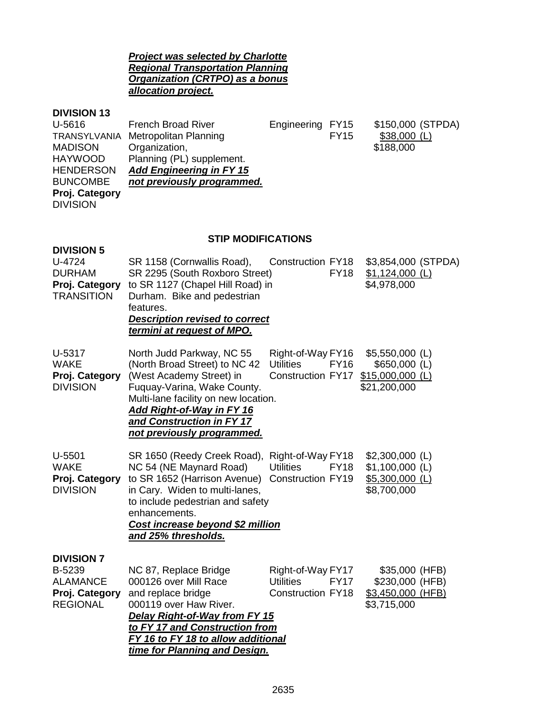#### *Project was selected by Charlotte Regional Transportation Planning Organization (CRTPO) as a bonus allocation project.*

#### **DIVISION 13**

| U-5616           | <b>French Broad River</b>          | Engineering FY15 |             | \$150,000 (STPDA) |
|------------------|------------------------------------|------------------|-------------|-------------------|
|                  | TRANSYLVANIA Metropolitan Planning |                  | <b>FY15</b> | $$38,000$ (L)     |
| <b>MADISON</b>   | Organization,                      |                  |             | \$188,000         |
| <b>HAYWOOD</b>   | Planning (PL) supplement.          |                  |             |                   |
| <b>HENDERSON</b> | <b>Add Engineering in FY 15</b>    |                  |             |                   |
| <b>BUNCOMBE</b>  | not previously programmed.         |                  |             |                   |
| Proj. Category   |                                    |                  |             |                   |
| <b>DIVISION</b>  |                                    |                  |             |                   |
|                  |                                    |                  |             |                   |

### **STIP MODIFICATIONS**

| <b>DIVISION 5</b><br>U-4724<br><b>DURHAM</b><br>Proj. Category<br><b>TRANSITION</b> | SR 1158 (Cornwallis Road),<br>SR 2295 (South Roxboro Street)<br>to SR 1127 (Chapel Hill Road) in<br>Durham. Bike and pedestrian<br>features.<br><b>Description revised to correct</b><br>termini at request of MPO.                                   | <b>Construction FY18</b><br><b>FY18</b>                                          | \$3,854,000 (STPDA)<br>$$1,124,000$ (L)<br>\$4,978,000                  |
|-------------------------------------------------------------------------------------|-------------------------------------------------------------------------------------------------------------------------------------------------------------------------------------------------------------------------------------------------------|----------------------------------------------------------------------------------|-------------------------------------------------------------------------|
| U-5317<br><b>WAKE</b><br>Proj. Category<br><b>DIVISION</b>                          | North Judd Parkway, NC 55<br>(North Broad Street) to NC 42<br>(West Academy Street) in<br>Fuquay-Varina, Wake County.<br>Multi-lane facility on new location.<br>Add Right-of-Way in FY 16<br>and Construction in FY 17<br>not previously programmed. | Right-of-Way FY16<br><b>Utilities</b><br><b>FY16</b><br>Construction FY17        | $$5,550,000$ (L)<br>$$650,000$ (L)<br>$$15,000,000$ (L)<br>\$21,200,000 |
| $U-5501$<br><b>WAKE</b><br>Proj. Category<br><b>DIVISION</b>                        | SR 1650 (Reedy Creek Road),<br>NC 54 (NE Maynard Road)<br>to SR 1652 (Harrison Avenue)<br>in Cary. Widen to multi-lanes,<br>to include pedestrian and safety<br>enhancements.<br>Cost increase beyond \$2 million<br>and 25% thresholds.              | Right-of-Way FY18<br><b>Utilities</b><br><b>FY18</b><br>Construction FY19        | $$2,300,000$ (L)<br>$$1,100,000$ (L)<br>$$5,300,000$ (L)<br>\$8,700,000 |
| <b>DIVISION 7</b><br>B-5239<br><b>ALAMANCE</b><br>Proj. Category<br><b>REGIONAL</b> | NC 87, Replace Bridge<br>000126 over Mill Race<br>and replace bridge<br>000119 over Haw River.<br>Delay Right-of-Way from FY 15<br>to FY 17 and Construction from<br>FY 16 to FY 18 to allow additional<br>time for Planning and Design.              | Right-of-Way FY17<br><b>Utilities</b><br><b>FY17</b><br><b>Construction FY18</b> | \$35,000 (HFB)<br>\$230,000 (HFB)<br>\$3,450,000 (HFB)<br>\$3,715,000   |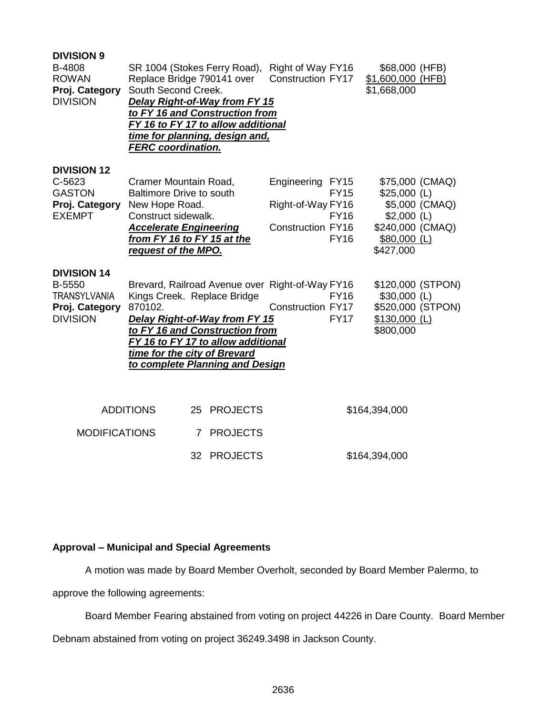| <b>DIVISION 9</b>                                                                        |                                                                                                                                                                                                                                                                       |                      |                                                                   |                                           |                                                                                        |
|------------------------------------------------------------------------------------------|-----------------------------------------------------------------------------------------------------------------------------------------------------------------------------------------------------------------------------------------------------------------------|----------------------|-------------------------------------------------------------------|-------------------------------------------|----------------------------------------------------------------------------------------|
| B-4808<br><b>ROWAN</b><br>Proj. Category                                                 | SR 1004 (Stokes Ferry Road),<br>Replace Bridge 790141 over<br>South Second Creek.                                                                                                                                                                                     |                      | Right of Way FY16<br><b>Construction FY17</b>                     |                                           | \$68,000 (HFB)<br>\$1,600,000 (HFB)<br>\$1,668,000                                     |
| <b>DIVISION</b>                                                                          | Delay Right-of-Way from FY 15<br>to FY 16 and Construction from<br>FY 16 to FY 17 to allow additional<br>time for planning, design and,<br><b>FERC</b> coordination.                                                                                                  |                      |                                                                   |                                           |                                                                                        |
| <b>DIVISION 12</b><br>C-5623<br><b>GASTON</b><br>Proj. Category<br><b>EXEMPT</b>         | Cramer Mountain Road,<br><b>Baltimore Drive to south</b><br>New Hope Road.<br>Construct sidewalk.<br><b>Accelerate Engineering</b>                                                                                                                                    |                      | Engineering FY15<br>Right-of-Way FY16<br><b>Construction FY16</b> | <b>FY15</b><br><b>FY16</b><br><b>FY16</b> | \$75,000 (CMAQ)<br>$$25,000$ (L)<br>\$5,000 (CMAQ)<br>$$2,000$ (L)<br>\$240,000 (CMAQ) |
|                                                                                          | from FY 16 to FY 15 at the<br>request of the MPO.                                                                                                                                                                                                                     |                      |                                                                   |                                           | \$80,000 (L)<br>\$427,000                                                              |
| <b>DIVISION 14</b><br>B-5550<br><b>TRANSYLVANIA</b><br>Proj. Category<br><b>DIVISION</b> | Brevard, Railroad Avenue over Right-of-Way FY16<br>Kings Creek. Replace Bridge<br>870102.<br>Delay Right-of-Way from FY 15<br>to FY 16 and Construction from<br>FY 16 to FY 17 to allow additional<br>time for the city of Brevard<br>to complete Planning and Design |                      | <b>Construction FY17</b>                                          | <b>FY16</b><br><b>FY17</b>                | \$120,000 (STPON)<br>$$30,000$ (L)<br>\$520,000 (STPON)<br>$$130,000$ (L)<br>\$800,000 |
|                                                                                          | <b>ADDITIONS</b>                                                                                                                                                                                                                                                      | 25 PROJECTS          |                                                                   |                                           | \$164,394,000                                                                          |
| <b>MODIFICATIONS</b>                                                                     |                                                                                                                                                                                                                                                                       | <b>PROJECTS</b><br>7 |                                                                   |                                           |                                                                                        |
|                                                                                          |                                                                                                                                                                                                                                                                       | 32 PROJECTS          |                                                                   |                                           | \$164,394,000                                                                          |

### **Approval – Municipal and Special Agreements**

A motion was made by Board Member Overholt, seconded by Board Member Palermo, to

approve the following agreements:

Board Member Fearing abstained from voting on project 44226 in Dare County. Board Member

Debnam abstained from voting on project 36249.3498 in Jackson County.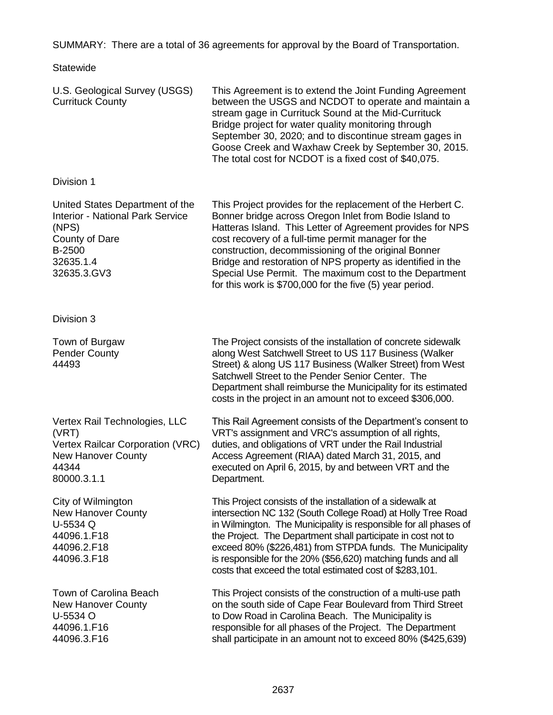SUMMARY: There are a total of 36 agreements for approval by the Board of Transportation.

**Statewide** 

| U.S. Geological Survey (USGS)<br><b>Currituck County</b>                                                                                    | This Agreement is to extend the Joint Funding Agreement<br>between the USGS and NCDOT to operate and maintain a<br>stream gage in Currituck Sound at the Mid-Currituck<br>Bridge project for water quality monitoring through<br>September 30, 2020; and to discontinue stream gages in<br>Goose Creek and Waxhaw Creek by September 30, 2015.<br>The total cost for NCDOT is a fixed cost of \$40,075.                                                                                 |
|---------------------------------------------------------------------------------------------------------------------------------------------|-----------------------------------------------------------------------------------------------------------------------------------------------------------------------------------------------------------------------------------------------------------------------------------------------------------------------------------------------------------------------------------------------------------------------------------------------------------------------------------------|
| Division 1                                                                                                                                  |                                                                                                                                                                                                                                                                                                                                                                                                                                                                                         |
| United States Department of the<br><b>Interior - National Park Service</b><br>(NPS)<br>County of Dare<br>B-2500<br>32635.1.4<br>32635.3.GV3 | This Project provides for the replacement of the Herbert C.<br>Bonner bridge across Oregon Inlet from Bodie Island to<br>Hatteras Island. This Letter of Agreement provides for NPS<br>cost recovery of a full-time permit manager for the<br>construction, decommissioning of the original Bonner<br>Bridge and restoration of NPS property as identified in the<br>Special Use Permit. The maximum cost to the Department<br>for this work is \$700,000 for the five (5) year period. |
| Division 3                                                                                                                                  |                                                                                                                                                                                                                                                                                                                                                                                                                                                                                         |
| Town of Burgaw<br><b>Pender County</b><br>44493                                                                                             | The Project consists of the installation of concrete sidewalk<br>along West Satchwell Street to US 117 Business (Walker<br>Street) & along US 117 Business (Walker Street) from West<br>Satchwell Street to the Pender Senior Center. The<br>Department shall reimburse the Municipality for its estimated<br>costs in the project in an amount not to exceed \$306,000.                                                                                                                |
| Vertex Rail Technologies, LLC<br>(VRT)<br>Vertex Railcar Corporation (VRC)<br><b>New Hanover County</b><br>44344<br>80000.3.1.1             | This Rail Agreement consists of the Department's consent to<br>VRT's assignment and VRC's assumption of all rights,<br>duties, and obligations of VRT under the Rail Industrial<br>Access Agreement (RIAA) dated March 31, 2015, and<br>executed on April 6, 2015, by and between VRT and the<br>Department.                                                                                                                                                                            |
| City of Wilmington<br><b>New Hanover County</b><br>U-5534 Q<br>44096.1.F18<br>44096.2.F18<br>44096.3.F18                                    | This Project consists of the installation of a sidewalk at<br>intersection NC 132 (South College Road) at Holly Tree Road<br>in Wilmington. The Municipality is responsible for all phases of<br>the Project. The Department shall participate in cost not to<br>exceed 80% (\$226,481) from STPDA funds. The Municipality<br>is responsible for the 20% (\$56,620) matching funds and all<br>costs that exceed the total estimated cost of \$283,101.                                  |
| Town of Carolina Beach<br>New Hanover County<br>U-5534 O<br>44096.1.F16<br>44096.3.F16                                                      | This Project consists of the construction of a multi-use path<br>on the south side of Cape Fear Boulevard from Third Street<br>to Dow Road in Carolina Beach. The Municipality is<br>responsible for all phases of the Project. The Department<br>shall participate in an amount not to exceed 80% (\$425,639)                                                                                                                                                                          |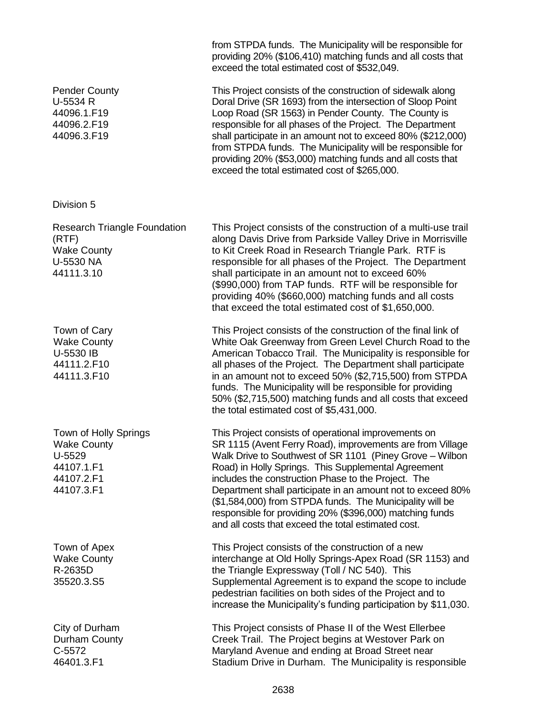providing 20% (\$106,410) matching funds and all costs that exceed the total estimated cost of \$532,049. Pender County U-5534 R 44096.1.F19 44096.2.F19 44096.3.F19 This Project consists of the construction of sidewalk along Doral Drive (SR 1693) from the intersection of Sloop Point Loop Road (SR 1563) in Pender County. The County is responsible for all phases of the Project. The Department shall participate in an amount not to exceed 80% (\$212,000) from STPDA funds. The Municipality will be responsible for providing 20% (\$53,000) matching funds and all costs that exceed the total estimated cost of \$265,000. Division 5 Research Triangle Foundation (RTF) Wake County U-5530 NA 44111.3.10 This Project consists of the construction of a multi-use trail along Davis Drive from Parkside Valley Drive in Morrisville to Kit Creek Road in Research Triangle Park. RTF is responsible for all phases of the Project. The Department shall participate in an amount not to exceed 60% (\$990,000) from TAP funds. RTF will be responsible for providing 40% (\$660,000) matching funds and all costs that exceed the total estimated cost of \$1,650,000. Town of Cary Wake County U-5530 IB 44111.2.F10 44111.3.F10 This Project consists of the construction of the final link of White Oak Greenway from Green Level Church Road to the American Tobacco Trail. The Municipality is responsible for all phases of the Project. The Department shall participate in an amount not to exceed 50% (\$2,715,500) from STPDA funds. The Municipality will be responsible for providing 50% (\$2,715,500) matching funds and all costs that exceed the total estimated cost of \$5,431,000. Town of Holly Springs Wake County U-5529 44107.1.F1 44107.2.F1 44107.3.F1 This Project consists of operational improvements on SR 1115 (Avent Ferry Road), improvements are from Village Walk Drive to Southwest of SR 1101 (Piney Grove – Wilbon Road) in Holly Springs. This Supplemental Agreement includes the construction Phase to the Project. The Department shall participate in an amount not to exceed 80% (\$1,584,000) from STPDA funds. The Municipality will be responsible for providing 20% (\$396,000) matching funds and all costs that exceed the total estimated cost. Town of Apex Wake County R-2635D 35520.3.S5 This Project consists of the construction of a new interchange at Old Holly Springs-Apex Road (SR 1153) and the Triangle Expressway (Toll / NC 540). This Supplemental Agreement is to expand the scope to include pedestrian facilities on both sides of the Project and to increase the Municipality's funding participation by \$11,030. City of Durham Durham County C-5572 46401.3.F1 This Project consists of Phase II of the West Ellerbee Creek Trail. The Project begins at Westover Park on Maryland Avenue and ending at Broad Street near Stadium Drive in Durham. The Municipality is responsible

from STPDA funds. The Municipality will be responsible for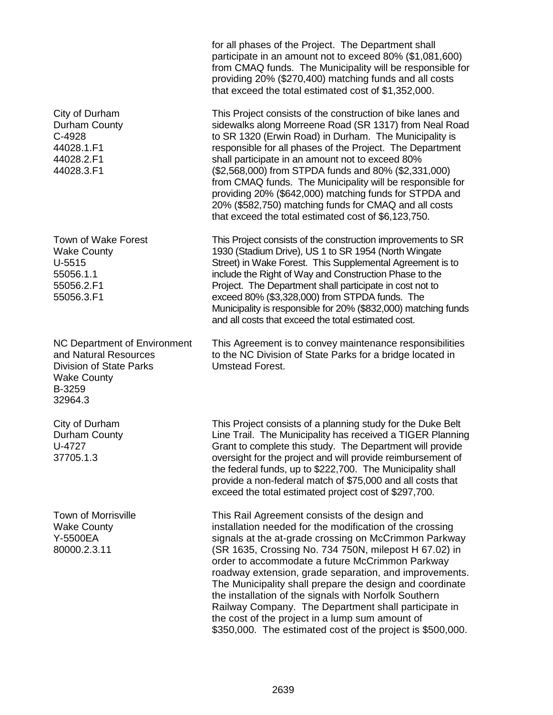City of Durham Durham County C-4928 44028.1.F1 44028.2.F1 44028.3.F1

Town of Wake Forest Wake County U-5515 55056.1.1 55056.2.F1 55056.3.F1

NC Department of Environment and Natural Resources Division of State Parks Wake County B-3259 32964.3

City of Durham Durham County U-4727 37705.1.3

Town of Morrisville Wake County Y-5500EA 80000.2.3.11

for all phases of the Project. The Department shall participate in an amount not to exceed 80% (\$1,081,600) from CMAQ funds. The Municipality will be responsible for providing 20% (\$270,400) matching funds and all costs that exceed the total estimated cost of \$1,352,000.

This Project consists of the construction of bike lanes and sidewalks along Morreene Road (SR 1317) from Neal Road to SR 1320 (Erwin Road) in Durham. The Municipality is responsible for all phases of the Project. The Department shall participate in an amount not to exceed 80% (\$2,568,000) from STPDA funds and 80% (\$2,331,000) from CMAQ funds. The Municipality will be responsible for providing 20% (\$642,000) matching funds for STPDA and 20% (\$582,750) matching funds for CMAQ and all costs that exceed the total estimated cost of \$6,123,750.

This Project consists of the construction improvements to SR 1930 (Stadium Drive), US 1 to SR 1954 (North Wingate Street) in Wake Forest. This Supplemental Agreement is to include the Right of Way and Construction Phase to the Project. The Department shall participate in cost not to exceed 80% (\$3,328,000) from STPDA funds. The Municipality is responsible for 20% (\$832,000) matching funds and all costs that exceed the total estimated cost.

This Agreement is to convey maintenance responsibilities to the NC Division of State Parks for a bridge located in Umstead Forest.

This Project consists of a planning study for the Duke Belt Line Trail. The Municipality has received a TIGER Planning Grant to complete this study. The Department will provide oversight for the project and will provide reimbursement of the federal funds, up to \$222,700. The Municipality shall provide a non-federal match of \$75,000 and all costs that exceed the total estimated project cost of \$297,700.

This Rail Agreement consists of the design and installation needed for the modification of the crossing signals at the at-grade crossing on McCrimmon Parkway (SR 1635, Crossing No. 734 750N, milepost H 67.02) in order to accommodate a future McCrimmon Parkway roadway extension, grade separation, and improvements. The Municipality shall prepare the design and coordinate the installation of the signals with Norfolk Southern Railway Company. The Department shall participate in the cost of the project in a lump sum amount of \$350,000. The estimated cost of the project is \$500,000.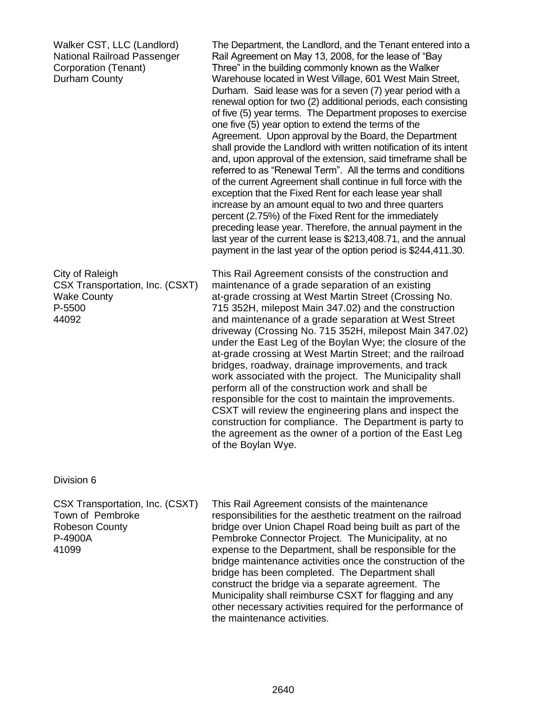| and, upon approval of the extension, said timeframe shall be                                | referred to as "Renewal Term". All the terms and conditions<br>of the current Agreement shall continue in full force with the<br>exception that the Fixed Rent for each lease year shall<br>increase by an amount equal to two and three quarters<br>percent (2.75%) of the Fixed Rent for the immediately<br>preceding lease year. Therefore, the annual payment in the<br>last year of the current lease is \$213,408.71, and the annual<br>payment in the last year of the option period is \$244,411.30.                                                                                                                                                                                                                                                                                                                                                                                                |
|---------------------------------------------------------------------------------------------|-------------------------------------------------------------------------------------------------------------------------------------------------------------------------------------------------------------------------------------------------------------------------------------------------------------------------------------------------------------------------------------------------------------------------------------------------------------------------------------------------------------------------------------------------------------------------------------------------------------------------------------------------------------------------------------------------------------------------------------------------------------------------------------------------------------------------------------------------------------------------------------------------------------|
| City of Raleigh<br>CSX Transportation, Inc. (CSXT)<br><b>Wake County</b><br>P-5500<br>44092 | This Rail Agreement consists of the construction and<br>maintenance of a grade separation of an existing<br>at-grade crossing at West Martin Street (Crossing No.<br>715 352H, milepost Main 347.02) and the construction<br>and maintenance of a grade separation at West Street<br>driveway (Crossing No. 715 352H, milepost Main 347.02)<br>under the East Leg of the Boylan Wye; the closure of the<br>at-grade crossing at West Martin Street; and the railroad<br>bridges, roadway, drainage improvements, and track<br>work associated with the project. The Municipality shall<br>perform all of the construction work and shall be<br>responsible for the cost to maintain the improvements.<br>CSXT will review the engineering plans and inspect the<br>construction for compliance. The Department is party to<br>the agreement as the owner of a portion of the East Leg<br>of the Boylan Wye. |

#### Division 6

CSX Transportation, Inc. (CSXT) Town of Pembroke Robeson County P-4900A 41099

This Rail Agreement consists of the maintenance responsibilities for the aesthetic treatment on the railroad bridge over Union Chapel Road being built as part of the Pembroke Connector Project. The Municipality, at no expense to the Department, shall be responsible for the bridge maintenance activities once the construction of the bridge has been completed. The Department shall construct the bridge via a separate agreement. The Municipality shall reimburse CSXT for flagging and any other necessary activities required for the performance of the maintenance activities.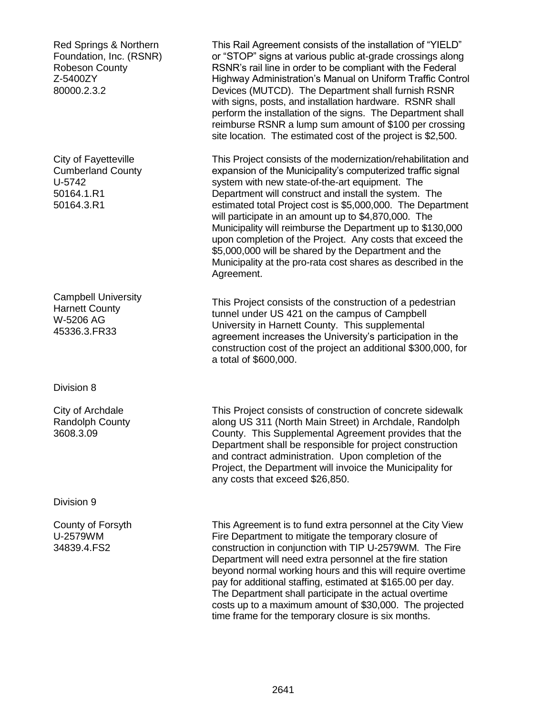Red Springs & Northern Foundation, Inc. (RSNR) Robeson County Z-5400ZY 80000.2.3.2

City of Fayetteville Cumberland County U-5742 50164.1.R1 50164.3.R1

Campbell University Harnett County W-5206 AG 45336.3.FR33

Division 8

City of Archdale Randolph County 3608.3.09

Division 9

County of Forsyth U-2579WM 34839.4.FS2

This Rail Agreement consists of the installation of "YIELD" or "STOP" signs at various public at-grade crossings along RSNR's rail line in order to be compliant with the Federal Highway Administration's Manual on Uniform Traffic Control Devices (MUTCD). The Department shall furnish RSNR with signs, posts, and installation hardware. RSNR shall perform the installation of the signs. The Department shall reimburse RSNR a lump sum amount of \$100 per crossing site location. The estimated cost of the project is \$2,500.

This Project consists of the modernization/rehabilitation and expansion of the Municipality's computerized traffic signal system with new state-of-the-art equipment. The Department will construct and install the system. The estimated total Project cost is \$5,000,000. The Department will participate in an amount up to \$4,870,000. The Municipality will reimburse the Department up to \$130,000 upon completion of the Project. Any costs that exceed the \$5,000,000 will be shared by the Department and the Municipality at the pro-rata cost shares as described in the Agreement.

This Project consists of the construction of a pedestrian tunnel under US 421 on the campus of Campbell University in Harnett County. This supplemental agreement increases the University's participation in the construction cost of the project an additional \$300,000, for a total of \$600,000.

This Project consists of construction of concrete sidewalk along US 311 (North Main Street) in Archdale, Randolph County. This Supplemental Agreement provides that the Department shall be responsible for project construction and contract administration. Upon completion of the Project, the Department will invoice the Municipality for any costs that exceed \$26,850.

This Agreement is to fund extra personnel at the City View Fire Department to mitigate the temporary closure of construction in conjunction with TIP U-2579WM. The Fire Department will need extra personnel at the fire station beyond normal working hours and this will require overtime pay for additional staffing, estimated at \$165.00 per day. The Department shall participate in the actual overtime costs up to a maximum amount of \$30,000. The projected time frame for the temporary closure is six months.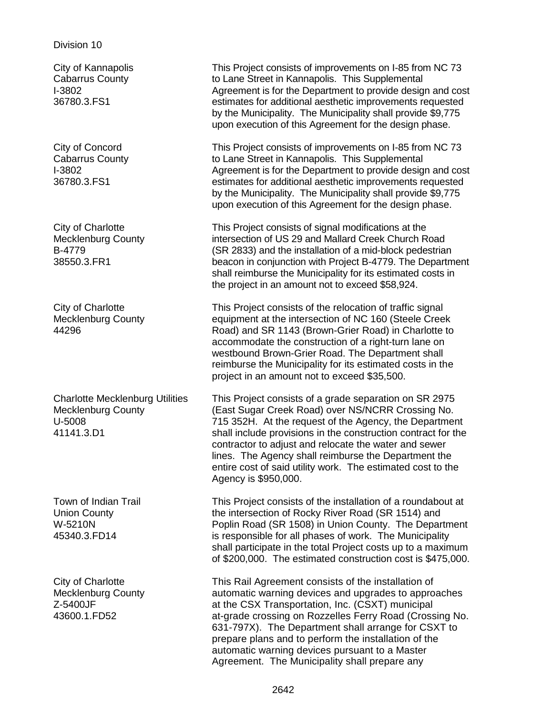#### Division 10

City of Kannapolis Cabarrus County I-3802 36780.3.FS1

City of Concord Cabarrus County I-3802 36780.3.FS1

City of Charlotte Mecklenburg County B-4779 38550.3.FR1

City of Charlotte Mecklenburg County 44296

Charlotte Mecklenburg Utilities Mecklenburg County U-5008 41141.3.D1

Town of Indian Trail Union County W-5210N 45340.3.FD14

City of Charlotte Mecklenburg County Z-5400JF 43600.1.FD52

This Project consists of improvements on I-85 from NC 73 to Lane Street in Kannapolis. This Supplemental Agreement is for the Department to provide design and cost estimates for additional aesthetic improvements requested by the Municipality. The Municipality shall provide \$9,775 upon execution of this Agreement for the design phase.

This Project consists of improvements on I-85 from NC 73 to Lane Street in Kannapolis. This Supplemental Agreement is for the Department to provide design and cost estimates for additional aesthetic improvements requested by the Municipality. The Municipality shall provide \$9,775 upon execution of this Agreement for the design phase.

This Project consists of signal modifications at the intersection of US 29 and Mallard Creek Church Road (SR 2833) and the installation of a mid-block pedestrian beacon in conjunction with Project B-4779. The Department shall reimburse the Municipality for its estimated costs in the project in an amount not to exceed \$58,924.

This Project consists of the relocation of traffic signal equipment at the intersection of NC 160 (Steele Creek Road) and SR 1143 (Brown-Grier Road) in Charlotte to accommodate the construction of a right-turn lane on westbound Brown-Grier Road. The Department shall reimburse the Municipality for its estimated costs in the project in an amount not to exceed \$35,500.

This Project consists of a grade separation on SR 2975 (East Sugar Creek Road) over NS/NCRR Crossing No. 715 352H. At the request of the Agency, the Department shall include provisions in the construction contract for the contractor to adjust and relocate the water and sewer lines. The Agency shall reimburse the Department the entire cost of said utility work. The estimated cost to the Agency is \$950,000.

This Project consists of the installation of a roundabout at the intersection of Rocky River Road (SR 1514) and Poplin Road (SR 1508) in Union County. The Department is responsible for all phases of work. The Municipality shall participate in the total Project costs up to a maximum of \$200,000. The estimated construction cost is \$475,000.

This Rail Agreement consists of the installation of automatic warning devices and upgrades to approaches at the CSX Transportation, Inc. (CSXT) municipal at-grade crossing on Rozzelles Ferry Road (Crossing No. 631-797X). The Department shall arrange for CSXT to prepare plans and to perform the installation of the automatic warning devices pursuant to a Master Agreement. The Municipality shall prepare any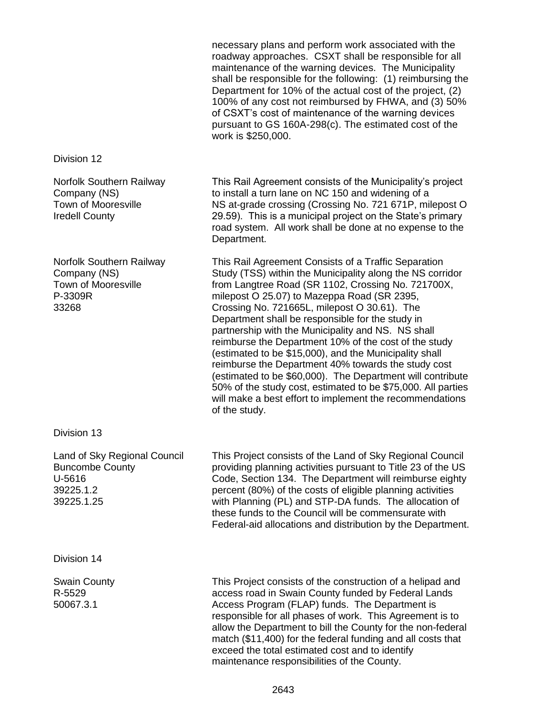|                                                                                                 | necessary plans and perform work associated with the<br>roadway approaches. CSXT shall be responsible for all<br>maintenance of the warning devices. The Municipality<br>shall be responsible for the following: (1) reimbursing the<br>Department for 10% of the actual cost of the project, (2)<br>100% of any cost not reimbursed by FHWA, and (3) 50%<br>of CSXT's cost of maintenance of the warning devices<br>pursuant to GS 160A-298(c). The estimated cost of the<br>work is \$250,000.                                                                                                                                                                                                                                                                      |
|-------------------------------------------------------------------------------------------------|-----------------------------------------------------------------------------------------------------------------------------------------------------------------------------------------------------------------------------------------------------------------------------------------------------------------------------------------------------------------------------------------------------------------------------------------------------------------------------------------------------------------------------------------------------------------------------------------------------------------------------------------------------------------------------------------------------------------------------------------------------------------------|
| Division 12                                                                                     |                                                                                                                                                                                                                                                                                                                                                                                                                                                                                                                                                                                                                                                                                                                                                                       |
| Norfolk Southern Railway<br>Company (NS)<br><b>Town of Mooresville</b><br><b>Iredell County</b> | This Rail Agreement consists of the Municipality's project<br>to install a turn lane on NC 150 and widening of a<br>NS at-grade crossing (Crossing No. 721 671P, milepost O<br>29.59). This is a municipal project on the State's primary<br>road system. All work shall be done at no expense to the<br>Department.                                                                                                                                                                                                                                                                                                                                                                                                                                                  |
| Norfolk Southern Railway<br>Company (NS)<br><b>Town of Mooresville</b><br>P-3309R<br>33268      | This Rail Agreement Consists of a Traffic Separation<br>Study (TSS) within the Municipality along the NS corridor<br>from Langtree Road (SR 1102, Crossing No. 721700X,<br>milepost O 25.07) to Mazeppa Road (SR 2395,<br>Crossing No. 721665L, milepost O 30.61). The<br>Department shall be responsible for the study in<br>partnership with the Municipality and NS. NS shall<br>reimburse the Department 10% of the cost of the study<br>(estimated to be \$15,000), and the Municipality shall<br>reimburse the Department 40% towards the study cost<br>(estimated to be \$60,000). The Department will contribute<br>50% of the study cost, estimated to be \$75,000. All parties<br>will make a best effort to implement the recommendations<br>of the study. |
| Division 13                                                                                     |                                                                                                                                                                                                                                                                                                                                                                                                                                                                                                                                                                                                                                                                                                                                                                       |
| Land of Sky Regional Council<br><b>Buncombe County</b><br>U-5616<br>39225.1.2<br>39225.1.25     | This Project consists of the Land of Sky Regional Council<br>providing planning activities pursuant to Title 23 of the US<br>Code, Section 134. The Department will reimburse eighty<br>percent (80%) of the costs of eligible planning activities<br>with Planning (PL) and STP-DA funds. The allocation of<br>these funds to the Council will be commensurate with<br>Federal-aid allocations and distribution by the Department.                                                                                                                                                                                                                                                                                                                                   |
| Division 14                                                                                     |                                                                                                                                                                                                                                                                                                                                                                                                                                                                                                                                                                                                                                                                                                                                                                       |
| <b>Swain County</b><br>R-5529<br>50067.3.1                                                      | This Project consists of the construction of a helipad and<br>access road in Swain County funded by Federal Lands<br>Access Program (FLAP) funds. The Department is<br>responsible for all phases of work. This Agreement is to<br>allow the Department to bill the County for the non-federal<br>match (\$11,400) for the federal funding and all costs that<br>exceed the total estimated cost and to identify<br>maintenance responsibilities of the County.                                                                                                                                                                                                                                                                                                       |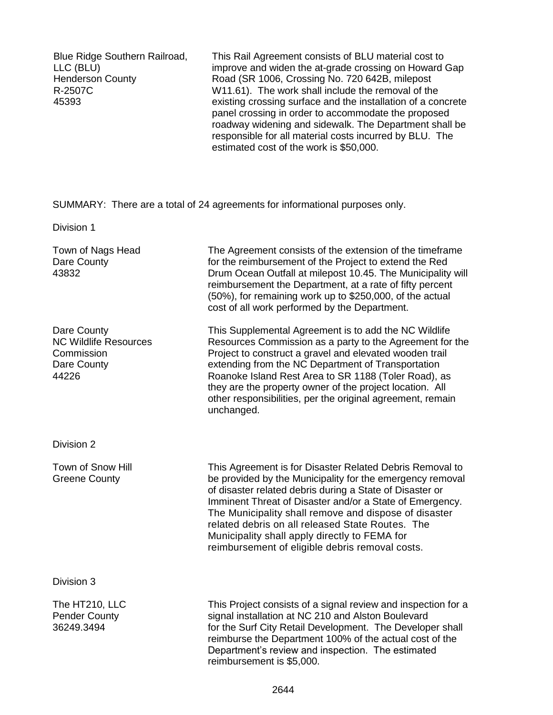Blue Ridge Southern Railroad, LLC (BLU) Henderson County R-2507C 45393

This Rail Agreement consists of BLU material cost to improve and widen the at-grade crossing on Howard Gap Road (SR 1006, Crossing No. 720 642B, milepost W11.61). The work shall include the removal of the existing crossing surface and the installation of a concrete panel crossing in order to accommodate the proposed roadway widening and sidewalk. The Department shall be responsible for all material costs incurred by BLU. The estimated cost of the work is \$50,000.

SUMMARY: There are a total of 24 agreements for informational purposes only.

Division 1

| Town of Nags Head<br>Dare County<br>43832                                         | The Agreement consists of the extension of the timeframe<br>for the reimbursement of the Project to extend the Red<br>Drum Ocean Outfall at milepost 10.45. The Municipality will<br>reimbursement the Department, at a rate of fifty percent<br>(50%), for remaining work up to \$250,000, of the actual<br>cost of all work performed by the Department.                                                                                                     |
|-----------------------------------------------------------------------------------|----------------------------------------------------------------------------------------------------------------------------------------------------------------------------------------------------------------------------------------------------------------------------------------------------------------------------------------------------------------------------------------------------------------------------------------------------------------|
| Dare County<br><b>NC Wildlife Resources</b><br>Commission<br>Dare County<br>44226 | This Supplemental Agreement is to add the NC Wildlife<br>Resources Commission as a party to the Agreement for the<br>Project to construct a gravel and elevated wooden trail<br>extending from the NC Department of Transportation<br>Roanoke Island Rest Area to SR 1188 (Toler Road), as<br>they are the property owner of the project location. All<br>other responsibilities, per the original agreement, remain<br>unchanged.                             |
| Division 2                                                                        |                                                                                                                                                                                                                                                                                                                                                                                                                                                                |
| Town of Snow Hill<br><b>Greene County</b>                                         | This Agreement is for Disaster Related Debris Removal to<br>be provided by the Municipality for the emergency removal<br>of disaster related debris during a State of Disaster or<br>Imminent Threat of Disaster and/or a State of Emergency.<br>The Municipality shall remove and dispose of disaster<br>related debris on all released State Routes. The<br>Municipality shall apply directly to FEMA for<br>reimbursement of eligible debris removal costs. |
| Division 3                                                                        |                                                                                                                                                                                                                                                                                                                                                                                                                                                                |
| The HT210, LLC<br><b>Pender County</b><br>36249.3494                              | This Project consists of a signal review and inspection for a<br>signal installation at NC 210 and Alston Boulevard<br>for the Surf City Retail Development. The Developer shall<br>reimburse the Department 100% of the actual cost of the<br>Department's review and inspection. The estimated<br>reimbursement is \$5,000.                                                                                                                                  |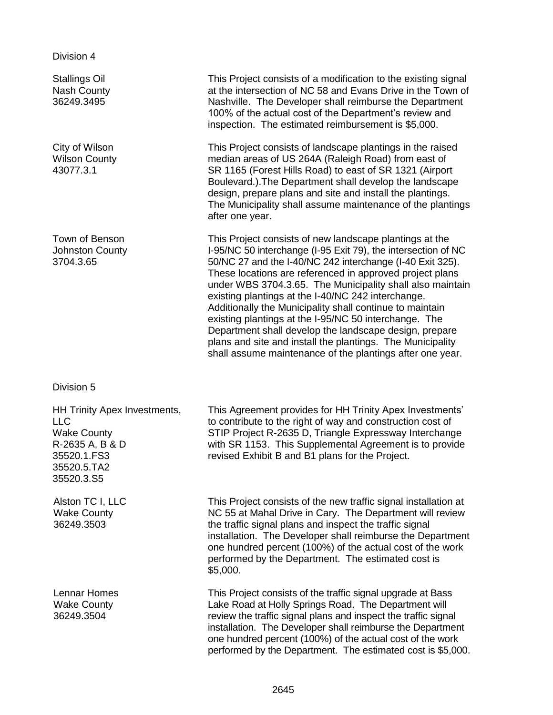Division 4

Stallings Oil Nash County 36249.3495

City of Wilson Wilson County 43077.3.1

Town of Benson Johnston County 3704.3.65

Division 5

HH Trinity Apex Investments, LLC Wake County R-2635 A, B & D 35520.1.FS3 35520.5.TA2 35520.3.S5

Alston TC I, LLC Wake County 36249.3503

Lennar Homes Wake County 36249.3504

This Project consists of a modification to the existing signal at the intersection of NC 58 and Evans Drive in the Town of Nashville. The Developer shall reimburse the Department 100% of the actual cost of the Department's review and inspection. The estimated reimbursement is \$5,000.

This Project consists of landscape plantings in the raised median areas of US 264A (Raleigh Road) from east of SR 1165 (Forest Hills Road) to east of SR 1321 (Airport Boulevard.).The Department shall develop the landscape design, prepare plans and site and install the plantings. The Municipality shall assume maintenance of the plantings after one year.

This Project consists of new landscape plantings at the I-95/NC 50 interchange (I-95 Exit 79), the intersection of NC 50/NC 27 and the I-40/NC 242 interchange (I-40 Exit 325). These locations are referenced in approved project plans under WBS 3704.3.65. The Municipality shall also maintain existing plantings at the I-40/NC 242 interchange. Additionally the Municipality shall continue to maintain existing plantings at the I-95/NC 50 interchange. The Department shall develop the landscape design, prepare plans and site and install the plantings. The Municipality shall assume maintenance of the plantings after one year.

This Agreement provides for HH Trinity Apex Investments' to contribute to the right of way and construction cost of STIP Project R-2635 D, Triangle Expressway Interchange with SR 1153. This Supplemental Agreement is to provide revised Exhibit B and B1 plans for the Project.

This Project consists of the new traffic signal installation at NC 55 at Mahal Drive in Cary. The Department will review the traffic signal plans and inspect the traffic signal installation. The Developer shall reimburse the Department one hundred percent (100%) of the actual cost of the work performed by the Department. The estimated cost is \$5,000.

This Project consists of the traffic signal upgrade at Bass Lake Road at Holly Springs Road. The Department will review the traffic signal plans and inspect the traffic signal installation. The Developer shall reimburse the Department one hundred percent (100%) of the actual cost of the work performed by the Department. The estimated cost is \$5,000.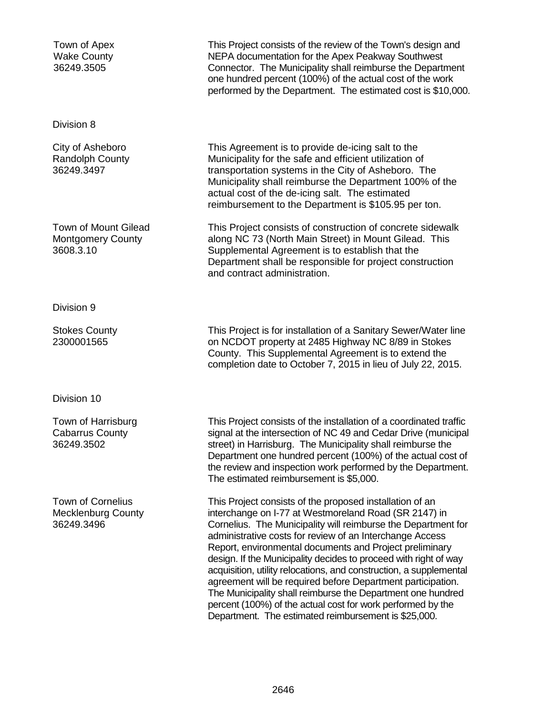| Town of Apex<br><b>Wake County</b><br>36249.3505                    | This Project consists of the review of the Town's design and<br>NEPA documentation for the Apex Peakway Southwest<br>Connector. The Municipality shall reimburse the Department<br>one hundred percent (100%) of the actual cost of the work<br>performed by the Department. The estimated cost is \$10,000.                                                                                                                                                                                                                                                                                                                                                                                             |
|---------------------------------------------------------------------|----------------------------------------------------------------------------------------------------------------------------------------------------------------------------------------------------------------------------------------------------------------------------------------------------------------------------------------------------------------------------------------------------------------------------------------------------------------------------------------------------------------------------------------------------------------------------------------------------------------------------------------------------------------------------------------------------------|
| Division 8                                                          |                                                                                                                                                                                                                                                                                                                                                                                                                                                                                                                                                                                                                                                                                                          |
| City of Asheboro<br><b>Randolph County</b><br>36249.3497            | This Agreement is to provide de-icing salt to the<br>Municipality for the safe and efficient utilization of<br>transportation systems in the City of Asheboro. The<br>Municipality shall reimburse the Department 100% of the<br>actual cost of the de-icing salt. The estimated<br>reimbursement to the Department is \$105.95 per ton.                                                                                                                                                                                                                                                                                                                                                                 |
| Town of Mount Gilead<br><b>Montgomery County</b><br>3608.3.10       | This Project consists of construction of concrete sidewalk<br>along NC 73 (North Main Street) in Mount Gilead. This<br>Supplemental Agreement is to establish that the<br>Department shall be responsible for project construction<br>and contract administration.                                                                                                                                                                                                                                                                                                                                                                                                                                       |
| Division 9                                                          |                                                                                                                                                                                                                                                                                                                                                                                                                                                                                                                                                                                                                                                                                                          |
| <b>Stokes County</b><br>2300001565                                  | This Project is for installation of a Sanitary Sewer/Water line<br>on NCDOT property at 2485 Highway NC 8/89 in Stokes<br>County. This Supplemental Agreement is to extend the<br>completion date to October 7, 2015 in lieu of July 22, 2015.                                                                                                                                                                                                                                                                                                                                                                                                                                                           |
| Division 10                                                         |                                                                                                                                                                                                                                                                                                                                                                                                                                                                                                                                                                                                                                                                                                          |
| Town of Harrisburg<br><b>Cabarrus County</b><br>36249.3502          | This Project consists of the installation of a coordinated traffic<br>signal at the intersection of NC 49 and Cedar Drive (municipal<br>street) in Harrisburg. The Municipality shall reimburse the<br>Department one hundred percent (100%) of the actual cost of<br>the review and inspection work performed by the Department.<br>The estimated reimbursement is \$5,000.                                                                                                                                                                                                                                                                                                                             |
| <b>Town of Cornelius</b><br><b>Mecklenburg County</b><br>36249.3496 | This Project consists of the proposed installation of an<br>interchange on I-77 at Westmoreland Road (SR 2147) in<br>Cornelius. The Municipality will reimburse the Department for<br>administrative costs for review of an Interchange Access<br>Report, environmental documents and Project preliminary<br>design. If the Municipality decides to proceed with right of way<br>acquisition, utility relocations, and construction, a supplemental<br>agreement will be required before Department participation.<br>The Municipality shall reimburse the Department one hundred<br>percent (100%) of the actual cost for work performed by the<br>Department. The estimated reimbursement is \$25,000. |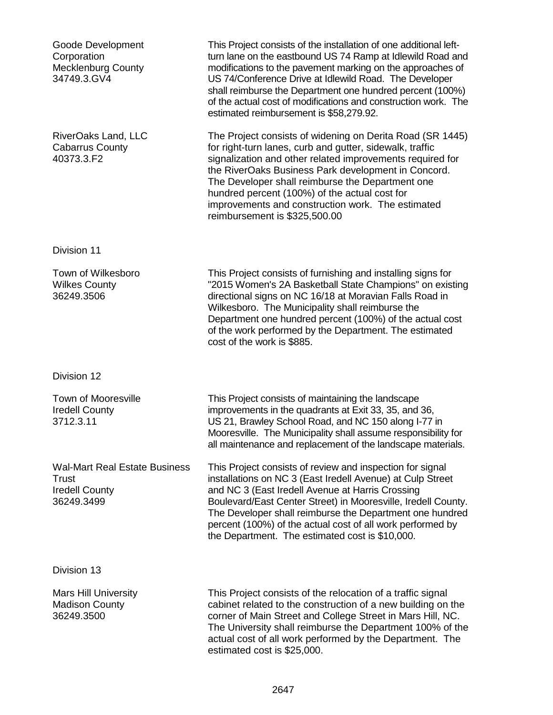| Goode Development<br>Corporation<br><b>Mecklenburg County</b><br>34749.3.GV4         | This Project consists of the installation of one additional left-<br>turn lane on the eastbound US 74 Ramp at Idlewild Road and<br>modifications to the pavement marking on the approaches of<br>US 74/Conference Drive at Idlewild Road. The Developer<br>shall reimburse the Department one hundred percent (100%)<br>of the actual cost of modifications and construction work. The<br>estimated reimbursement is \$58,279.92.    |
|--------------------------------------------------------------------------------------|--------------------------------------------------------------------------------------------------------------------------------------------------------------------------------------------------------------------------------------------------------------------------------------------------------------------------------------------------------------------------------------------------------------------------------------|
| RiverOaks Land, LLC<br><b>Cabarrus County</b><br>40373.3.F2                          | The Project consists of widening on Derita Road (SR 1445)<br>for right-turn lanes, curb and gutter, sidewalk, traffic<br>signalization and other related improvements required for<br>the RiverOaks Business Park development in Concord.<br>The Developer shall reimburse the Department one<br>hundred percent (100%) of the actual cost for<br>improvements and construction work. The estimated<br>reimbursement is \$325,500.00 |
| Division 11                                                                          |                                                                                                                                                                                                                                                                                                                                                                                                                                      |
| Town of Wilkesboro<br><b>Wilkes County</b><br>36249.3506                             | This Project consists of furnishing and installing signs for<br>"2015 Women's 2A Basketball State Champions" on existing<br>directional signs on NC 16/18 at Moravian Falls Road in<br>Wilkesboro. The Municipality shall reimburse the<br>Department one hundred percent (100%) of the actual cost<br>of the work performed by the Department. The estimated<br>cost of the work is \$885.                                          |
| Division 12                                                                          |                                                                                                                                                                                                                                                                                                                                                                                                                                      |
| <b>Town of Mooresville</b><br><b>Iredell County</b><br>3712.3.11                     | This Project consists of maintaining the landscape<br>improvements in the quadrants at Exit 33, 35, and 36,<br>US 21, Brawley School Road, and NC 150 along I-77 in<br>Mooresville. The Municipality shall assume responsibility for<br>all maintenance and replacement of the landscape materials.                                                                                                                                  |
| <b>Wal-Mart Real Estate Business</b><br>Trust<br><b>Iredell County</b><br>36249.3499 | This Project consists of review and inspection for signal<br>installations on NC 3 (East Iredell Avenue) at Culp Street<br>and NC 3 (East Iredell Avenue at Harris Crossing<br>Boulevard/East Center Street) in Mooresville, Iredell County.<br>The Developer shall reimburse the Department one hundred<br>percent (100%) of the actual cost of all work performed by<br>the Department. The estimated cost is \$10,000.            |
| Division 13                                                                          |                                                                                                                                                                                                                                                                                                                                                                                                                                      |
| <b>Mars Hill University</b><br><b>Madison County</b><br>36249.3500                   | This Project consists of the relocation of a traffic signal<br>cabinet related to the construction of a new building on the<br>corner of Main Street and College Street in Mars Hill, NC.<br>The University shall reimburse the Department 100% of the<br>actual cost of all work performed by the Department. The<br>estimated cost is \$25,000.                                                                                    |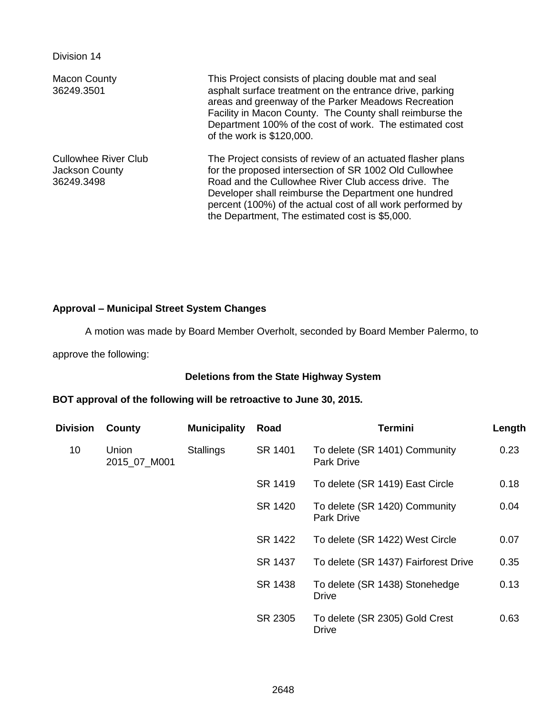Division 14

| <b>Macon County</b><br>36249.3501                           | This Project consists of placing double mat and seal<br>asphalt surface treatment on the entrance drive, parking<br>areas and greenway of the Parker Meadows Recreation<br>Facility in Macon County. The County shall reimburse the<br>Department 100% of the cost of work. The estimated cost<br>of the work is \$120,000.                          |
|-------------------------------------------------------------|------------------------------------------------------------------------------------------------------------------------------------------------------------------------------------------------------------------------------------------------------------------------------------------------------------------------------------------------------|
| <b>Cullowhee River Club</b><br>Jackson County<br>36249.3498 | The Project consists of review of an actuated flasher plans<br>for the proposed intersection of SR 1002 Old Cullowhee<br>Road and the Cullowhee River Club access drive. The<br>Developer shall reimburse the Department one hundred<br>percent (100%) of the actual cost of all work performed by<br>the Department, The estimated cost is \$5,000. |

## **Approval – Municipal Street System Changes**

A motion was made by Board Member Overholt, seconded by Board Member Palermo, to

approve the following:

## **Deletions from the State Highway System**

## **BOT approval of the following will be retroactive to June 30, 2015.**

| <b>Division</b> | County                | <b>Municipality</b> | Road    | <b>Termini</b>                                     | Length |
|-----------------|-----------------------|---------------------|---------|----------------------------------------------------|--------|
| 10              | Union<br>2015_07_M001 | <b>Stallings</b>    | SR 1401 | To delete (SR 1401) Community<br><b>Park Drive</b> | 0.23   |
|                 |                       |                     | SR 1419 | To delete (SR 1419) East Circle                    | 0.18   |
|                 |                       |                     | SR 1420 | To delete (SR 1420) Community<br><b>Park Drive</b> | 0.04   |
|                 |                       |                     | SR 1422 | To delete (SR 1422) West Circle                    | 0.07   |
|                 |                       |                     | SR 1437 | To delete (SR 1437) Fairforest Drive               | 0.35   |
|                 |                       |                     | SR 1438 | To delete (SR 1438) Stonehedge<br>Drive            | 0.13   |
|                 |                       |                     | SR 2305 | To delete (SR 2305) Gold Crest<br><b>Drive</b>     | 0.63   |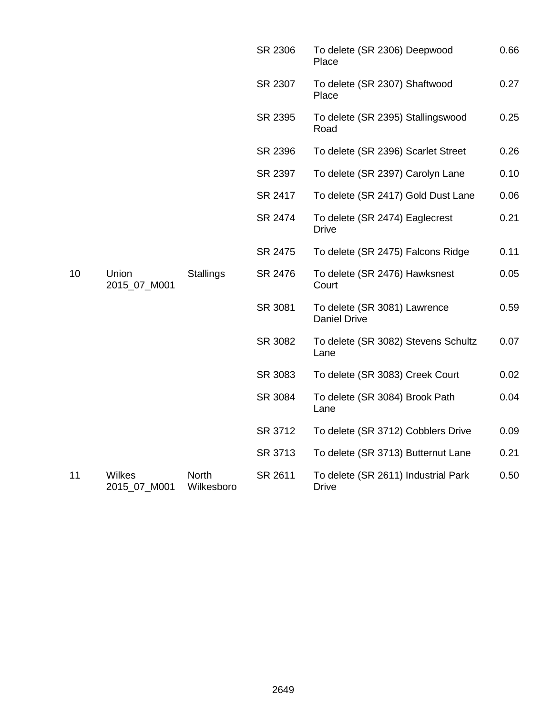|    |                               |                            | SR 2306 | To delete (SR 2306) Deepwood<br>Place               | 0.66 |
|----|-------------------------------|----------------------------|---------|-----------------------------------------------------|------|
|    |                               |                            | SR 2307 | To delete (SR 2307) Shaftwood<br>Place              | 0.27 |
|    |                               |                            | SR 2395 | To delete (SR 2395) Stallingswood<br>Road           | 0.25 |
|    |                               |                            | SR 2396 | To delete (SR 2396) Scarlet Street                  | 0.26 |
|    |                               |                            | SR 2397 | To delete (SR 2397) Carolyn Lane                    | 0.10 |
|    |                               |                            | SR 2417 | To delete (SR 2417) Gold Dust Lane                  | 0.06 |
|    |                               |                            | SR 2474 | To delete (SR 2474) Eaglecrest<br><b>Drive</b>      | 0.21 |
|    |                               |                            | SR 2475 | To delete (SR 2475) Falcons Ridge                   | 0.11 |
| 10 | Union<br>2015_07_M001         | <b>Stallings</b>           | SR 2476 | To delete (SR 2476) Hawksnest<br>Court              | 0.05 |
|    |                               |                            | SR 3081 | To delete (SR 3081) Lawrence<br><b>Daniel Drive</b> | 0.59 |
|    |                               |                            | SR 3082 | To delete (SR 3082) Stevens Schultz<br>Lane         | 0.07 |
|    |                               |                            | SR 3083 | To delete (SR 3083) Creek Court                     | 0.02 |
|    |                               |                            | SR 3084 | To delete (SR 3084) Brook Path<br>Lane              | 0.04 |
|    |                               |                            | SR 3712 | To delete (SR 3712) Cobblers Drive                  | 0.09 |
|    |                               |                            | SR 3713 | To delete (SR 3713) Butternut Lane                  | 0.21 |
| 11 | <b>Wilkes</b><br>2015_07_M001 | <b>North</b><br>Wilkesboro | SR 2611 | To delete (SR 2611) Industrial Park<br><b>Drive</b> | 0.50 |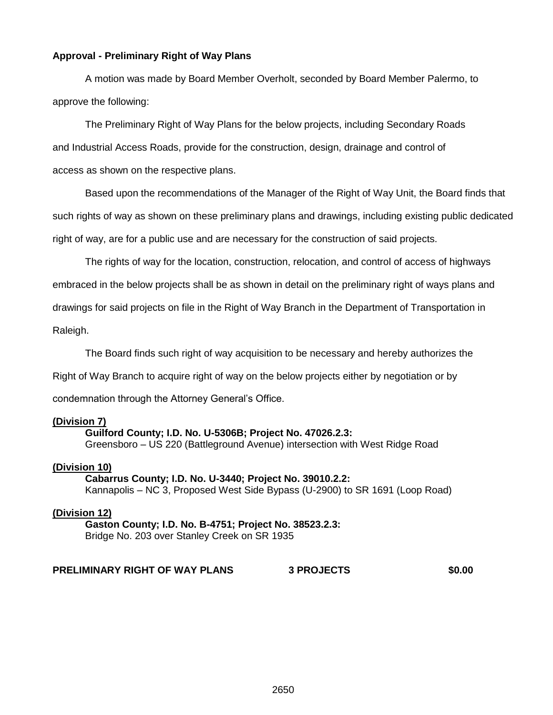## **Approval - Preliminary Right of Way Plans**

A motion was made by Board Member Overholt, seconded by Board Member Palermo, to approve the following:

The Preliminary Right of Way Plans for the below projects, including Secondary Roads and Industrial Access Roads, provide for the construction, design, drainage and control of access as shown on the respective plans.

Based upon the recommendations of the Manager of the Right of Way Unit, the Board finds that such rights of way as shown on these preliminary plans and drawings, including existing public dedicated right of way, are for a public use and are necessary for the construction of said projects.

The rights of way for the location, construction, relocation, and control of access of highways embraced in the below projects shall be as shown in detail on the preliminary right of ways plans and drawings for said projects on file in the Right of Way Branch in the Department of Transportation in Raleigh.

The Board finds such right of way acquisition to be necessary and hereby authorizes the Right of Way Branch to acquire right of way on the below projects either by negotiation or by condemnation through the Attorney General's Office.

### **(Division 7)**

#### **Guilford County; I.D. No. U-5306B; Project No. 47026.2.3:**

Greensboro – US 220 (Battleground Avenue) intersection with West Ridge Road

#### **(Division 10)**

**Cabarrus County; I.D. No. U-3440; Project No. 39010.2.2:** Kannapolis – NC 3, Proposed West Side Bypass (U-2900) to SR 1691 (Loop Road)

#### **(Division 12)**

**Gaston County; I.D. No. B-4751; Project No. 38523.2.3:** Bridge No. 203 over Stanley Creek on SR 1935

#### **PRELIMINARY RIGHT OF WAY PLANS 3 PROJECTS \$0.00**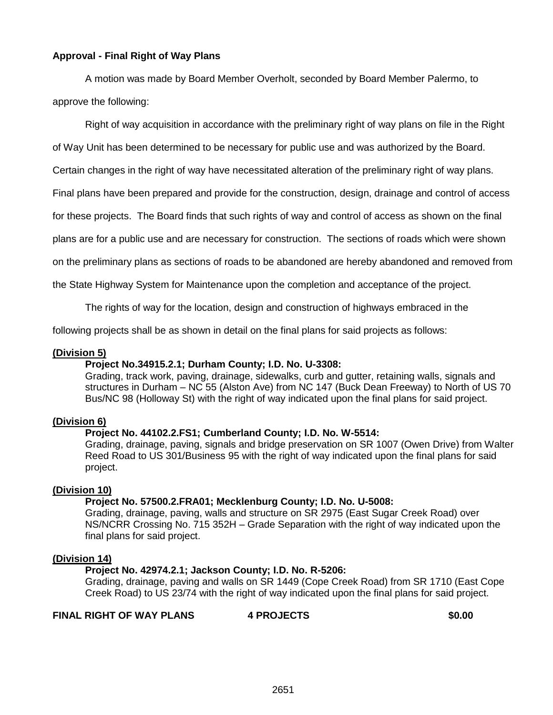## **Approval - Final Right of Way Plans**

A motion was made by Board Member Overholt, seconded by Board Member Palermo, to approve the following:

Right of way acquisition in accordance with the preliminary right of way plans on file in the Right

of Way Unit has been determined to be necessary for public use and was authorized by the Board.

Certain changes in the right of way have necessitated alteration of the preliminary right of way plans.

Final plans have been prepared and provide for the construction, design, drainage and control of access

for these projects. The Board finds that such rights of way and control of access as shown on the final

plans are for a public use and are necessary for construction. The sections of roads which were shown

on the preliminary plans as sections of roads to be abandoned are hereby abandoned and removed from

the State Highway System for Maintenance upon the completion and acceptance of the project.

The rights of way for the location, design and construction of highways embraced in the

following projects shall be as shown in detail on the final plans for said projects as follows:

## **(Division 5)**

### **Project No.34915.2.1; Durham County; I.D. No. U-3308:**

Grading, track work, paving, drainage, sidewalks, curb and gutter, retaining walls, signals and structures in Durham – NC 55 (Alston Ave) from NC 147 (Buck Dean Freeway) to North of US 70 Bus/NC 98 (Holloway St) with the right of way indicated upon the final plans for said project.

### **(Division 6)**

### **Project No. 44102.2.FS1; Cumberland County; I.D. No. W-5514:**

Grading, drainage, paving, signals and bridge preservation on SR 1007 (Owen Drive) from Walter Reed Road to US 301/Business 95 with the right of way indicated upon the final plans for said project.

### **(Division 10)**

### **Project No. 57500.2.FRA01; Mecklenburg County; I.D. No. U-5008:**

Grading, drainage, paving, walls and structure on SR 2975 (East Sugar Creek Road) over NS/NCRR Crossing No. 715 352H – Grade Separation with the right of way indicated upon the final plans for said project.

### **(Division 14)**

## **Project No. 42974.2.1; Jackson County; I.D. No. R-5206:**

Grading, drainage, paving and walls on SR 1449 (Cope Creek Road) from SR 1710 (East Cope Creek Road) to US 23/74 with the right of way indicated upon the final plans for said project.

**FINAL RIGHT OF WAY PLANS 4 PROJECTS \$0.00**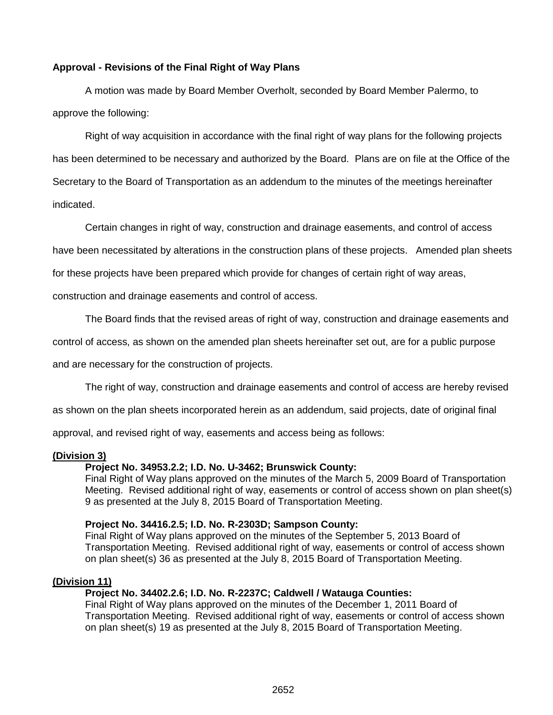## **Approval - Revisions of the Final Right of Way Plans**

A motion was made by Board Member Overholt, seconded by Board Member Palermo, to approve the following:

Right of way acquisition in accordance with the final right of way plans for the following projects has been determined to be necessary and authorized by the Board. Plans are on file at the Office of the Secretary to the Board of Transportation as an addendum to the minutes of the meetings hereinafter indicated.

Certain changes in right of way, construction and drainage easements, and control of access

have been necessitated by alterations in the construction plans of these projects. Amended plan sheets

for these projects have been prepared which provide for changes of certain right of way areas,

construction and drainage easements and control of access.

The Board finds that the revised areas of right of way, construction and drainage easements and

control of access, as shown on the amended plan sheets hereinafter set out, are for a public purpose

and are necessary for the construction of projects.

The right of way, construction and drainage easements and control of access are hereby revised

as shown on the plan sheets incorporated herein as an addendum, said projects, date of original final

approval, and revised right of way, easements and access being as follows:

### **(Division 3)**

## **Project No. 34953.2.2; I.D. No. U-3462; Brunswick County:**

Final Right of Way plans approved on the minutes of the March 5, 2009 Board of Transportation Meeting. Revised additional right of way, easements or control of access shown on plan sheet(s) 9 as presented at the July 8, 2015 Board of Transportation Meeting.

### **Project No. 34416.2.5; I.D. No. R-2303D; Sampson County:**

Final Right of Way plans approved on the minutes of the September 5, 2013 Board of Transportation Meeting. Revised additional right of way, easements or control of access shown on plan sheet(s) 36 as presented at the July 8, 2015 Board of Transportation Meeting.

### **(Division 11)**

## **Project No. 34402.2.6; I.D. No. R-2237C; Caldwell / Watauga Counties:**

Final Right of Way plans approved on the minutes of the December 1, 2011 Board of Transportation Meeting. Revised additional right of way, easements or control of access shown on plan sheet(s) 19 as presented at the July 8, 2015 Board of Transportation Meeting.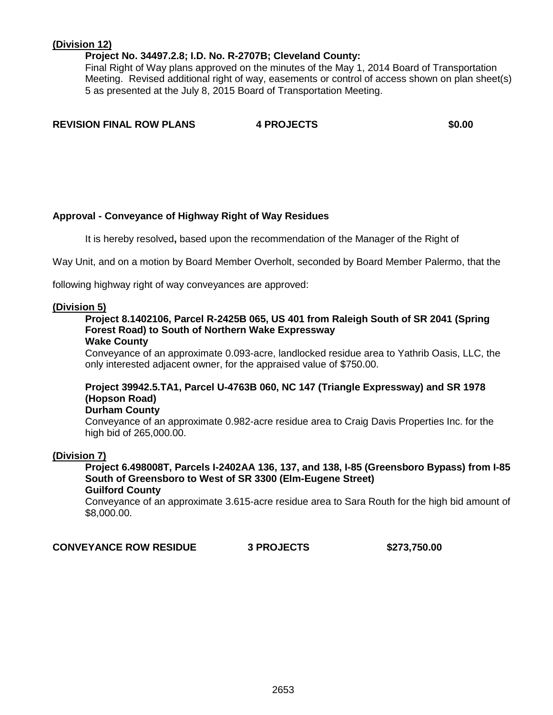## **(Division 12)**

## **Project No. 34497.2.8; I.D. No. R-2707B; Cleveland County:**

Final Right of Way plans approved on the minutes of the May 1, 2014 Board of Transportation Meeting. Revised additional right of way, easements or control of access shown on plan sheet(s) 5 as presented at the July 8, 2015 Board of Transportation Meeting.

**REVISION FINAL ROW PLANS 4 PROJECTS \$0.00**

## **Approval - Conveyance of Highway Right of Way Residues**

It is hereby resolved**,** based upon the recommendation of the Manager of the Right of

Way Unit, and on a motion by Board Member Overholt, seconded by Board Member Palermo, that the

following highway right of way conveyances are approved:

## **(Division 5)**

# **Project 8.1402106, Parcel R-2425B 065, US 401 from Raleigh South of SR 2041 (Spring Forest Road) to South of Northern Wake Expressway**

#### **Wake County**

Conveyance of an approximate 0.093-acre, landlocked residue area to Yathrib Oasis, LLC, the only interested adjacent owner, for the appraised value of \$750.00.

## **Project 39942.5.TA1, Parcel U-4763B 060, NC 147 (Triangle Expressway) and SR 1978 (Hopson Road)**

## **Durham County**

Conveyance of an approximate 0.982-acre residue area to Craig Davis Properties Inc. for the high bid of 265,000.00.

## **(Division 7)**

**Project 6.498008T, Parcels I-2402AA 136, 137, and 138, I-85 (Greensboro Bypass) from I-85 South of Greensboro to West of SR 3300 (Elm-Eugene Street) Guilford County**

Conveyance of an approximate 3.615-acre residue area to Sara Routh for the high bid amount of \$8,000.00.

**CONVEYANCE ROW RESIDUE 3 PROJECTS \$273,750.00**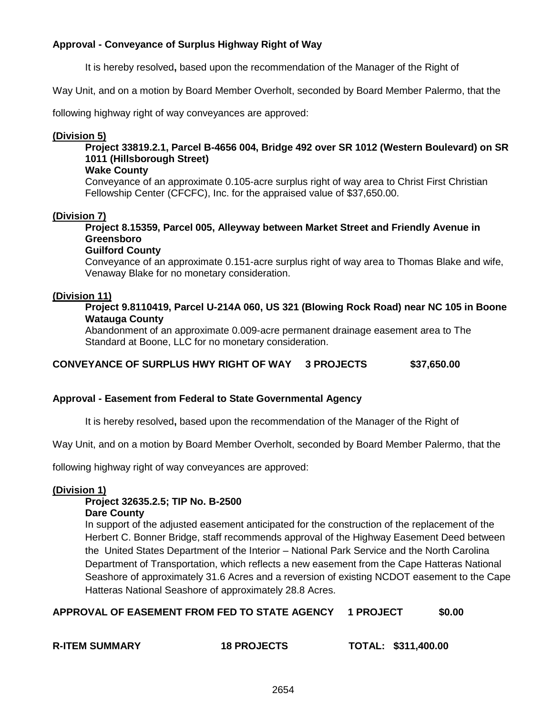## **Approval - Conveyance of Surplus Highway Right of Way**

It is hereby resolved**,** based upon the recommendation of the Manager of the Right of

Way Unit, and on a motion by Board Member Overholt, seconded by Board Member Palermo, that the

following highway right of way conveyances are approved:

## **(Division 5)**

**Project 33819.2.1, Parcel B-4656 004, Bridge 492 over SR 1012 (Western Boulevard) on SR 1011 (Hillsborough Street)**

## **Wake County**

Conveyance of an approximate 0.105-acre surplus right of way area to Christ First Christian Fellowship Center (CFCFC), Inc. for the appraised value of \$37,650.00.

## **(Division 7)**

**Project 8.15359, Parcel 005, Alleyway between Market Street and Friendly Avenue in Greensboro**

## **Guilford County**

Conveyance of an approximate 0.151-acre surplus right of way area to Thomas Blake and wife, Venaway Blake for no monetary consideration.

## **(Division 11)**

**Project 9.8110419, Parcel U-214A 060, US 321 (Blowing Rock Road) near NC 105 in Boone Watauga County**

Abandonment of an approximate 0.009-acre permanent drainage easement area to The Standard at Boone, LLC for no monetary consideration.

**CONVEYANCE OF SURPLUS HWY RIGHT OF WAY 3 PROJECTS \$37,650.00**

## **Approval - Easement from Federal to State Governmental Agency**

It is hereby resolved**,** based upon the recommendation of the Manager of the Right of

Way Unit, and on a motion by Board Member Overholt, seconded by Board Member Palermo, that the

following highway right of way conveyances are approved:

### **(Division 1)**

# **Project 32635.2.5; TIP No. B-2500**

**Dare County**

In support of the adjusted easement anticipated for the construction of the replacement of the Herbert C. Bonner Bridge, staff recommends approval of the Highway Easement Deed between the United States Department of the Interior – National Park Service and the North Carolina Department of Transportation, which reflects a new easement from the Cape Hatteras National Seashore of approximately 31.6 Acres and a reversion of existing NCDOT easement to the Cape Hatteras National Seashore of approximately 28.8 Acres.

## **APPROVAL OF EASEMENT FROM FED TO STATE AGENCY 1 PROJECT \$0.00**

**R-ITEM SUMMARY 18 PROJECTS TOTAL: \$311,400.00**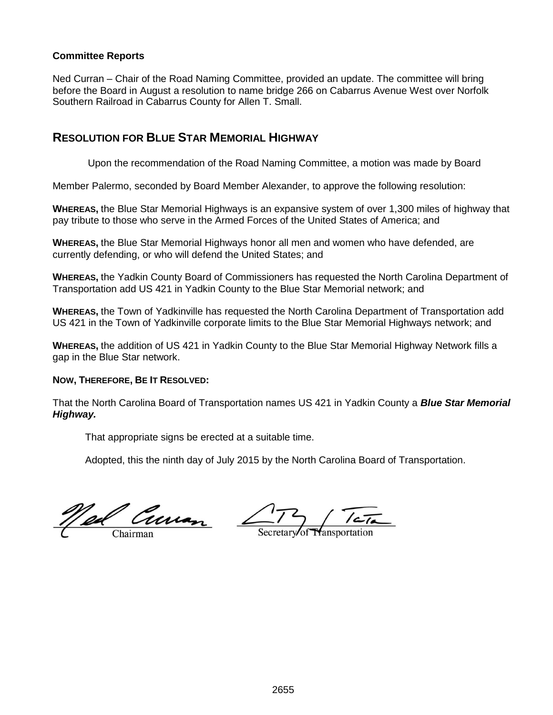## **Committee Reports**

Ned Curran – Chair of the Road Naming Committee, provided an update. The committee will bring before the Board in August a resolution to name bridge 266 on Cabarrus Avenue West over Norfolk Southern Railroad in Cabarrus County for Allen T. Small.

## **RESOLUTION FOR BLUE STAR MEMORIAL HIGHWAY**

Upon the recommendation of the Road Naming Committee, a motion was made by Board

Member Palermo, seconded by Board Member Alexander, to approve the following resolution:

**WHEREAS,** the Blue Star Memorial Highways is an expansive system of over 1,300 miles of highway that pay tribute to those who serve in the Armed Forces of the United States of America; and

**WHEREAS,** the Blue Star Memorial Highways honor all men and women who have defended, are currently defending, or who will defend the United States; and

**WHEREAS,** the Yadkin County Board of Commissioners has requested the North Carolina Department of Transportation add US 421 in Yadkin County to the Blue Star Memorial network; and

**WHEREAS,** the Town of Yadkinville has requested the North Carolina Department of Transportation add US 421 in the Town of Yadkinville corporate limits to the Blue Star Memorial Highways network; and

**WHEREAS,** the addition of US 421 in Yadkin County to the Blue Star Memorial Highway Network fills a gap in the Blue Star network.

### **NOW, THEREFORE, BE IT RESOLVED:**

That the North Carolina Board of Transportation names US 421 in Yadkin County a *Blue Star Memorial Highway.* 

That appropriate signs be erected at a suitable time.

Adopted, this the ninth day of July 2015 by the North Carolina Board of Transportation.

Ned Curren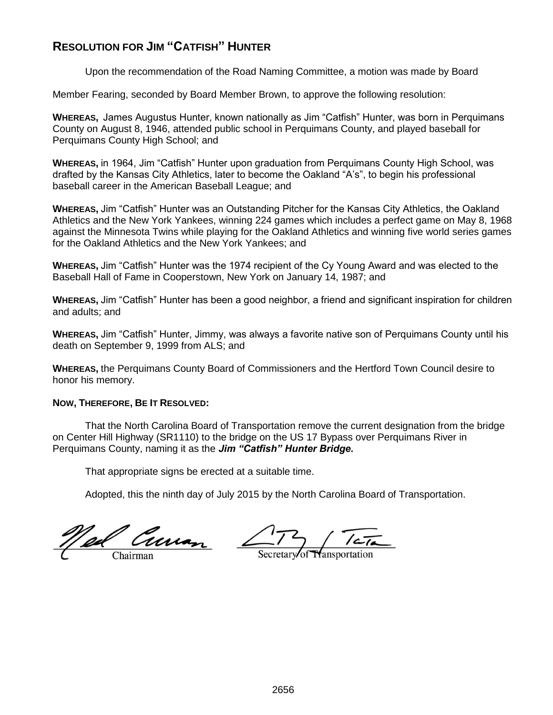# **RESOLUTION FOR JIM "CATFISH" HUNTER**

Upon the recommendation of the Road Naming Committee, a motion was made by Board

Member Fearing, seconded by Board Member Brown, to approve the following resolution:

**WHEREAS,** James Augustus Hunter, known nationally as Jim "Catfish" Hunter, was born in Perquimans County on August 8, 1946, attended public school in Perquimans County, and played baseball for Perquimans County High School; and

**WHEREAS,** in 1964, Jim "Catfish" Hunter upon graduation from Perquimans County High School, was drafted by the Kansas City Athletics, later to become the Oakland "A's", to begin his professional baseball career in the American Baseball League; and

**WHEREAS,** Jim "Catfish" Hunter was an Outstanding Pitcher for the Kansas City Athletics, the Oakland Athletics and the New York Yankees, winning 224 games which includes a perfect game on May 8, 1968 against the Minnesota Twins while playing for the Oakland Athletics and winning five world series games for the Oakland Athletics and the New York Yankees; and

**WHEREAS,** Jim "Catfish" Hunter was the 1974 recipient of the Cy Young Award and was elected to the Baseball Hall of Fame in Cooperstown, New York on January 14, 1987; and

**WHEREAS,** Jim "Catfish" Hunter has been a good neighbor, a friend and significant inspiration for children and adults; and

**WHEREAS,** Jim "Catfish" Hunter, Jimmy, was always a favorite native son of Perquimans County until his death on September 9, 1999 from ALS; and

**WHEREAS,** the Perquimans County Board of Commissioners and the Hertford Town Council desire to honor his memory.

## **NOW, THEREFORE, BE IT RESOLVED:**

That the North Carolina Board of Transportation remove the current designation from the bridge on Center Hill Highway (SR1110) to the bridge on the US 17 Bypass over Perquimans River in Perquimans County, naming it as the *Jim "Catfish" Hunter Bridge.*

That appropriate signs be erected at a suitable time.

Adopted, this the ninth day of July 2015 by the North Carolina Board of Transportation.

Ned Curran